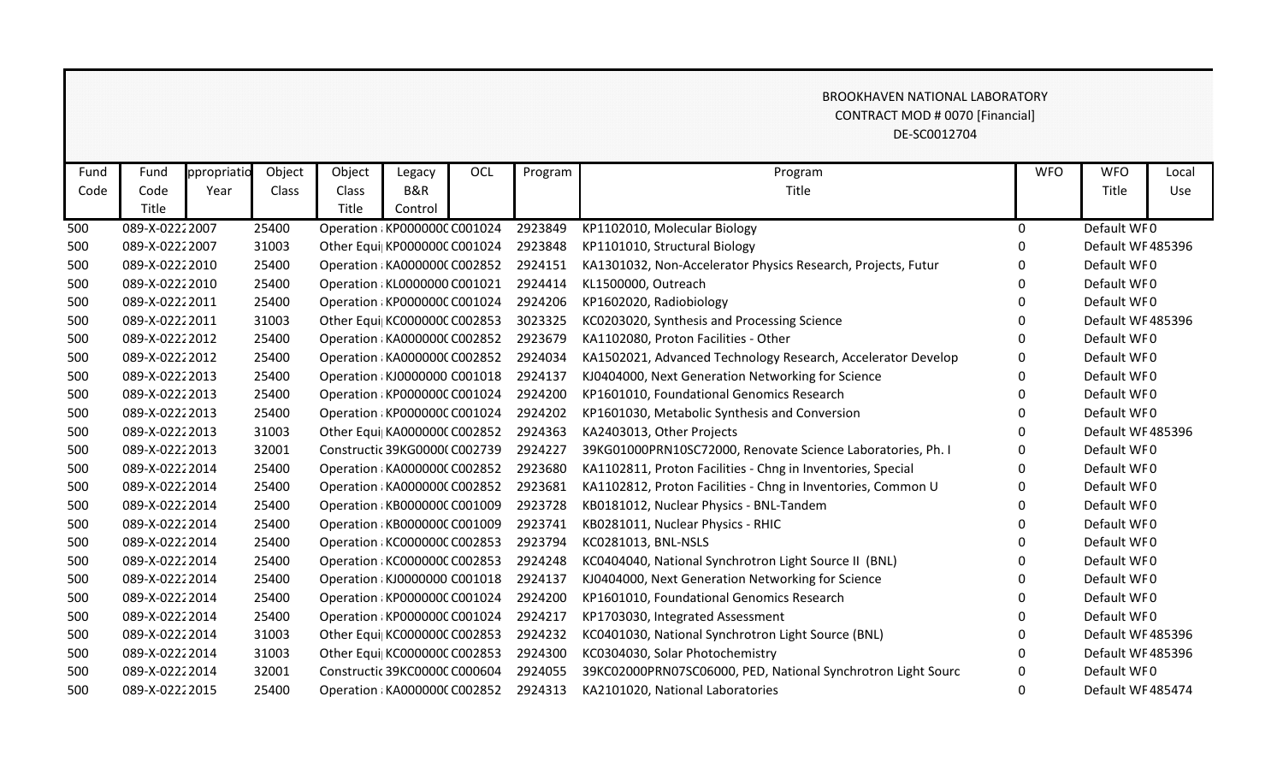|      | <b>BROOKHAVEN NATIONAL LABORATORY</b><br>CONTRACT MOD # 0070 [Financial]<br>DE-SC0012704 |             |        |                               |         |            |         |                                                              |             |                  |       |
|------|------------------------------------------------------------------------------------------|-------------|--------|-------------------------------|---------|------------|---------|--------------------------------------------------------------|-------------|------------------|-------|
| Fund | Fund                                                                                     | ppropriatic | Object | Object                        | Legacy  | <b>OCL</b> | Program | Program                                                      | <b>WFO</b>  | <b>WFO</b>       | Local |
| Code | Code                                                                                     | Year        | Class  | Class                         | B&R     |            |         | Title                                                        |             | Title            | Use   |
|      | Title                                                                                    |             |        | Title                         | Control |            |         |                                                              |             |                  |       |
| 500  | 089-X-02222007                                                                           |             | 25400  | Operation : KP000000C C001024 |         |            | 2923849 | KP1102010, Molecular Biology                                 | $\mathbf 0$ | Default WF0      |       |
| 500  | 089-X-02222007                                                                           |             | 31003  | Other Equi KP000000CC001024   |         |            | 2923848 | KP1101010, Structural Biology                                | $\Omega$    | Default WF485396 |       |
| 500  | 089-X-02222010                                                                           |             | 25400  | Operation : KA000000C C002852 |         |            | 2924151 | KA1301032, Non-Accelerator Physics Research, Projects, Futur | 0           | Default WF0      |       |
| 500  | 089-X-02222010                                                                           |             | 25400  | Operation : KL0000000 C001021 |         |            | 2924414 | KL1500000, Outreach                                          | 0           | Default WF0      |       |
| 500  | 089-X-02222011                                                                           |             | 25400  | Operation : KP000000C C001024 |         |            | 2924206 | KP1602020, Radiobiology                                      | 0           | Default WF0      |       |
| 500  | 089-X-02222011                                                                           |             | 31003  | Other Equi  KC000000C C002853 |         |            | 3023325 | KC0203020, Synthesis and Processing Science                  | 0           | Default WF485396 |       |
| 500  | 089-X-02222012                                                                           |             | 25400  | Operation : KA0000000 C002852 |         |            | 2923679 | KA1102080, Proton Facilities - Other                         | 0           | Default WF0      |       |
| 500  | 089-X-02222012                                                                           |             | 25400  | Operation : KA0000000 C002852 |         |            | 2924034 | KA1502021, Advanced Technology Research, Accelerator Develop | 0           | Default WF0      |       |
| 500  | 089-X-02222013                                                                           |             | 25400  | Operation : KJ0000000 C001018 |         |            | 2924137 | KJ0404000, Next Generation Networking for Science            | 0           | Default WF0      |       |
| 500  | 089-X-02222013                                                                           |             | 25400  | Operation : KP000000C C001024 |         |            | 2924200 | KP1601010, Foundational Genomics Research                    | 0           | Default WF0      |       |
| 500  | 089-X-02222013                                                                           |             | 25400  | Operation : KP000000C C001024 |         |            | 2924202 | KP1601030, Metabolic Synthesis and Conversion                | $\Omega$    | Default WF0      |       |
| 500  | 089-X-02222013                                                                           |             | 31003  | Other Equi  KA000000C C002852 |         |            | 2924363 | KA2403013, Other Projects                                    | O           | Default WF485396 |       |
| 500  | 089-X-02222013                                                                           |             | 32001  | Constructic 39KG0000(C002739  |         |            | 2924227 | 39KG01000PRN10SC72000, Renovate Science Laboratories, Ph. I  |             | Default WF0      |       |
| 500  | 089-X-02222014                                                                           |             | 25400  | Operation : KA000000C C002852 |         |            | 2923680 | KA1102811, Proton Facilities - Chng in Inventories, Special  | 0           | Default WF0      |       |
| 500  | 089-X-02222014                                                                           |             | 25400  | Operation : KA0000000 C002852 |         |            | 2923681 | KA1102812, Proton Facilities - Chng in Inventories, Common U | 0           | Default WF0      |       |
| 500  | 089-X-02222014                                                                           |             | 25400  | Operation : KB000000C C001009 |         |            | 2923728 | KB0181012, Nuclear Physics - BNL-Tandem                      | 0           | Default WF0      |       |
| 500  | 089-X-02222014                                                                           |             | 25400  | Operation : KB000000C C001009 |         |            | 2923741 | KB0281011, Nuclear Physics - RHIC                            | 0           | Default WF0      |       |
| 500  | 089-X-02222014                                                                           |             | 25400  | Operation : KC000000C C002853 |         |            | 2923794 | KC0281013, BNL-NSLS                                          | 0           | Default WF0      |       |
| 500  | 089-X-02222014                                                                           |             | 25400  | Operation : KC000000C C002853 |         |            | 2924248 | KC0404040, National Synchrotron Light Source II (BNL)        | 0           | Default WF0      |       |
| 500  | 089-X-02222014                                                                           |             | 25400  | Operation : KJ0000000 C001018 |         |            | 2924137 | KJ0404000, Next Generation Networking for Science            | 0           | Default WF0      |       |
| 500  | 089-X-02222014                                                                           |             | 25400  | Operation : KP000000C C001024 |         |            | 2924200 | KP1601010, Foundational Genomics Research                    | 0           | Default WF0      |       |
| 500  | 089-X-02222014                                                                           |             | 25400  | Operation : KP000000C C001024 |         |            | 2924217 | KP1703030, Integrated Assessment                             | 0           | Default WF0      |       |
| 500  | 089-X-02222014                                                                           |             | 31003  | Other Equi  KC000000C C002853 |         |            | 2924232 | KC0401030, National Synchrotron Light Source (BNL)           | 0           | Default WF485396 |       |
| 500  | 089-X-02222014                                                                           |             | 31003  | Other Equi  KC000000C C002853 |         |            | 2924300 | KC0304030, Solar Photochemistry                              | $\Omega$    | Default WF485396 |       |
| 500  | 089-X-02222014                                                                           |             | 32001  | Constructic 39KC0000C C000604 |         |            | 2924055 | 39KC02000PRN07SC06000, PED, National Synchrotron Light Sourc | 0           | Default WF0      |       |
| 500  | 089-X-02222015                                                                           |             | 25400  | Operation : KA000000C C002852 |         |            | 2924313 | KA2101020, National Laboratories                             | 0           | Default WF485474 |       |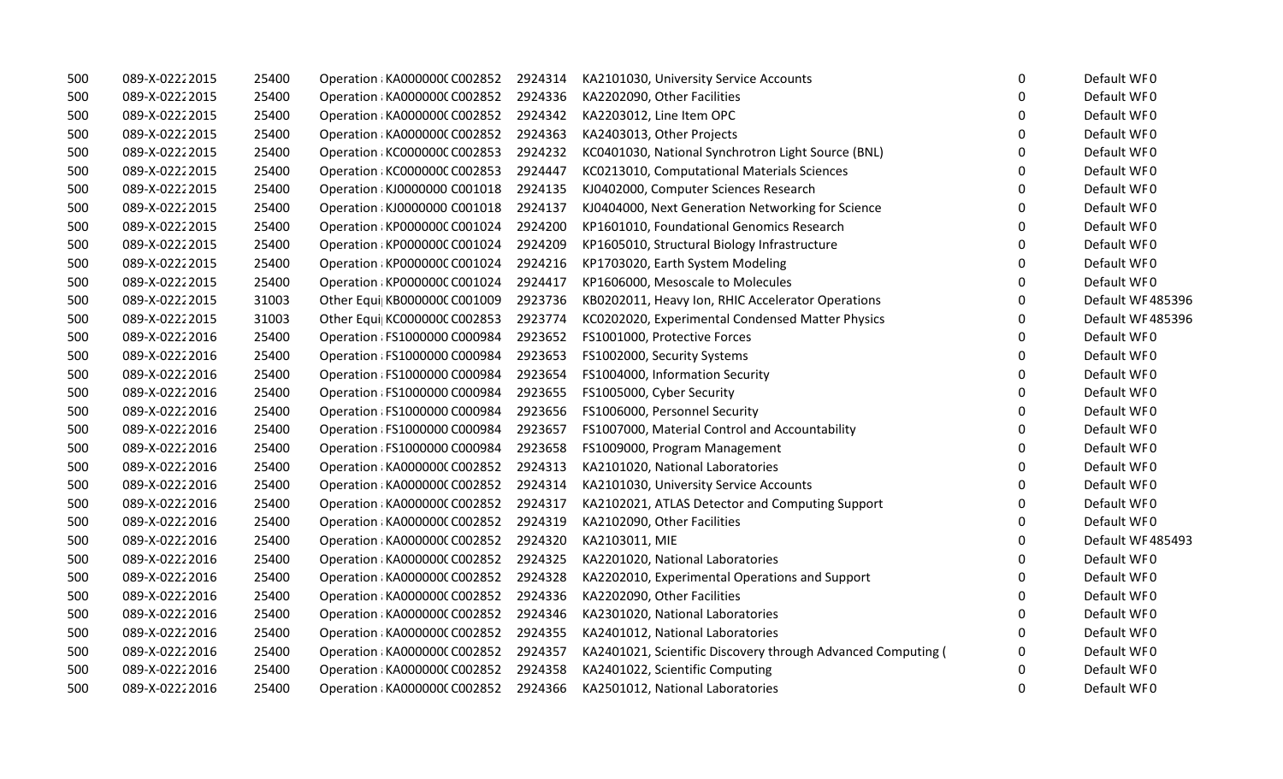| 500 | 089-X-02222015 | 25400 | Operation : KA0000000 C002852 | 2924314 | KA2101030, University Service Accounts                       | $\pmb{0}$   | Default WF0      |
|-----|----------------|-------|-------------------------------|---------|--------------------------------------------------------------|-------------|------------------|
| 500 | 089-X-02222015 | 25400 | Operation : KA0000000 C002852 | 2924336 | KA2202090, Other Facilities                                  | 0           | Default WF0      |
| 500 | 089-X-02222015 | 25400 | Operation : KA0000000 C002852 | 2924342 | KA2203012, Line Item OPC                                     | 0           | Default WF0      |
| 500 | 089-X-02222015 | 25400 | Operation : KA000000C C002852 | 2924363 | KA2403013, Other Projects                                    | 0           | Default WF0      |
| 500 | 089-X-02222015 | 25400 | Operation : KC000000C C002853 | 2924232 | KC0401030, National Synchrotron Light Source (BNL)           | $\mathbf 0$ | Default WF0      |
| 500 | 089-X-02222015 | 25400 | Operation : KC000000C C002853 | 2924447 | KC0213010, Computational Materials Sciences                  | $\mathbf 0$ | Default WF0      |
| 500 | 089-X-02222015 | 25400 | Operation : KJ0000000 C001018 | 2924135 | KJ0402000, Computer Sciences Research                        | 0           | Default WF0      |
| 500 | 089-X-02222015 | 25400 | Operation : KJ0000000 C001018 | 2924137 | KJ0404000, Next Generation Networking for Science            | 0           | Default WF0      |
| 500 | 089-X-02222015 | 25400 | Operation : KP000000C C001024 | 2924200 | KP1601010, Foundational Genomics Research                    | 0           | Default WF0      |
| 500 | 089-X-02222015 | 25400 | Operation : KP000000C C001024 | 2924209 | KP1605010, Structural Biology Infrastructure                 | 0           | Default WF0      |
| 500 | 089-X-02222015 | 25400 | Operation : KP000000C C001024 | 2924216 | KP1703020, Earth System Modeling                             | 0           | Default WF0      |
| 500 | 089-X-02222015 | 25400 | Operation : KP000000C C001024 | 2924417 | KP1606000, Mesoscale to Molecules                            | $\Omega$    | Default WF0      |
| 500 | 089-X-02222015 | 31003 | Other Equi KB000000C C001009  | 2923736 | KB0202011, Heavy Ion, RHIC Accelerator Operations            | $\mathbf 0$ | Default WF485396 |
| 500 | 089-X-02222015 | 31003 | Other Equi  KC000000C C002853 | 2923774 | KC0202020, Experimental Condensed Matter Physics             | 0           | Default WF485396 |
| 500 | 089-X-02222016 | 25400 | Operation : FS1000000 C000984 | 2923652 | FS1001000, Protective Forces                                 | $\mathbf 0$ | Default WF0      |
| 500 | 089-X-02222016 | 25400 | Operation : FS1000000 C000984 | 2923653 | FS1002000, Security Systems                                  | 0           | Default WF0      |
| 500 | 089-X-02222016 | 25400 | Operation : FS1000000 C000984 | 2923654 | FS1004000, Information Security                              | 0           | Default WF0      |
| 500 | 089-X-02222016 | 25400 | Operation : FS1000000 C000984 | 2923655 | FS1005000, Cyber Security                                    | $\Omega$    | Default WF0      |
| 500 | 089-X-02222016 | 25400 | Operation : FS1000000 C000984 | 2923656 | FS1006000, Personnel Security                                | $\Omega$    | Default WF0      |
| 500 | 089-X-02222016 | 25400 | Operation : FS1000000 C000984 | 2923657 | FS1007000, Material Control and Accountability               | $\mathbf 0$ | Default WF0      |
| 500 | 089-X-02222016 | 25400 | Operation : FS1000000 C000984 | 2923658 | FS1009000, Program Management                                | 0           | Default WF0      |
| 500 | 089-X-02222016 | 25400 | Operation : KA0000000 C002852 | 2924313 | KA2101020, National Laboratories                             | 0           | Default WF0      |
| 500 | 089-X-02222016 | 25400 | Operation : KA000000C C002852 | 2924314 | KA2101030, University Service Accounts                       | 0           | Default WF0      |
| 500 | 089-X-02222016 | 25400 | Operation : KA0000000 C002852 | 2924317 | KA2102021, ATLAS Detector and Computing Support              | 0           | Default WF0      |
| 500 | 089-X-02222016 | 25400 | Operation : KA0000000 C002852 | 2924319 | KA2102090, Other Facilities                                  | $\mathbf 0$ | Default WF0      |
| 500 | 089-X-02222016 | 25400 | Operation : KA0000000 C002852 | 2924320 | KA2103011, MIE                                               | 0           | Default WF485493 |
| 500 | 089-X-02222016 | 25400 | Operation : KA0000000 C002852 | 2924325 | KA2201020, National Laboratories                             | 0           | Default WF0      |
| 500 | 089-X-02222016 | 25400 | Operation : KA000000C C002852 | 2924328 | KA2202010, Experimental Operations and Support               | 0           | Default WF0      |
| 500 | 089-X-02222016 | 25400 | Operation : KA0000000 C002852 | 2924336 | KA2202090, Other Facilities                                  | 0           | Default WF0      |
| 500 | 089-X-02222016 | 25400 | Operation : KA0000000 C002852 | 2924346 | KA2301020, National Laboratories                             | $\mathbf 0$ | Default WF0      |
| 500 | 089-X-02222016 | 25400 | Operation : KA0000000 C002852 | 2924355 | KA2401012, National Laboratories                             | 0           | Default WF0      |
| 500 | 089-X-02222016 | 25400 | Operation : KA0000000 C002852 | 2924357 | KA2401021, Scientific Discovery through Advanced Computing ( | 0           | Default WF0      |
| 500 | 089-X-02222016 | 25400 | Operation : KA0000000 C002852 | 2924358 | KA2401022, Scientific Computing                              | 0           | Default WF0      |
| 500 | 089-X-02222016 | 25400 | Operation : KA000000C C002852 | 2924366 | KA2501012, National Laboratories                             | $\Omega$    | Default WF0      |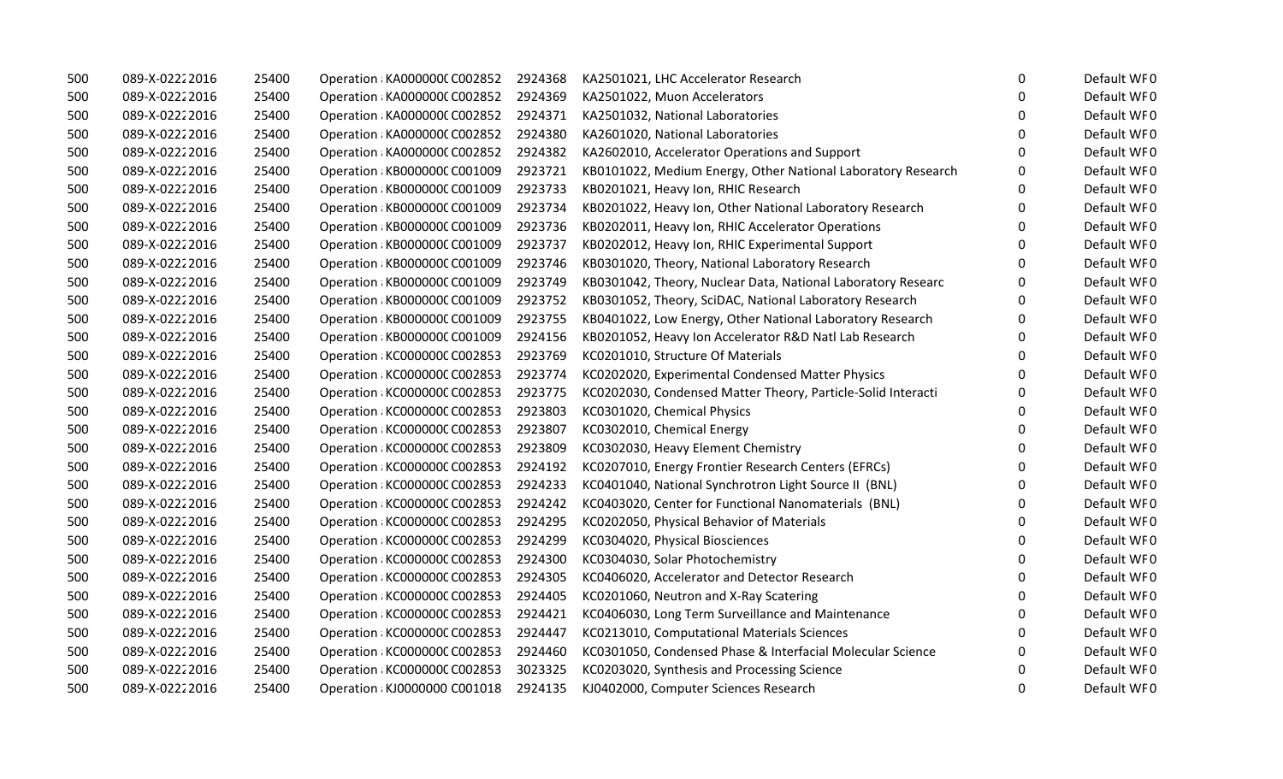| 500 | 089-X-02222016 | 25400 | Operation : KA0000000 C002852 | 2924368 | KA2501021, LHC Accelerator Research                          | 0        | Default WF0 |
|-----|----------------|-------|-------------------------------|---------|--------------------------------------------------------------|----------|-------------|
| 500 | 089-X-02222016 | 25400 | Operation : KA000000C C002852 | 2924369 | KA2501022, Muon Accelerators                                 | 0        | Default WF0 |
| 500 | 089-X-02222016 | 25400 | Operation : KA0000000 C002852 | 2924371 | KA2501032, National Laboratories                             | 0        | Default WF0 |
| 500 | 089-X-02222016 | 25400 | Operation : KA000000C C002852 | 2924380 | KA2601020, National Laboratories                             | 0        | Default WF0 |
| 500 | 089-X-02222016 | 25400 | Operation : KA000000C C002852 | 2924382 | KA2602010, Accelerator Operations and Support                | 0        | Default WF0 |
| 500 | 089-X-02222016 | 25400 | Operation : KB000000C C001009 | 2923721 | KB0101022, Medium Energy, Other National Laboratory Research | 0        | Default WF0 |
| 500 | 089-X-02222016 | 25400 | Operation : KB000000C C001009 | 2923733 | KB0201021, Heavy Ion, RHIC Research                          | 0        | Default WF0 |
| 500 | 089-X-02222016 | 25400 | Operation : KB000000C C001009 | 2923734 | KB0201022, Heavy Ion, Other National Laboratory Research     | 0        | Default WF0 |
| 500 | 089-X-02222016 | 25400 | Operation : KB000000C C001009 | 2923736 | KB0202011, Heavy Ion, RHIC Accelerator Operations            | 0        | Default WF0 |
| 500 | 089-X-02222016 | 25400 | Operation : KB000000C C001009 | 2923737 | KB0202012, Heavy Ion, RHIC Experimental Support              | 0        | Default WF0 |
| 500 | 089-X-02222016 | 25400 | Operation : KB000000C C001009 | 2923746 | KB0301020, Theory, National Laboratory Research              | 0        | Default WF0 |
| 500 | 089-X-02222016 | 25400 | Operation : KB000000C C001009 | 2923749 | KB0301042, Theory, Nuclear Data, National Laboratory Researc | $\Omega$ | Default WF0 |
| 500 | 089-X-02222016 | 25400 | Operation : KB000000C C001009 | 2923752 | KB0301052, Theory, SciDAC, National Laboratory Research      | 0        | Default WF0 |
| 500 | 089-X-02222016 | 25400 | Operation : KB000000C C001009 | 2923755 | KB0401022, Low Energy, Other National Laboratory Research    | $\Omega$ | Default WF0 |
| 500 | 089-X-02222016 | 25400 | Operation : KB000000C C001009 | 2924156 | KB0201052, Heavy Ion Accelerator R&D Natl Lab Research       | 0        | Default WF0 |
| 500 | 089-X-02222016 | 25400 | Operation : KC000000C C002853 | 2923769 | KC0201010, Structure Of Materials                            | 0        | Default WF0 |
| 500 | 089-X-02222016 | 25400 | Operation : KC000000C C002853 | 2923774 | KC0202020, Experimental Condensed Matter Physics             | 0        | Default WF0 |
| 500 | 089-X-02222016 | 25400 | Operation : KC000000C C002853 | 2923775 | KC0202030, Condensed Matter Theory, Particle-Solid Interacti | 0        | Default WF0 |
| 500 | 089-X-02222016 | 25400 | Operation : KC000000C C002853 | 2923803 | KC0301020, Chemical Physics                                  | 0        | Default WF0 |
| 500 | 089-X-02222016 | 25400 | Operation : KC000000C C002853 | 2923807 | KC0302010, Chemical Energy                                   | 0        | Default WF0 |
| 500 | 089-X-02222016 | 25400 | Operation : KC000000C C002853 | 2923809 | KC0302030, Heavy Element Chemistry                           | $\Omega$ | Default WF0 |
| 500 | 089-X-02222016 | 25400 | Operation : KC000000C C002853 | 2924192 | KC0207010, Energy Frontier Research Centers (EFRCs)          | $\Omega$ | Default WF0 |
| 500 | 089-X-02222016 | 25400 | Operation : KC000000C C002853 | 2924233 | KC0401040, National Synchrotron Light Source II (BNL)        | $\Omega$ | Default WF0 |
| 500 | 089-X-02222016 | 25400 | Operation : KC000000C C002853 | 2924242 | KC0403020, Center for Functional Nanomaterials (BNL)         | 0        | Default WF0 |
| 500 | 089-X-02222016 | 25400 | Operation : KC000000C C002853 | 2924295 | KC0202050, Physical Behavior of Materials                    | 0        | Default WF0 |
| 500 | 089-X-02222016 | 25400 | Operation : KC000000C C002853 | 2924299 | KC0304020, Physical Biosciences                              | $\Omega$ | Default WF0 |
| 500 | 089-X-02222016 | 25400 | Operation : KC000000C C002853 | 2924300 | KC0304030, Solar Photochemistry                              | $\Omega$ | Default WF0 |
| 500 | 089-X-02222016 | 25400 | Operation : KC000000C C002853 | 2924305 | KC0406020, Accelerator and Detector Research                 | 0        | Default WF0 |
| 500 | 089-X-02222016 | 25400 | Operation : KC000000C C002853 | 2924405 | KC0201060, Neutron and X-Ray Scatering                       | 0        | Default WF0 |
| 500 | 089-X-02222016 | 25400 | Operation : KC000000C C002853 | 2924421 | KC0406030, Long Term Surveillance and Maintenance            | 0        | Default WF0 |
| 500 | 089-X-02222016 | 25400 | Operation : KC000000C C002853 | 2924447 | KC0213010, Computational Materials Sciences                  | 0        | Default WF0 |
| 500 | 089-X-02222016 | 25400 | Operation : KC000000C C002853 | 2924460 | KC0301050, Condensed Phase & Interfacial Molecular Science   | 0        | Default WF0 |
| 500 | 089-X-02222016 | 25400 | Operation : KC000000C C002853 | 3023325 | KC0203020, Synthesis and Processing Science                  | 0        | Default WF0 |
| 500 | 089-X-02222016 | 25400 | Operation : KJ0000000 C001018 | 2924135 | KJ0402000, Computer Sciences Research                        | $\Omega$ | Default WF0 |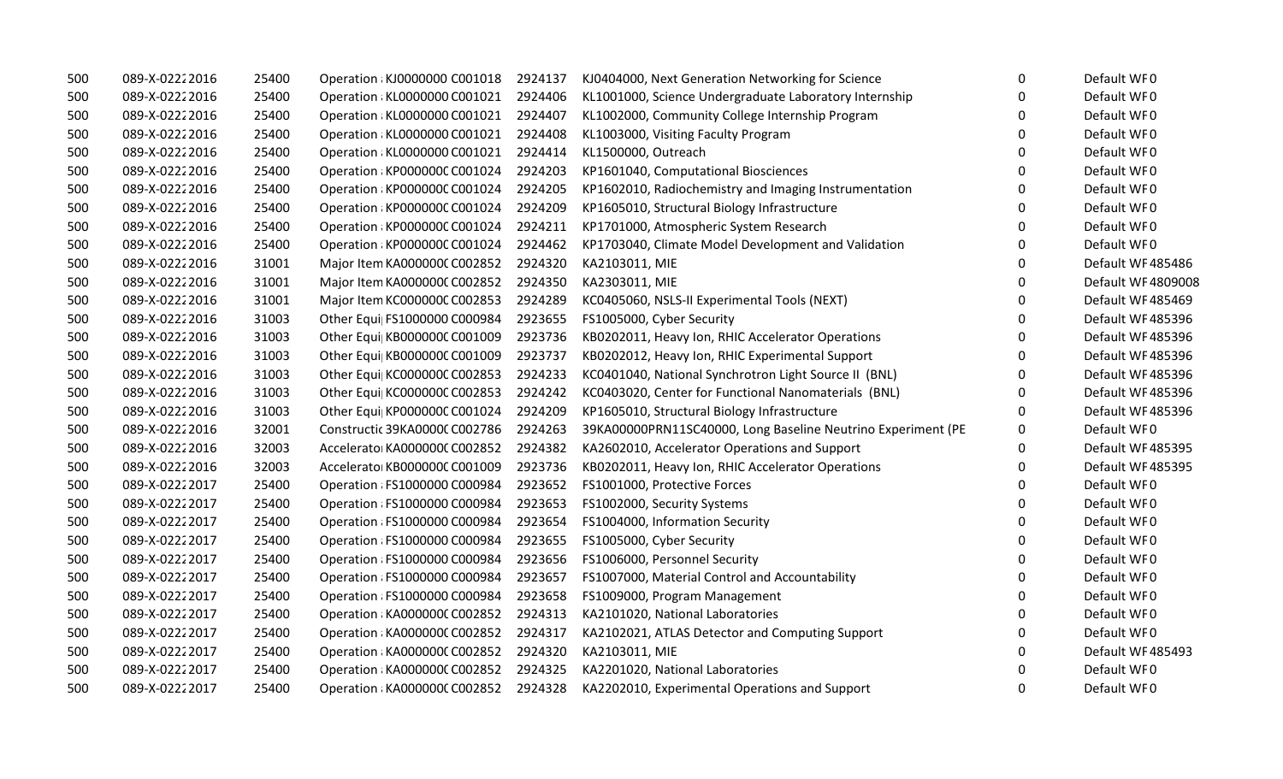| 500 | 089-X-02222016 | 25400 | Operation : KJ0000000 C001018 | 2924137 | KJ0404000, Next Generation Networking for Science            | 0            | Default WF0        |
|-----|----------------|-------|-------------------------------|---------|--------------------------------------------------------------|--------------|--------------------|
| 500 | 089-X-02222016 | 25400 | Operation : KL0000000 C001021 | 2924406 | KL1001000, Science Undergraduate Laboratory Internship       | 0            | Default WF0        |
| 500 | 089-X-02222016 | 25400 | Operation : KL0000000 C001021 | 2924407 | KL1002000, Community College Internship Program              | $\Omega$     | Default WF0        |
| 500 | 089-X-02222016 | 25400 | Operation : KL0000000 C001021 | 2924408 | KL1003000, Visiting Faculty Program                          | $\Omega$     | Default WF0        |
| 500 | 089-X-02222016 | 25400 | Operation : KL0000000 C001021 | 2924414 | KL1500000, Outreach                                          | $\Omega$     | Default WF0        |
| 500 | 089-X-02222016 | 25400 | Operation : KP000000C C001024 | 2924203 | KP1601040, Computational Biosciences                         | 0            | Default WF0        |
| 500 | 089-X-02222016 | 25400 | Operation : KP000000C C001024 | 2924205 | KP1602010, Radiochemistry and Imaging Instrumentation        | $\Omega$     | Default WF0        |
| 500 | 089-X-02222016 | 25400 | Operation : KP000000C C001024 | 2924209 | KP1605010, Structural Biology Infrastructure                 | $\Omega$     | Default WF0        |
| 500 | 089-X-02222016 | 25400 | Operation : KP000000C C001024 | 2924211 | KP1701000, Atmospheric System Research                       | $\mathbf 0$  | Default WF0        |
| 500 | 089-X-02222016 | 25400 | Operation : KP000000C C001024 | 2924462 | KP1703040, Climate Model Development and Validation          | $\mathbf 0$  | Default WF0        |
| 500 | 089-X-02222016 | 31001 | Major Item KA0000000 C002852  | 2924320 | KA2103011, MIE                                               | 0            | Default WF485486   |
| 500 | 089-X-02222016 | 31001 | Major Item KA000000C C002852  | 2924350 | KA2303011, MIE                                               | $\Omega$     | Default WF 4809008 |
| 500 | 089-X-02222016 | 31001 | Major Item KC000000C C002853  | 2924289 | KC0405060, NSLS-II Experimental Tools (NEXT)                 | $\Omega$     | Default WF485469   |
| 500 | 089-X-02222016 | 31003 | Other Equi  FS1000000 C000984 | 2923655 | FS1005000, Cyber Security                                    | $\Omega$     | Default WF485396   |
| 500 | 089-X-02222016 | 31003 | Other Equi  KB000000C C001009 | 2923736 | KB0202011, Heavy Ion, RHIC Accelerator Operations            | $\mathbf 0$  | Default WF485396   |
| 500 | 089-X-02222016 | 31003 | Other Equi KB000000C C001009  | 2923737 | KB0202012, Heavy Ion, RHIC Experimental Support              | 0            | Default WF485396   |
| 500 | 089-X-02222016 | 31003 | Other Equi  KC000000C C002853 | 2924233 | KC0401040, National Synchrotron Light Source II (BNL)        | 0            | Default WF485396   |
| 500 | 089-X-02222016 | 31003 | Other Equi  KC000000C C002853 | 2924242 | KC0403020, Center for Functional Nanomaterials (BNL)         | $\Omega$     | Default WF485396   |
| 500 | 089-X-02222016 | 31003 | Other Equi  KP000000C C001024 | 2924209 | KP1605010, Structural Biology Infrastructure                 | 0            | Default WF485396   |
| 500 | 089-X-02222016 | 32001 | Constructic 39KA0000C C002786 | 2924263 | 39KA00000PRN11SC40000, Long Baseline Neutrino Experiment (PE | $\mathbf 0$  | Default WF0        |
| 500 | 089-X-02222016 | 32003 | Accelerator KA0000000 C002852 | 2924382 | KA2602010, Accelerator Operations and Support                | 0            | Default WF485395   |
| 500 | 089-X-02222016 | 32003 | Accelerator KB000000C C001009 | 2923736 | KB0202011, Heavy Ion, RHIC Accelerator Operations            | $\Omega$     | Default WF485395   |
| 500 | 089-X-02222017 | 25400 | Operation : FS1000000 C000984 | 2923652 | FS1001000, Protective Forces                                 | $\Omega$     | Default WF0        |
| 500 | 089-X-02222017 | 25400 | Operation : FS1000000 C000984 | 2923653 | FS1002000, Security Systems                                  | $\Omega$     | Default WF0        |
| 500 | 089-X-02222017 | 25400 | Operation : FS1000000 C000984 | 2923654 | FS1004000, Information Security                              | $\mathbf 0$  | Default WF0        |
| 500 | 089-X-02222017 | 25400 | Operation : FS1000000 C000984 | 2923655 | FS1005000, Cyber Security                                    | $\Omega$     | Default WF0        |
| 500 | 089-X-02222017 | 25400 | Operation : FS1000000 C000984 | 2923656 | FS1006000, Personnel Security                                | $\Omega$     | Default WF0        |
| 500 | 089-X-02222017 | 25400 | Operation : FS1000000 C000984 | 2923657 | FS1007000, Material Control and Accountability               | $\Omega$     | Default WF0        |
| 500 | 089-X-02222017 | 25400 | Operation : FS1000000 C000984 | 2923658 | FS1009000, Program Management                                | $\Omega$     | Default WF0        |
| 500 | 089-X-02222017 | 25400 | Operation : KA000000C C002852 | 2924313 | KA2101020, National Laboratories                             | 0            | Default WF0        |
| 500 | 089-X-02222017 | 25400 | Operation : KA000000C C002852 | 2924317 | KA2102021, ATLAS Detector and Computing Support              | $\mathbf{0}$ | Default WF0        |
| 500 | 089-X-02222017 | 25400 | Operation : KA0000000 C002852 | 2924320 | KA2103011, MIE                                               | $\Omega$     | Default WF485493   |
| 500 | 089-X-02222017 | 25400 | Operation : KA000000C C002852 | 2924325 | KA2201020, National Laboratories                             | $\Omega$     | Default WF0        |
| 500 | 089-X-02222017 | 25400 | Operation : KA0000000 C002852 | 2924328 | KA2202010, Experimental Operations and Support               | $\Omega$     | Default WF0        |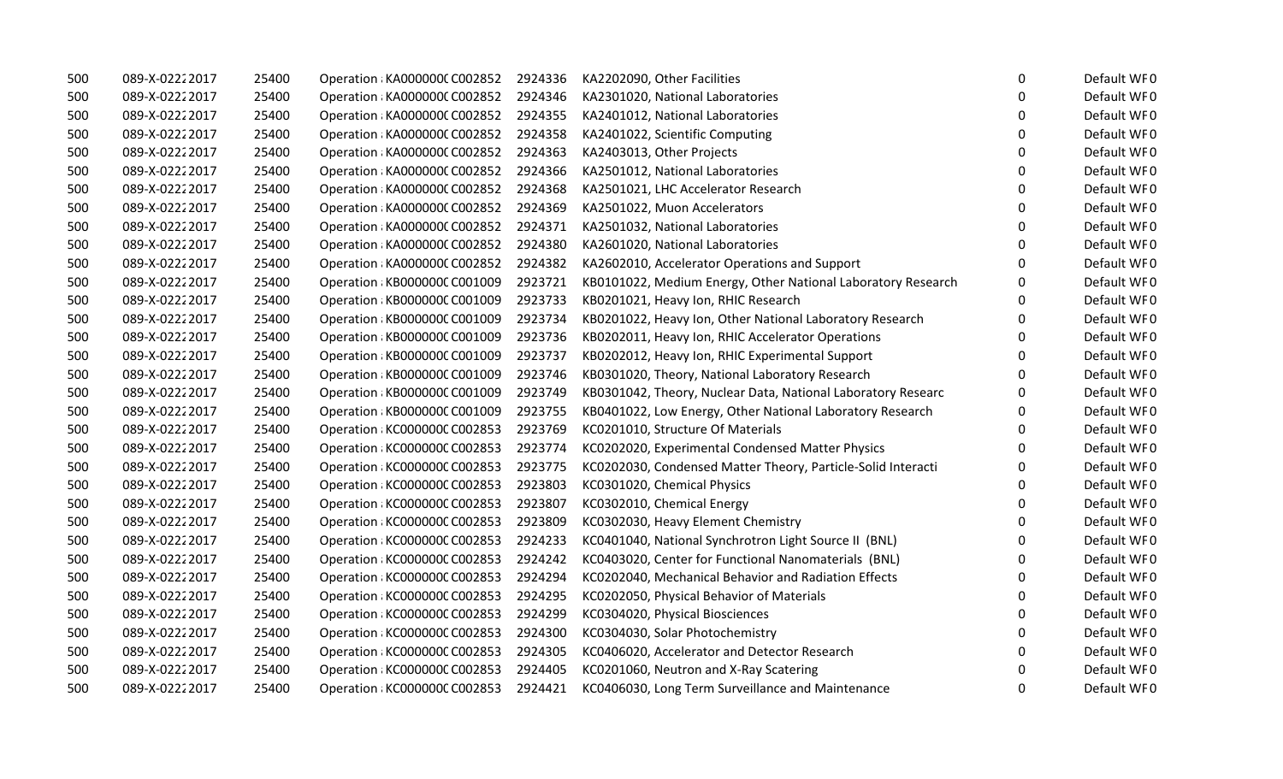| 500 | 089-X-02222017 | 25400 | Operation : KA0000000 C002852 | 2924336 | KA2202090, Other Facilities                                  | $\mathbf 0$      | Default WF0 |
|-----|----------------|-------|-------------------------------|---------|--------------------------------------------------------------|------------------|-------------|
| 500 | 089-X-02222017 | 25400 | Operation : KA000000C C002852 | 2924346 | KA2301020, National Laboratories                             | $\Omega$         | Default WF0 |
| 500 | 089-X-02222017 | 25400 | Operation : KA000000C C002852 | 2924355 | KA2401012, National Laboratories                             | $\Omega$         | Default WF0 |
| 500 | 089-X-02222017 | 25400 | Operation : KA0000000 C002852 | 2924358 | KA2401022, Scientific Computing                              | 0                | Default WF0 |
| 500 | 089-X-02222017 | 25400 | Operation : KA0000000 C002852 | 2924363 | KA2403013, Other Projects                                    | 0                | Default WF0 |
| 500 | 089-X-02222017 | 25400 | Operation : KA0000000 C002852 | 2924366 | KA2501012, National Laboratories                             | $\boldsymbol{0}$ | Default WF0 |
| 500 | 089-X-02222017 | 25400 | Operation : KA000000C C002852 | 2924368 | KA2501021, LHC Accelerator Research                          | 0                | Default WF0 |
| 500 | 089-X-02222017 | 25400 | Operation : KA000000C C002852 | 2924369 | KA2501022, Muon Accelerators                                 | $\Omega$         | Default WF0 |
| 500 | 089-X-02222017 | 25400 | Operation : KA000000C C002852 | 2924371 | KA2501032, National Laboratories                             | $\Omega$         | Default WF0 |
| 500 | 089-X-02222017 | 25400 | Operation : KA0000000 C002852 | 2924380 | KA2601020, National Laboratories                             | 0                | Default WF0 |
| 500 | 089-X-02222017 | 25400 | Operation : KA000000C C002852 | 2924382 | KA2602010, Accelerator Operations and Support                | 0                | Default WF0 |
| 500 | 089-X-02222017 | 25400 | Operation : KB000000C C001009 | 2923721 | KB0101022, Medium Energy, Other National Laboratory Research | 0                | Default WF0 |
| 500 | 089-X-02222017 | 25400 | Operation : KB000000C C001009 | 2923733 | KB0201021, Heavy Ion, RHIC Research                          | $\Omega$         | Default WF0 |
| 500 | 089-X-02222017 | 25400 | Operation : KB000000C C001009 | 2923734 | KB0201022, Heavy Ion, Other National Laboratory Research     | $\Omega$         | Default WF0 |
| 500 | 089-X-02222017 | 25400 | Operation : KB000000C C001009 | 2923736 | KB0202011, Heavy Ion, RHIC Accelerator Operations            | 0                | Default WF0 |
| 500 | 089-X-02222017 | 25400 | Operation : KB000000C C001009 | 2923737 | KB0202012, Heavy Ion, RHIC Experimental Support              | 0                | Default WF0 |
| 500 | 089-X-02222017 | 25400 | Operation : KB000000C C001009 | 2923746 | KB0301020, Theory, National Laboratory Research              | 0                | Default WF0 |
| 500 | 089-X-02222017 | 25400 | Operation : KB000000C C001009 | 2923749 | KB0301042, Theory, Nuclear Data, National Laboratory Researc | 0                | Default WF0 |
| 500 | 089-X-02222017 | 25400 | Operation : KB000000C C001009 | 2923755 | KB0401022, Low Energy, Other National Laboratory Research    | $\pmb{0}$        | Default WF0 |
| 500 | 089-X-02222017 | 25400 | Operation : KC000000C C002853 | 2923769 | KC0201010, Structure Of Materials                            | 0                | Default WF0 |
| 500 | 089-X-02222017 | 25400 | Operation : KC000000C C002853 | 2923774 | KC0202020, Experimental Condensed Matter Physics             | 0                | Default WF0 |
| 500 | 089-X-02222017 | 25400 | Operation : KC000000C C002853 | 2923775 | KC0202030, Condensed Matter Theory, Particle-Solid Interacti | 0                | Default WF0 |
| 500 | 089-X-02222017 | 25400 | Operation : KC000000C C002853 | 2923803 | KC0301020, Chemical Physics                                  | $\Omega$         | Default WF0 |
| 500 | 089-X-02222017 | 25400 | Operation : KC000000C C002853 | 2923807 | KC0302010, Chemical Energy                                   | 0                | Default WF0 |
| 500 | 089-X-02222017 | 25400 | Operation : KC000000C C002853 | 2923809 | KC0302030, Heavy Element Chemistry                           | 0                | Default WF0 |
| 500 | 089-X-02222017 | 25400 | Operation : KC000000C C002853 | 2924233 | KC0401040, National Synchrotron Light Source II (BNL)        | 0                | Default WF0 |
| 500 | 089-X-02222017 | 25400 | Operation : KC000000C C002853 | 2924242 | KC0403020, Center for Functional Nanomaterials (BNL)         | 0                | Default WF0 |
| 500 | 089-X-02222017 | 25400 | Operation : KC000000C C002853 | 2924294 | KC0202040, Mechanical Behavior and Radiation Effects         | $\mathbf 0$      | Default WF0 |
| 500 | 089-X-02222017 | 25400 | Operation : KC000000C C002853 | 2924295 | KC0202050, Physical Behavior of Materials                    | $\boldsymbol{0}$ | Default WF0 |
| 500 | 089-X-02222017 | 25400 | Operation : KC000000C C002853 | 2924299 | KC0304020, Physical Biosciences                              | $\pmb{0}$        | Default WF0 |
| 500 | 089-X-02222017 | 25400 | Operation : KC000000C C002853 | 2924300 | KC0304030, Solar Photochemistry                              | 0                | Default WF0 |
| 500 | 089-X-02222017 | 25400 | Operation : KC000000C C002853 | 2924305 | KC0406020, Accelerator and Detector Research                 | $\Omega$         | Default WF0 |
| 500 | 089-X-02222017 | 25400 | Operation : KC000000C C002853 | 2924405 | KC0201060, Neutron and X-Ray Scatering                       | $\Omega$         | Default WF0 |
| 500 | 089-X-02222017 | 25400 | Operation : KC000000C C002853 | 2924421 | KC0406030, Long Term Surveillance and Maintenance            | $\Omega$         | Default WF0 |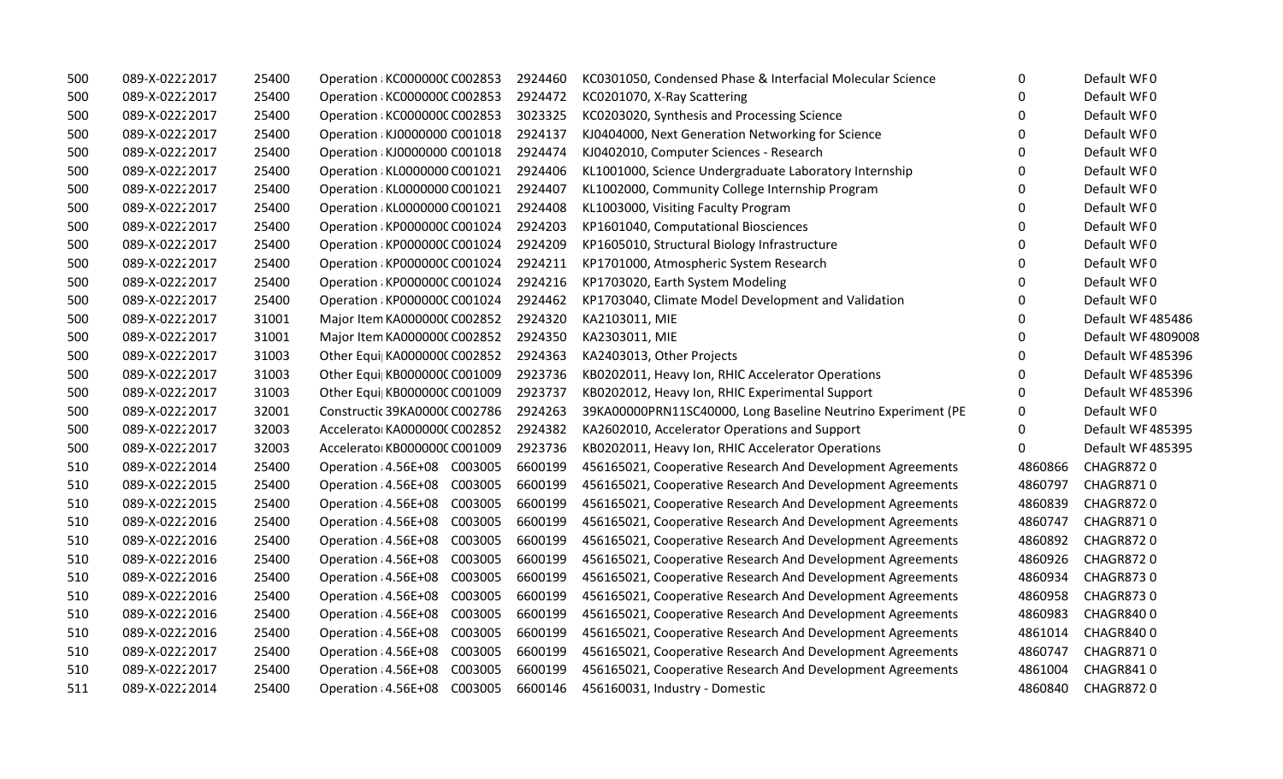| 500 | 089-X-02222017 | 25400 | Operation : KC000000C C002853   | 2924460 | KC0301050, Condensed Phase & Interfacial Molecular Science   | 0           | Default WF0       |
|-----|----------------|-------|---------------------------------|---------|--------------------------------------------------------------|-------------|-------------------|
| 500 | 089-X-02222017 | 25400 | Operation : KC000000C C002853   | 2924472 | KC0201070, X-Ray Scattering                                  | $\Omega$    | Default WF0       |
| 500 | 089-X-02222017 | 25400 | Operation : KC000000C C002853   | 3023325 | KC0203020, Synthesis and Processing Science                  | $\mathbf 0$ | Default WF0       |
| 500 | 089-X-02222017 | 25400 | Operation : KJ0000000 C001018   | 2924137 | KJ0404000, Next Generation Networking for Science            | $\Omega$    | Default WF0       |
| 500 | 089-X-02222017 | 25400 | Operation : KJ0000000 C001018   | 2924474 | KJ0402010, Computer Sciences - Research                      | 0           | Default WF0       |
| 500 | 089-X-02222017 | 25400 | Operation : KL0000000 C001021   | 2924406 | KL1001000, Science Undergraduate Laboratory Internship       | 0           | Default WF0       |
| 500 | 089-X-02222017 | 25400 | Operation : KL0000000 C001021   | 2924407 | KL1002000, Community College Internship Program              | 0           | Default WF0       |
| 500 | 089-X-02222017 | 25400 | Operation : KL0000000 C001021   | 2924408 | KL1003000, Visiting Faculty Program                          | $\mathbf 0$ | Default WF0       |
| 500 | 089-X-02222017 | 25400 | Operation : KP000000C C001024   | 2924203 | KP1601040, Computational Biosciences                         | $\mathbf 0$ | Default WF0       |
| 500 | 089-X-02222017 | 25400 | Operation : KP000000C C001024   | 2924209 | KP1605010, Structural Biology Infrastructure                 | $\mathbf 0$ | Default WF0       |
| 500 | 089-X-02222017 | 25400 | Operation : KP000000C C001024   | 2924211 | KP1701000, Atmospheric System Research                       | 0           | Default WF0       |
| 500 | 089-X-02222017 | 25400 | Operation : KP000000C C001024   | 2924216 | KP1703020, Earth System Modeling                             | $\Omega$    | Default WF0       |
| 500 | 089-X-02222017 | 25400 | Operation : KP000000C C001024   | 2924462 | KP1703040, Climate Model Development and Validation          | $\Omega$    | Default WF0       |
| 500 | 089-X-02222017 | 31001 | Major Item KA0000000 C002852    | 2924320 | KA2103011, MIE                                               | $\Omega$    | Default WF485486  |
| 500 | 089-X-02222017 | 31001 | Major Item KA0000000 C002852    | 2924350 | KA2303011, MIE                                               | 0           | Default WF4809008 |
| 500 | 089-X-02222017 | 31003 | Other Equi  KA000000C C002852   | 2924363 | KA2403013, Other Projects                                    | 0           | Default WF485396  |
| 500 | 089-X-02222017 | 31003 | Other Equi KB000000C C001009    | 2923736 | KB0202011, Heavy Ion, RHIC Accelerator Operations            | $\Omega$    | Default WF485396  |
| 500 | 089-X-02222017 | 31003 | Other Equi KB000000C C001009    | 2923737 | KB0202012, Heavy Ion, RHIC Experimental Support              | 0           | Default WF485396  |
| 500 | 089-X-02222017 | 32001 | Constructic 39KA0000C C002786   | 2924263 | 39KA00000PRN11SC40000, Long Baseline Neutrino Experiment (PE | $\mathbf 0$ | Default WF0       |
| 500 | 089-X-02222017 | 32003 | Accelerator KA0000000 C002852   | 2924382 | KA2602010, Accelerator Operations and Support                | $\mathbf 0$ | Default WF485395  |
| 500 | 089-X-02222017 | 32003 | Accelerator KB000000C C001009   | 2923736 | KB0202011, Heavy Ion, RHIC Accelerator Operations            | 0           | Default WF485395  |
| 510 | 089-X-02222014 | 25400 | Operation : 4.56E+08 C003005    | 6600199 | 456165021, Cooperative Research And Development Agreements   | 4860866     | CHAGR8720         |
| 510 | 089-X-02222015 | 25400 | Operation : 4.56E+08 C003005    | 6600199 | 456165021, Cooperative Research And Development Agreements   | 4860797     | <b>CHAGR8710</b>  |
| 510 | 089-X-02222015 | 25400 | Operation : 4.56E+08 C003005    | 6600199 | 456165021, Cooperative Research And Development Agreements   | 4860839     | CHAGR8720         |
| 510 | 089-X-02222016 | 25400 | Operation : 4.56E+08 C003005    | 6600199 | 456165021, Cooperative Research And Development Agreements   | 4860747     | <b>CHAGR8710</b>  |
| 510 | 089-X-02222016 | 25400 | Operation : 4.56E+08<br>C003005 | 6600199 | 456165021, Cooperative Research And Development Agreements   | 4860892     | <b>CHAGR8720</b>  |
| 510 | 089-X-02222016 | 25400 | C003005<br>Operation : 4.56E+08 | 6600199 | 456165021, Cooperative Research And Development Agreements   | 4860926     | <b>CHAGR8720</b>  |
| 510 | 089-X-02222016 | 25400 | Operation : 4.56E+08<br>C003005 | 6600199 | 456165021, Cooperative Research And Development Agreements   | 4860934     | <b>CHAGR8730</b>  |
| 510 | 089-X-02222016 | 25400 | C003005<br>Operation : 4.56E+08 | 6600199 | 456165021, Cooperative Research And Development Agreements   | 4860958     | <b>CHAGR8730</b>  |
| 510 | 089-X-02222016 | 25400 | C003005<br>Operation : 4.56E+08 | 6600199 | 456165021, Cooperative Research And Development Agreements   | 4860983     | <b>CHAGR8400</b>  |
| 510 | 089-X-02222016 | 25400 | C003005<br>Operation : 4.56E+08 | 6600199 | 456165021, Cooperative Research And Development Agreements   | 4861014     | CHAGR8400         |
| 510 | 089-X-02222017 | 25400 | Operation : 4.56E+08<br>C003005 | 6600199 | 456165021, Cooperative Research And Development Agreements   | 4860747     | <b>CHAGR8710</b>  |
| 510 | 089-X-02222017 | 25400 | Operation : 4.56E+08<br>C003005 | 6600199 | 456165021, Cooperative Research And Development Agreements   | 4861004     | <b>CHAGR8410</b>  |
| 511 | 089-X-02222014 | 25400 | Operation : 4.56E+08 C003005    | 6600146 | 456160031, Industry - Domestic                               | 4860840     | <b>CHAGR8720</b>  |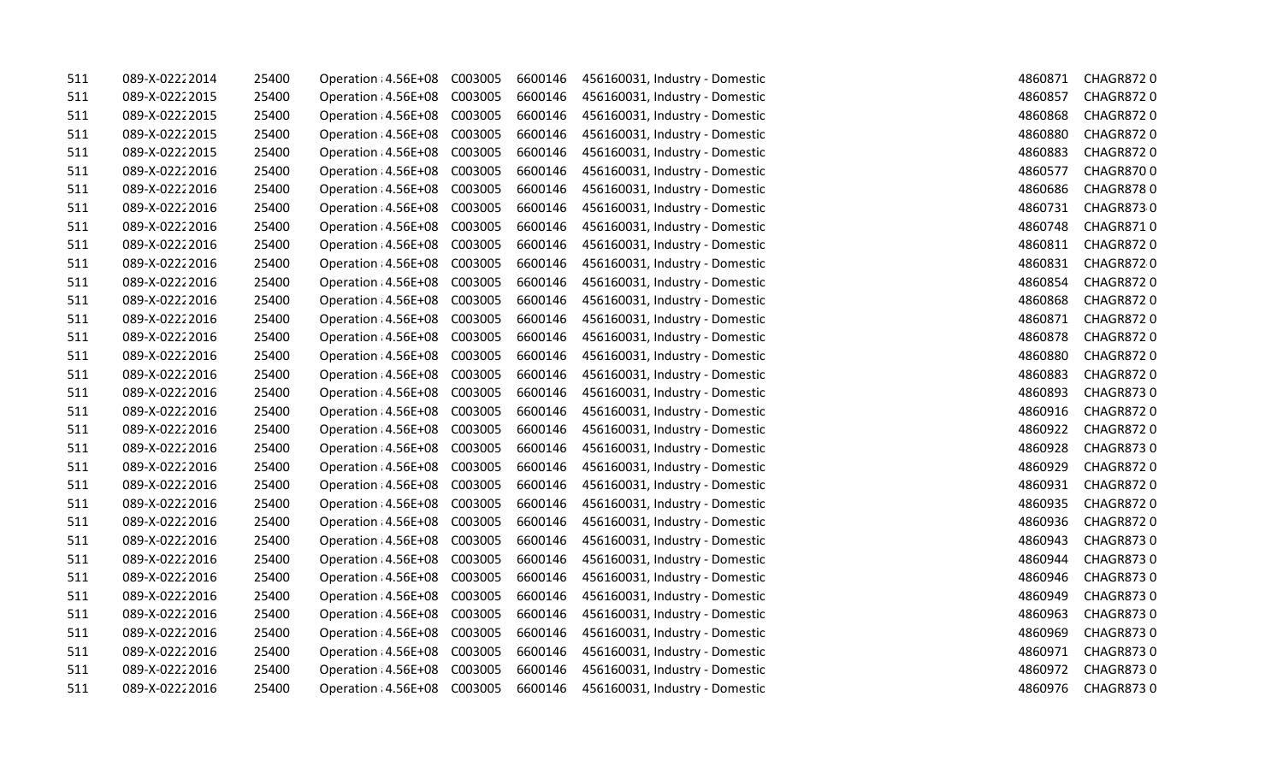| 511 | 089-X-02222014 | 25400 | Operation : 4.56E+08         | C003005 | 6600146 | 456160031, Industry - Domestic | 4860871 | <b>CHAGR8720</b> |
|-----|----------------|-------|------------------------------|---------|---------|--------------------------------|---------|------------------|
| 511 | 089-X-02222015 | 25400 | Operation : 4.56E+08         | C003005 | 6600146 | 456160031, Industry - Domestic | 4860857 | CHAGR8720        |
| 511 | 089-X-02222015 | 25400 | Operation : 4.56E+08 C003005 |         | 6600146 | 456160031, Industry - Domestic | 4860868 | <b>CHAGR8720</b> |
| 511 | 089-X-02222015 | 25400 | Operation : 4.56E+08         | C003005 | 6600146 | 456160031, Industry - Domestic | 4860880 | <b>CHAGR8720</b> |
| 511 | 089-X-02222015 | 25400 | Operation : 4.56E+08         | C003005 | 6600146 | 456160031, Industry - Domestic | 4860883 | <b>CHAGR8720</b> |
| 511 | 089-X-02222016 | 25400 | Operation : 4.56E+08         | C003005 | 6600146 | 456160031, Industry - Domestic | 4860577 | CHAGR8700        |
| 511 | 089-X-02222016 | 25400 | Operation : 4.56E+08         | C003005 | 6600146 | 456160031, Industry - Domestic | 4860686 | CHAGR8780        |
| 511 | 089-X-02222016 | 25400 | Operation : 4.56E+08         | C003005 | 6600146 | 456160031, Industry - Domestic | 4860731 | CHAGR8730        |
| 511 | 089-X-02222016 | 25400 | Operation : 4.56E+08         | C003005 | 6600146 | 456160031, Industry - Domestic | 4860748 | <b>CHAGR8710</b> |
| 511 | 089-X-02222016 | 25400 | Operation : 4.56E+08         | C003005 | 6600146 | 456160031, Industry - Domestic | 4860811 | <b>CHAGR8720</b> |
| 511 | 089-X-02222016 | 25400 | Operation : 4.56E+08         | C003005 | 6600146 | 456160031, Industry - Domestic | 4860831 | CHAGR8720        |
| 511 | 089-X-02222016 | 25400 | Operation : 4.56E+08         | C003005 | 6600146 | 456160031, Industry - Domestic | 4860854 | <b>CHAGR8720</b> |
| 511 | 089-X-02222016 | 25400 | Operation : 4.56E+08         | C003005 | 6600146 | 456160031, Industry - Domestic | 4860868 | <b>CHAGR8720</b> |
| 511 | 089-X-02222016 | 25400 | Operation : 4.56E+08         | C003005 | 6600146 | 456160031, Industry - Domestic | 4860871 | CHAGR8720        |
| 511 | 089-X-02222016 | 25400 | Operation : 4.56E+08         | C003005 | 6600146 | 456160031, Industry - Domestic | 4860878 | CHAGR8720        |
| 511 | 089-X-02222016 | 25400 | Operation : 4.56E+08         | C003005 | 6600146 | 456160031, Industry - Domestic | 4860880 | <b>CHAGR8720</b> |
| 511 | 089-X-02222016 | 25400 | Operation : 4.56E+08         | C003005 | 6600146 | 456160031, Industry - Domestic | 4860883 | <b>CHAGR8720</b> |
| 511 | 089-X-02222016 | 25400 | Operation : 4.56E+08         | C003005 | 6600146 | 456160031, Industry - Domestic | 4860893 | CHAGR8730        |
| 511 | 089-X-02222016 | 25400 | Operation : 4.56E+08         | C003005 | 6600146 | 456160031, Industry - Domestic | 4860916 | <b>CHAGR8720</b> |
| 511 | 089-X-02222016 | 25400 | Operation : 4.56E+08         | C003005 | 6600146 | 456160031, Industry - Domestic | 4860922 | CHAGR8720        |
| 511 | 089-X-02222016 | 25400 | Operation : 4.56E+08         | C003005 | 6600146 | 456160031, Industry - Domestic | 4860928 | <b>CHAGR8730</b> |
| 511 | 089-X-02222016 | 25400 | Operation : 4.56E+08         | C003005 | 6600146 | 456160031, Industry - Domestic | 4860929 | <b>CHAGR8720</b> |
| 511 | 089-X-02222016 | 25400 | Operation : 4.56E+08         | C003005 | 6600146 | 456160031, Industry - Domestic | 4860931 | CHAGR8720        |
| 511 | 089-X-02222016 | 25400 | Operation : 4.56E+08         | C003005 | 6600146 | 456160031, Industry - Domestic | 4860935 | <b>CHAGR8720</b> |
| 511 | 089-X-02222016 | 25400 | Operation : 4.56E+08         | C003005 | 6600146 | 456160031, Industry - Domestic | 4860936 | CHAGR8720        |
| 511 | 089-X-02222016 | 25400 | Operation : 4.56E+08         | C003005 | 6600146 | 456160031, Industry - Domestic | 4860943 | <b>CHAGR8730</b> |
| 511 | 089-X-02222016 | 25400 | Operation : 4.56E+08         | C003005 | 6600146 | 456160031, Industry - Domestic | 4860944 | <b>CHAGR8730</b> |
| 511 | 089-X-02222016 | 25400 | Operation : 4.56E+08         | C003005 | 6600146 | 456160031, Industry - Domestic | 4860946 | <b>CHAGR8730</b> |
| 511 | 089-X-02222016 | 25400 | Operation : 4.56E+08         | C003005 | 6600146 | 456160031, Industry - Domestic | 4860949 | <b>CHAGR8730</b> |
| 511 | 089-X-02222016 | 25400 | Operation : 4.56E+08         | C003005 | 6600146 | 456160031, Industry - Domestic | 4860963 | <b>CHAGR8730</b> |
| 511 | 089-X-02222016 | 25400 | Operation : 4.56E+08         | C003005 | 6600146 | 456160031, Industry - Domestic | 4860969 | CHAGR8730        |
| 511 | 089-X-02222016 | 25400 | Operation : 4.56E+08         | C003005 | 6600146 | 456160031, Industry - Domestic | 4860971 | <b>CHAGR8730</b> |
| 511 | 089-X-02222016 | 25400 | Operation : 4.56E+08         | C003005 | 6600146 | 456160031, Industry - Domestic | 4860972 | CHAGR8730        |
| 511 | 089-X-02222016 | 25400 | Operation : 4.56E+08 C003005 |         | 6600146 | 456160031, Industry - Domestic | 4860976 | <b>CHAGR8730</b> |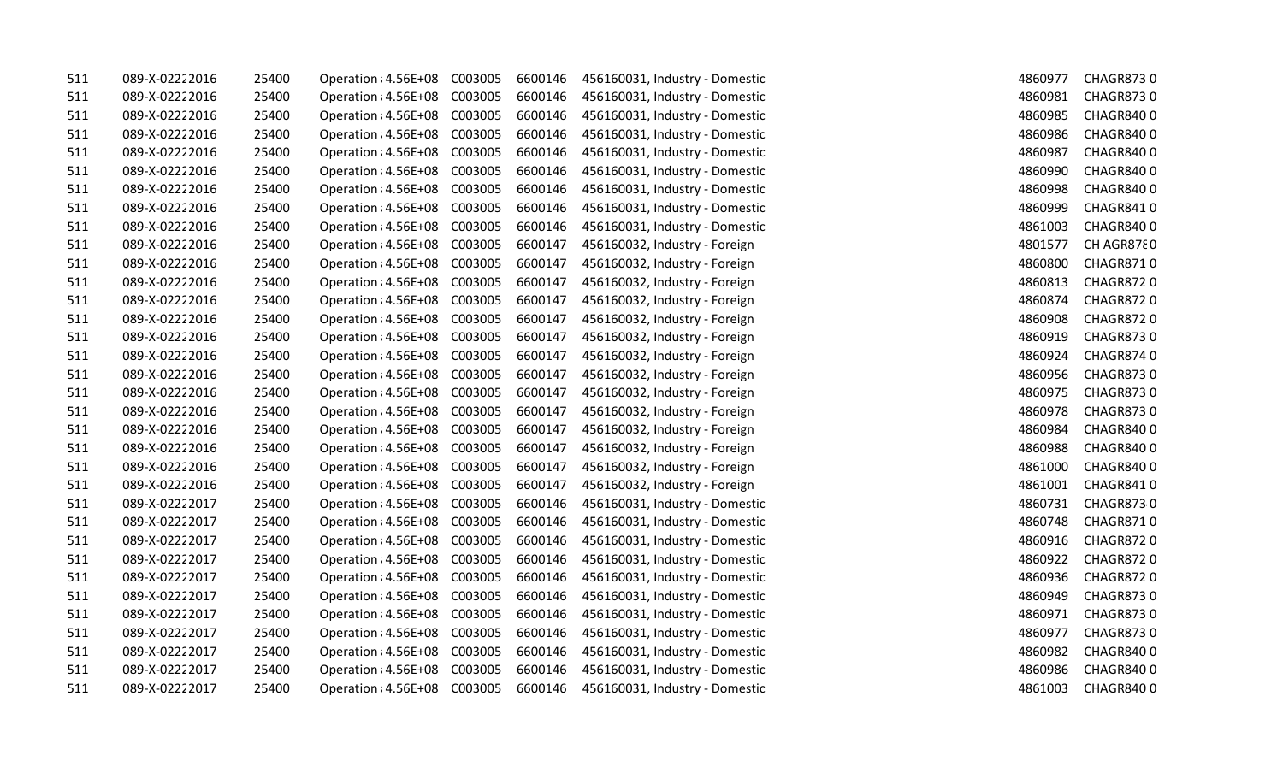| 511 | 089-X-02222016 | 25400 | Operation : 4.56E+08         | C003005 | 6600146 | 456160031, Industry - Domestic | 4860977 | <b>CHAGR8730</b> |
|-----|----------------|-------|------------------------------|---------|---------|--------------------------------|---------|------------------|
| 511 | 089-X-02222016 | 25400 | Operation : 4.56E+08         | C003005 | 6600146 | 456160031, Industry - Domestic | 4860981 | <b>CHAGR8730</b> |
| 511 | 089-X-02222016 | 25400 | Operation : 4.56E+08 C003005 |         | 6600146 | 456160031, Industry - Domestic | 4860985 | <b>CHAGR8400</b> |
| 511 | 089-X-02222016 | 25400 | Operation : 4.56E+08         | C003005 | 6600146 | 456160031, Industry - Domestic | 4860986 | <b>CHAGR8400</b> |
| 511 | 089-X-02222016 | 25400 | Operation : 4.56E+08         | C003005 | 6600146 | 456160031, Industry - Domestic | 4860987 | <b>CHAGR8400</b> |
| 511 | 089-X-02222016 | 25400 | Operation : 4.56E+08         | C003005 | 6600146 | 456160031, Industry - Domestic | 4860990 | CHAGR8400        |
| 511 | 089-X-02222016 | 25400 | Operation : 4.56E+08         | C003005 | 6600146 | 456160031, Industry - Domestic | 4860998 | CHAGR8400        |
| 511 | 089-X-02222016 | 25400 | Operation : 4.56E+08         | C003005 | 6600146 | 456160031, Industry - Domestic | 4860999 | CHAGR8410        |
| 511 | 089-X-02222016 | 25400 | Operation : 4.56E+08         | C003005 | 6600146 | 456160031, Industry - Domestic | 4861003 | <b>CHAGR8400</b> |
| 511 | 089-X-02222016 | 25400 | Operation : 4.56E+08         | C003005 | 6600147 | 456160032, Industry - Foreign  | 4801577 | CH AGR8780       |
| 511 | 089-X-02222016 | 25400 | Operation : 4.56E+08         | C003005 | 6600147 | 456160032, Industry - Foreign  | 4860800 | CHAGR8710        |
| 511 | 089-X-02222016 | 25400 | Operation : 4.56E+08         | C003005 | 6600147 | 456160032, Industry - Foreign  | 4860813 | <b>CHAGR8720</b> |
| 511 | 089-X-02222016 | 25400 | Operation : 4.56E+08         | C003005 | 6600147 | 456160032, Industry - Foreign  | 4860874 | <b>CHAGR8720</b> |
| 511 | 089-X-02222016 | 25400 | Operation : 4.56E+08         | C003005 | 6600147 | 456160032, Industry - Foreign  | 4860908 | CHAGR8720        |
| 511 | 089-X-02222016 | 25400 | Operation : 4.56E+08         | C003005 | 6600147 | 456160032, Industry - Foreign  | 4860919 | <b>CHAGR8730</b> |
| 511 | 089-X-02222016 | 25400 | Operation : 4.56E+08         | C003005 | 6600147 | 456160032, Industry - Foreign  | 4860924 | <b>CHAGR8740</b> |
| 511 | 089-X-02222016 | 25400 | Operation : 4.56E+08         | C003005 | 6600147 | 456160032, Industry - Foreign  | 4860956 | <b>CHAGR8730</b> |
| 511 | 089-X-02222016 | 25400 | Operation : 4.56E+08         | C003005 | 6600147 | 456160032, Industry - Foreign  | 4860975 | <b>CHAGR8730</b> |
| 511 | 089-X-02222016 | 25400 | Operation : 4.56E+08         | C003005 | 6600147 | 456160032, Industry - Foreign  | 4860978 | <b>CHAGR8730</b> |
| 511 | 089-X-02222016 | 25400 | Operation : 4.56E+08         | C003005 | 6600147 | 456160032, Industry - Foreign  | 4860984 | <b>CHAGR8400</b> |
| 511 | 089-X-02222016 | 25400 | Operation : 4.56E+08         | C003005 | 6600147 | 456160032, Industry - Foreign  | 4860988 | <b>CHAGR8400</b> |
| 511 | 089-X-02222016 | 25400 | Operation : 4.56E+08         | C003005 | 6600147 | 456160032, Industry - Foreign  | 4861000 | <b>CHAGR8400</b> |
| 511 | 089-X-02222016 | 25400 | Operation : 4.56E+08         | C003005 | 6600147 | 456160032, Industry - Foreign  | 4861001 | <b>CHAGR8410</b> |
| 511 | 089-X-02222017 | 25400 | Operation : 4.56E+08         | C003005 | 6600146 | 456160031, Industry - Domestic | 4860731 | <b>CHAGR8730</b> |
| 511 | 089-X-02222017 | 25400 | Operation : 4.56E+08         | C003005 | 6600146 | 456160031, Industry - Domestic | 4860748 | <b>CHAGR8710</b> |
| 511 | 089-X-02222017 | 25400 | Operation : 4.56E+08         | C003005 | 6600146 | 456160031, Industry - Domestic | 4860916 | <b>CHAGR8720</b> |
| 511 | 089-X-02222017 | 25400 | Operation : 4.56E+08         | C003005 | 6600146 | 456160031, Industry - Domestic | 4860922 | <b>CHAGR8720</b> |
| 511 | 089-X-02222017 | 25400 | Operation : 4.56E+08         | C003005 | 6600146 | 456160031, Industry - Domestic | 4860936 | <b>CHAGR8720</b> |
| 511 | 089-X-02222017 | 25400 | Operation : 4.56E+08         | C003005 | 6600146 | 456160031, Industry - Domestic | 4860949 | <b>CHAGR8730</b> |
| 511 | 089-X-02222017 | 25400 | Operation : 4.56E+08         | C003005 | 6600146 | 456160031, Industry - Domestic | 4860971 | <b>CHAGR8730</b> |
| 511 | 089-X-02222017 | 25400 | Operation : 4.56E+08         | C003005 | 6600146 | 456160031, Industry - Domestic | 4860977 | <b>CHAGR8730</b> |
| 511 | 089-X-02222017 | 25400 | Operation : 4.56E+08         | C003005 | 6600146 | 456160031, Industry - Domestic | 4860982 | <b>CHAGR8400</b> |
| 511 | 089-X-02222017 | 25400 | Operation : 4.56E+08         | C003005 | 6600146 | 456160031, Industry - Domestic | 4860986 | CHAGR8400        |
| 511 | 089-X-02222017 | 25400 | Operation : 4.56E+08         | C003005 | 6600146 | 456160031, Industry - Domestic | 4861003 | <b>CHAGR8400</b> |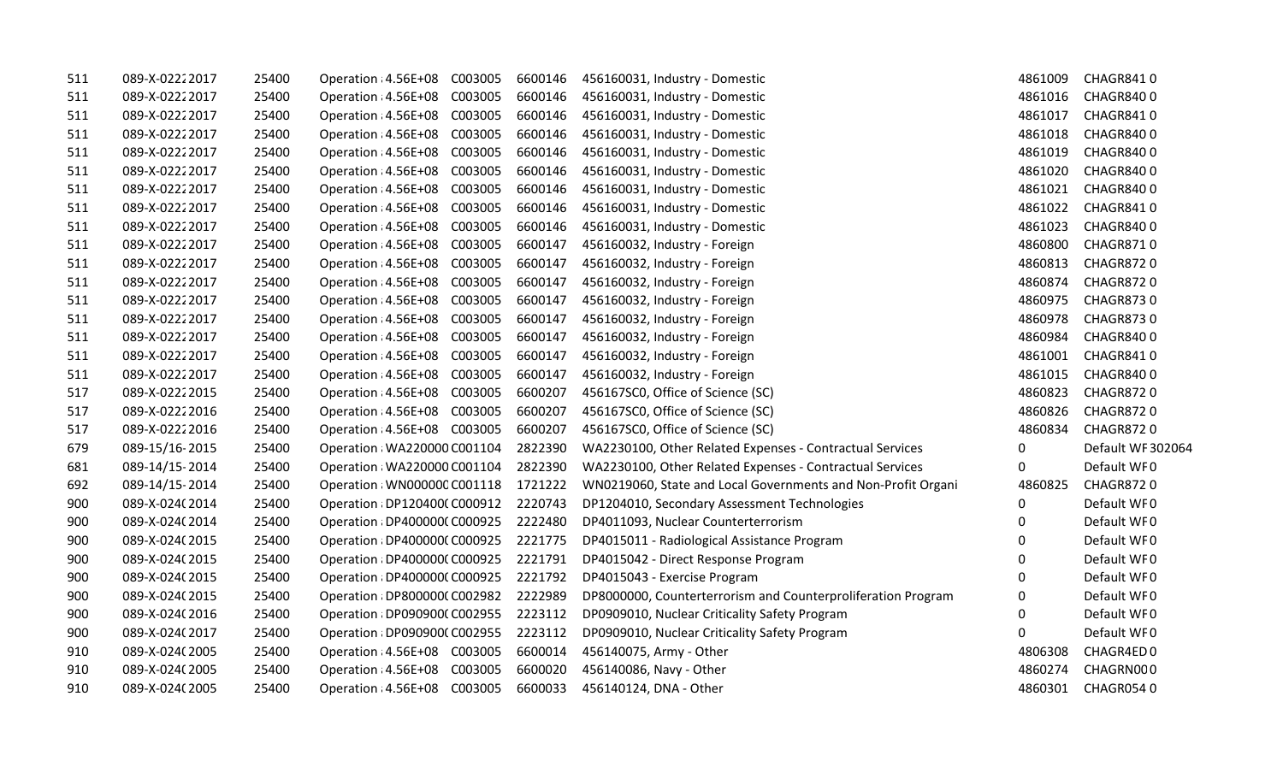| 511 | 089-X-02222017 | 25400 | Operation : 4.56E+08<br>C003005 | 6600146 | 456160031, Industry - Domestic                               | 4861009  | <b>CHAGR8410</b>  |
|-----|----------------|-------|---------------------------------|---------|--------------------------------------------------------------|----------|-------------------|
| 511 | 089-X-02222017 | 25400 | Operation : 4.56E+08<br>C003005 | 6600146 | 456160031, Industry - Domestic                               | 4861016  | CHAGR8400         |
| 511 | 089-X-02222017 | 25400 | Operation : 4.56E+08 C003005    | 6600146 | 456160031, Industry - Domestic                               | 4861017  | CHAGR8410         |
| 511 | 089-X-02222017 | 25400 | Operation : 4.56E+08<br>C003005 | 6600146 | 456160031, Industry - Domestic                               | 4861018  | <b>CHAGR8400</b>  |
| 511 | 089-X-02222017 | 25400 | C003005<br>Operation : 4.56E+08 | 6600146 | 456160031, Industry - Domestic                               | 4861019  | CHAGR8400         |
| 511 | 089-X-02222017 | 25400 | C003005<br>Operation : 4.56E+08 | 6600146 | 456160031, Industry - Domestic                               | 4861020  | <b>CHAGR8400</b>  |
| 511 | 089-X-02222017 | 25400 | C003005<br>Operation : 4.56E+08 | 6600146 | 456160031, Industry - Domestic                               | 4861021  | CHAGR8400         |
| 511 | 089-X-02222017 | 25400 | C003005<br>Operation : 4.56E+08 | 6600146 | 456160031, Industry - Domestic                               | 4861022  | CHAGR8410         |
| 511 | 089-X-02222017 | 25400 | Operation : 4.56E+08<br>C003005 | 6600146 | 456160031, Industry - Domestic                               | 4861023  | <b>CHAGR8400</b>  |
| 511 | 089-X-02222017 | 25400 | C003005<br>Operation : 4.56E+08 | 6600147 | 456160032, Industry - Foreign                                | 4860800  | CHAGR8710         |
| 511 | 089-X-02222017 | 25400 | C003005<br>Operation : 4.56E+08 | 6600147 | 456160032, Industry - Foreign                                | 4860813  | <b>CHAGR8720</b>  |
| 511 | 089-X-02222017 | 25400 | C003005<br>Operation : 4.56E+08 | 6600147 | 456160032, Industry - Foreign                                | 4860874  | CHAGR8720         |
| 511 | 089-X-02222017 | 25400 | C003005<br>Operation : 4.56E+08 | 6600147 | 456160032, Industry - Foreign                                | 4860975  | CHAGR8730         |
| 511 | 089-X-02222017 | 25400 | C003005<br>Operation : 4.56E+08 | 6600147 | 456160032, Industry - Foreign                                | 4860978  | <b>CHAGR8730</b>  |
| 511 | 089-X-02222017 | 25400 | C003005<br>Operation : 4.56E+08 | 6600147 | 456160032, Industry - Foreign                                | 4860984  | <b>CHAGR8400</b>  |
| 511 | 089-X-02222017 | 25400 | C003005<br>Operation : 4.56E+08 | 6600147 | 456160032, Industry - Foreign                                | 4861001  | <b>CHAGR8410</b>  |
| 511 | 089-X-02222017 | 25400 | C003005<br>Operation : 4.56E+08 | 6600147 | 456160032, Industry - Foreign                                | 4861015  | CHAGR8400         |
| 517 | 089-X-02222015 | 25400 | C003005<br>Operation : 4.56E+08 | 6600207 | 456167SC0, Office of Science (SC)                            | 4860823  | CHAGR8720         |
| 517 | 089-X-02222016 | 25400 | Operation : 4.56E+08 C003005    | 6600207 | 456167SC0, Office of Science (SC)                            | 4860826  | <b>CHAGR8720</b>  |
| 517 | 089-X-02222016 | 25400 | Operation : 4.56E+08 C003005    | 6600207 | 456167SC0, Office of Science (SC)                            | 4860834  | <b>CHAGR8720</b>  |
| 679 | 089-15/16-2015 | 25400 | Operation : WA220000 C001104    | 2822390 | WA2230100, Other Related Expenses - Contractual Services     | 0        | Default WF 302064 |
| 681 | 089-14/15-2014 | 25400 | Operation : WA220000 C001104    | 2822390 | WA2230100, Other Related Expenses - Contractual Services     | 0        | Default WF0       |
| 692 | 089-14/15-2014 | 25400 | Operation: WN00000C C001118     | 1721222 | WN0219060, State and Local Governments and Non-Profit Organi | 4860825  | <b>CHAGR8720</b>  |
| 900 | 089-X-024(2014 | 25400 | Operation : DP120400(C000912    | 2220743 | DP1204010, Secondary Assessment Technologies                 | 0        | Default WF0       |
| 900 | 089-X-024(2014 | 25400 | Operation : DP400000(C000925    | 2222480 | DP4011093, Nuclear Counterterrorism                          | 0        | Default WF0       |
| 900 | 089-X-024(2015 | 25400 | Operation : DP400000(C000925    | 2221775 | DP4015011 - Radiological Assistance Program                  | 0        | Default WF0       |
| 900 | 089-X-024(2015 | 25400 | Operation : DP400000(C000925    | 2221791 | DP4015042 - Direct Response Program                          | 0        | Default WF0       |
| 900 | 089-X-024(2015 | 25400 | Operation : DP400000(C000925    | 2221792 | DP4015043 - Exercise Program                                 | $\Omega$ | Default WF0       |
| 900 | 089-X-024(2015 | 25400 | Operation : DP800000(C002982    | 2222989 | DP8000000, Counterterrorism and Counterproliferation Program | 0        | Default WF0       |
| 900 | 089-X-024(2016 | 25400 | Operation : DP090900(C002955    | 2223112 | DP0909010, Nuclear Criticality Safety Program                | 0        | Default WF0       |
| 900 | 089-X-024(2017 | 25400 | Operation : DP090900(C002955    | 2223112 | DP0909010, Nuclear Criticality Safety Program                | $\Omega$ | Default WF0       |
| 910 | 089-X-024(2005 | 25400 | Operation : 4.56E+08 C003005    | 6600014 | 456140075, Army - Other                                      | 4806308  | CHAGR4ED0         |
| 910 | 089-X-024(2005 | 25400 | Operation : 4.56E+08 C003005    | 6600020 | 456140086, Navy - Other                                      | 4860274  | CHAGRN000         |
| 910 | 089-X-024(2005 | 25400 | Operation : 4.56E+08 C003005    | 6600033 | 456140124, DNA - Other                                       | 4860301  | CHAGR0540         |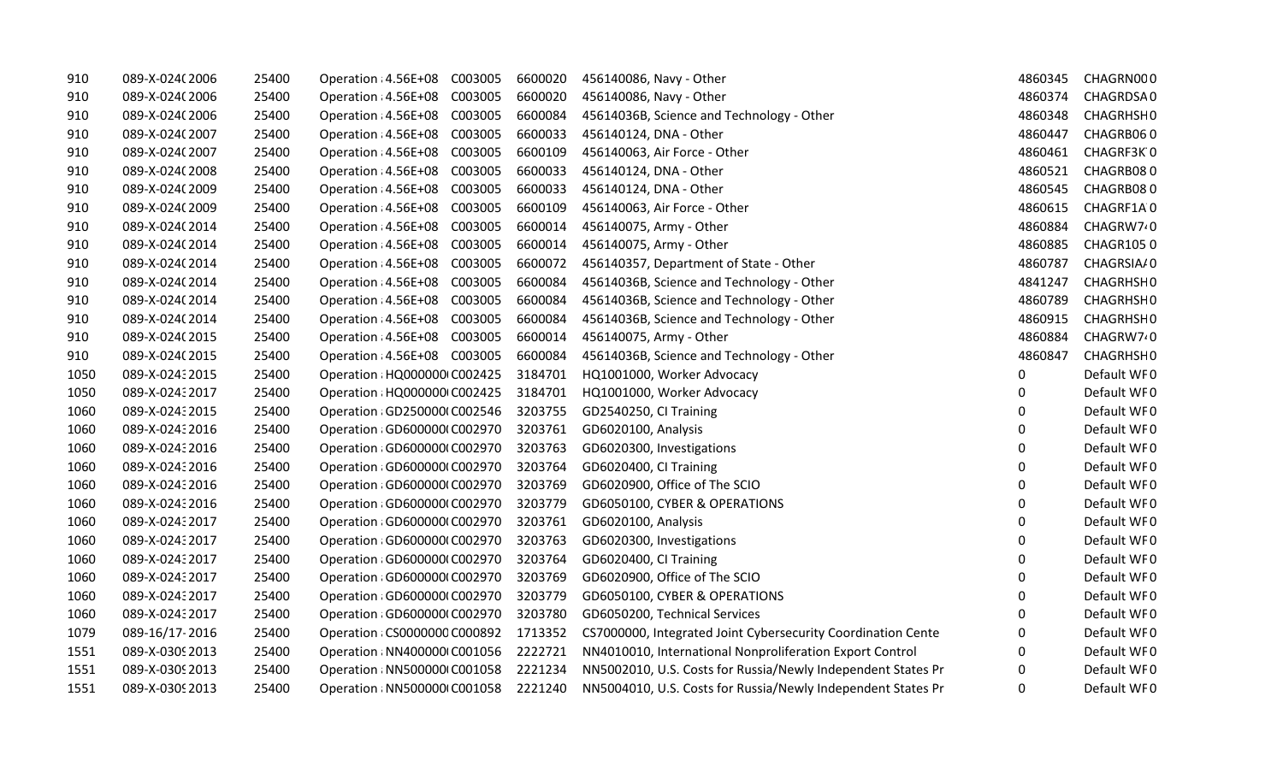| 910  | 089-X-024(2006  | 25400 | Operation : 4.56E+08 C003005    | 6600020 | 456140086, Navy - Other                                      | 4860345 | CHAGRN000              |
|------|-----------------|-------|---------------------------------|---------|--------------------------------------------------------------|---------|------------------------|
| 910  | 089-X-024(2006  | 25400 | C003005<br>Operation : 4.56E+08 | 6600020 | 456140086, Navy - Other                                      | 4860374 | CHAGRDSA0              |
| 910  | 089-X-024(2006  | 25400 | Operation : 4.56E+08 C003005    | 6600084 | 45614036B, Science and Technology - Other                    | 4860348 | CHAGRHSH0              |
| 910  | 089-X-024(2007  | 25400 | C003005<br>Operation : 4.56E+08 | 6600033 | 456140124, DNA - Other                                       | 4860447 | CHAGRB060              |
| 910  | 089-X-0240 2007 | 25400 | C003005<br>Operation : 4.56E+08 | 6600109 | 456140063, Air Force - Other                                 | 4860461 | CHAGRF3K0              |
| 910  | 089-X-0240 2008 | 25400 | C003005<br>Operation : 4.56E+08 | 6600033 | 456140124, DNA - Other                                       | 4860521 | CHAGRB080              |
| 910  | 089-X-024(2009  | 25400 | C003005<br>Operation : 4.56E+08 | 6600033 | 456140124, DNA - Other                                       | 4860545 | CHAGRB080              |
| 910  | 089-X-0240 2009 | 25400 | C003005<br>Operation : 4.56E+08 | 6600109 | 456140063, Air Force - Other                                 | 4860615 | CHAGRF1A0              |
| 910  | 089-X-024(2014  | 25400 | C003005<br>Operation : 4.56E+08 | 6600014 | 456140075, Army - Other                                      | 4860884 | CHAGRW7 <sup>2</sup> 0 |
| 910  | 089-X-024(2014  | 25400 | C003005<br>Operation : 4.56E+08 | 6600014 | 456140075, Army - Other                                      | 4860885 | <b>CHAGR1050</b>       |
| 910  | 089-X-024(2014  | 25400 | Operation : 4.56E+08<br>C003005 | 6600072 | 456140357, Department of State - Other                       | 4860787 | CHAGRSIA/0             |
| 910  | 089-X-024(2014  | 25400 | Operation : 4.56E+08 C003005    | 6600084 | 45614036B, Science and Technology - Other                    | 4841247 | CHAGRHSH0              |
| 910  | 089-X-024(2014  | 25400 | Operation : 4.56E+08 C003005    | 6600084 | 45614036B, Science and Technology - Other                    | 4860789 | CHAGRHSH0              |
| 910  | 089-X-024(2014  | 25400 | Operation : 4.56E+08 C003005    | 6600084 | 45614036B, Science and Technology - Other                    | 4860915 | CHAGRHSH0              |
| 910  | 089-X-024(2015  | 25400 | Operation : 4.56E+08 C003005    | 6600014 | 456140075, Army - Other                                      | 4860884 | CHAGRW7 <sup>2</sup> 0 |
| 910  | 089-X-024(2015  | 25400 | Operation : 4.56E+08 C003005    | 6600084 | 45614036B, Science and Technology - Other                    | 4860847 | CHAGRHSH0              |
| 1050 | 089-X-02432015  | 25400 | Operation : HQ000000 C002425    | 3184701 | HQ1001000, Worker Advocacy                                   | 0       | Default WF0            |
| 1050 | 089-X-02432017  | 25400 | Operation : HQ000000 C002425    | 3184701 | HQ1001000, Worker Advocacy                                   | 0       | Default WF0            |
| 1060 | 089-X-02432015  | 25400 | Operation : GD250000 C002546    | 3203755 | GD2540250, CI Training                                       | 0       | Default WF0            |
| 1060 | 089-X-02432016  | 25400 | Operation : GD600000 C002970    | 3203761 | GD6020100, Analysis                                          | 0       | Default WF0            |
| 1060 | 089-X-02432016  | 25400 | Operation (GD600000 C002970     | 3203763 | GD6020300, Investigations                                    | 0       | Default WF0            |
| 1060 | 089-X-02432016  | 25400 | Operation : GD600000 C002970    | 3203764 | GD6020400, CI Training                                       | 0       | Default WF0            |
| 1060 | 089-X-02432016  | 25400 | Operation : GD600000 C002970    | 3203769 | GD6020900, Office of The SCIO                                | 0       | Default WF0            |
| 1060 | 089-X-02432016  | 25400 | Operation : GD600000 C002970    | 3203779 | GD6050100, CYBER & OPERATIONS                                | 0       | Default WF0            |
| 1060 | 089-X-02432017  | 25400 | Operation (GD600000 C002970     | 3203761 | GD6020100, Analysis                                          | 0       | Default WF0            |
| 1060 | 089-X-02432017  | 25400 | Operation : GD600000 C002970    | 3203763 | GD6020300, Investigations                                    | 0       | Default WF0            |
| 1060 | 089-X-02432017  | 25400 | Operation : GD600000 C002970    | 3203764 | GD6020400, CI Training                                       | 0       | Default WF0            |
| 1060 | 089-X-02432017  | 25400 | Operation : GD600000 C002970    | 3203769 | GD6020900, Office of The SCIO                                | 0       | Default WF0            |
| 1060 | 089-X-02432017  | 25400 | Operation : GD600000 C002970    | 3203779 | GD6050100, CYBER & OPERATIONS                                | 0       | Default WF0            |
| 1060 | 089-X-02432017  | 25400 | Operation (GD600000 C002970     | 3203780 | GD6050200, Technical Services                                | 0       | Default WF0            |
| 1079 | 089-16/17-2016  | 25400 | Operation : CS0000000 C000892   | 1713352 | CS7000000, Integrated Joint Cybersecurity Coordination Cente | 0       | Default WF0            |
| 1551 | 089-X-0309 2013 | 25400 | Operation : NN400000 C001056    | 2222721 | NN4010010, International Nonproliferation Export Control     | 0       | Default WF0            |
| 1551 | 089-X-0309 2013 | 25400 | Operation : NN500000 C001058    | 2221234 | NN5002010, U.S. Costs for Russia/Newly Independent States Pr | 0       | Default WF0            |
| 1551 | 089-X-0309 2013 | 25400 | Operation : NN500000 C001058    | 2221240 | NN5004010, U.S. Costs for Russia/Newly Independent States Pr | 0       | Default WF0            |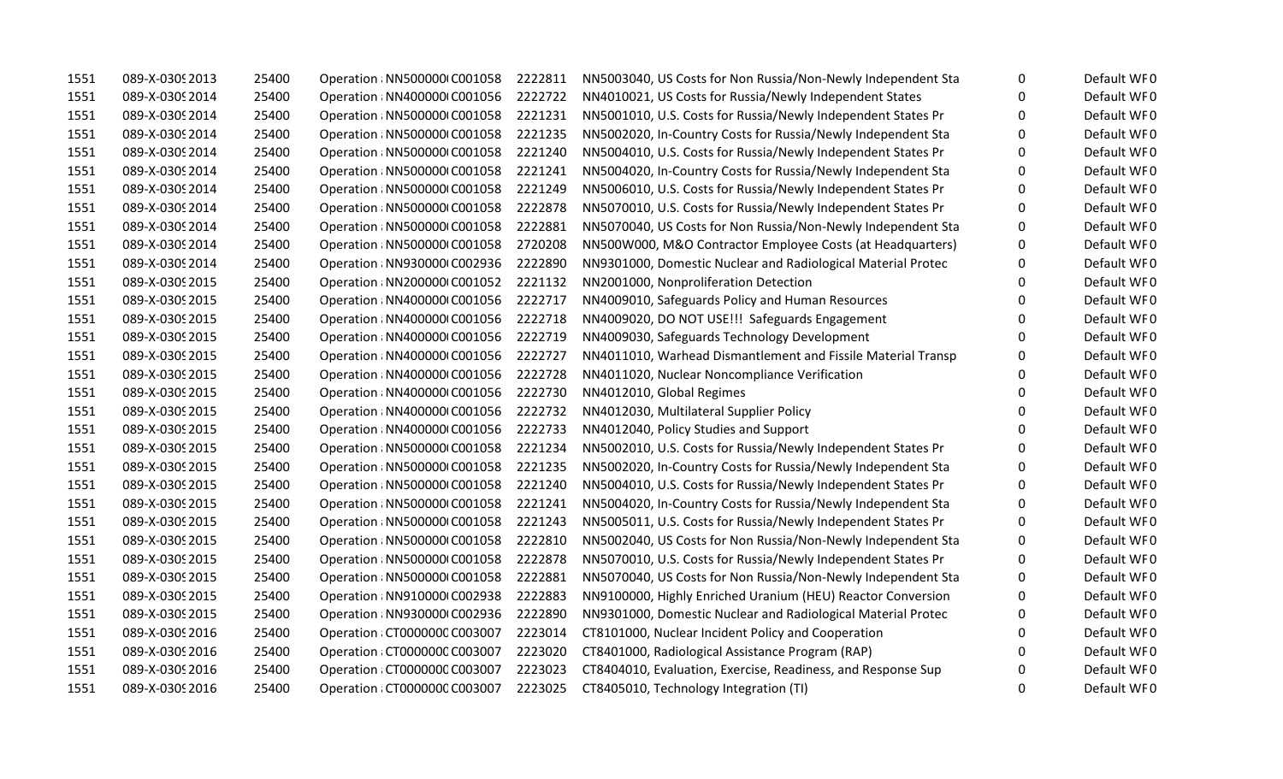| 1551 | 089-X-0309 2013 | 25400 | Operation : NN500000 C001058  | 2222811 | NN5003040, US Costs for Non Russia/Non-Newly Independent Sta | 0        | Default WF0 |
|------|-----------------|-------|-------------------------------|---------|--------------------------------------------------------------|----------|-------------|
| 1551 | 089-X-0309 2014 | 25400 | Operation : NN400000 C001056  | 2222722 | NN4010021, US Costs for Russia/Newly Independent States      | $\Omega$ | Default WF0 |
| 1551 | 089-X-0309 2014 | 25400 | Operation : NN500000 C001058  | 2221231 | NN5001010, U.S. Costs for Russia/Newly Independent States Pr | 0        | Default WF0 |
| 1551 | 089-X-0309 2014 | 25400 | Operation : NN500000 C001058  | 2221235 | NN5002020, In-Country Costs for Russia/Newly Independent Sta | 0        | Default WF0 |
| 1551 | 089-X-0309 2014 | 25400 | Operation : NN500000 C001058  | 2221240 | NN5004010, U.S. Costs for Russia/Newly Independent States Pr | 0        | Default WF0 |
| 1551 | 089-X-0309 2014 | 25400 | Operation : NN500000 C001058  | 2221241 | NN5004020, In-Country Costs for Russia/Newly Independent Sta | 0        | Default WF0 |
| 1551 | 089-X-0309 2014 | 25400 | Operation : NN500000 C001058  | 2221249 | NN5006010, U.S. Costs for Russia/Newly Independent States Pr | 0        | Default WF0 |
| 1551 | 089-X-0309 2014 | 25400 | Operation : NN500000 C001058  | 2222878 | NN5070010, U.S. Costs for Russia/Newly Independent States Pr | 0        | Default WF0 |
| 1551 | 089-X-0309 2014 | 25400 | Operation : NN500000 C001058  | 2222881 | NN5070040, US Costs for Non Russia/Non-Newly Independent Sta | $\Omega$ | Default WF0 |
| 1551 | 089-X-0309 2014 | 25400 | Operation : NN500000 C001058  | 2720208 | NN500W000, M&O Contractor Employee Costs (at Headquarters)   | 0        | Default WF0 |
| 1551 | 089-X-0309 2014 | 25400 | Operation : NN930000 C002936  | 2222890 | NN9301000, Domestic Nuclear and Radiological Material Protec | 0        | Default WF0 |
| 1551 | 089-X-0309 2015 | 25400 | Operation : NN200000 C001052  | 2221132 | NN2001000, Nonproliferation Detection                        | 0        | Default WF0 |
| 1551 | 089-X-0309 2015 | 25400 | Operation : NN400000 C001056  | 2222717 | NN4009010, Safeguards Policy and Human Resources             | 0        | Default WF0 |
| 1551 | 089-X-0309 2015 | 25400 | Operation : NN400000 C001056  | 2222718 | NN4009020, DO NOT USE!!! Safeguards Engagement               | 0        | Default WF0 |
| 1551 | 089-X-0309 2015 | 25400 | Operation : NN400000 C001056  | 2222719 | NN4009030, Safeguards Technology Development                 | 0        | Default WF0 |
| 1551 | 089-X-0309 2015 | 25400 | Operation : NN400000 C001056  | 2222727 | NN4011010, Warhead Dismantlement and Fissile Material Transp | 0        | Default WF0 |
| 1551 | 089-X-0309 2015 | 25400 | Operation : NN400000 C001056  | 2222728 | NN4011020, Nuclear Noncompliance Verification                | 0        | Default WF0 |
| 1551 | 089-X-0309 2015 | 25400 | Operation : NN400000 C001056  | 2222730 | NN4012010, Global Regimes                                    | 0        | Default WF0 |
| 1551 | 089-X-0309 2015 | 25400 | Operation : NN400000 C001056  | 2222732 | NN4012030, Multilateral Supplier Policy                      | 0        | Default WF0 |
| 1551 | 089-X-0309 2015 | 25400 | Operation : NN400000 C001056  | 2222733 | NN4012040, Policy Studies and Support                        | $\Omega$ | Default WF0 |
| 1551 | 089-X-0309 2015 | 25400 | Operation : NN500000 C001058  | 2221234 | NN5002010, U.S. Costs for Russia/Newly Independent States Pr | 0        | Default WF0 |
| 1551 | 089-X-0309 2015 | 25400 | Operation : NN500000 C001058  | 2221235 | NN5002020, In-Country Costs for Russia/Newly Independent Sta | 0        | Default WF0 |
| 1551 | 089-X-0309 2015 | 25400 | Operation : NN500000 C001058  | 2221240 | NN5004010, U.S. Costs for Russia/Newly Independent States Pr | $\Omega$ | Default WF0 |
| 1551 | 089-X-0309 2015 | 25400 | Operation : NN500000 C001058  | 2221241 | NN5004020, In-Country Costs for Russia/Newly Independent Sta | 0        | Default WF0 |
| 1551 | 089-X-0309 2015 | 25400 | Operation : NN500000 C001058  | 2221243 | NN5005011, U.S. Costs for Russia/Newly Independent States Pr | 0        | Default WF0 |
| 1551 | 089-X-0309 2015 | 25400 | Operation : NN500000 C001058  | 2222810 | NN5002040, US Costs for Non Russia/Non-Newly Independent Sta | 0        | Default WF0 |
| 1551 | 089-X-0309 2015 | 25400 | Operation : NN500000 C001058  | 2222878 | NN5070010, U.S. Costs for Russia/Newly Independent States Pr | 0        | Default WF0 |
| 1551 | 089-X-0309 2015 | 25400 | Operation : NN500000 C001058  | 2222881 | NN5070040, US Costs for Non Russia/Non-Newly Independent Sta | 0        | Default WF0 |
| 1551 | 089-X-0309 2015 | 25400 | Operation : NN910000 C002938  | 2222883 | NN9100000, Highly Enriched Uranium (HEU) Reactor Conversion  | 0        | Default WF0 |
| 1551 | 089-X-0309 2015 | 25400 | Operation : NN930000 C002936  | 2222890 | NN9301000, Domestic Nuclear and Radiological Material Protec | 0        | Default WF0 |
| 1551 | 089-X-0309 2016 | 25400 | Operation : CT000000C C003007 | 2223014 | CT8101000, Nuclear Incident Policy and Cooperation           | 0        | Default WF0 |
| 1551 | 089-X-0309 2016 | 25400 | Operation : CT000000C C003007 | 2223020 | CT8401000, Radiological Assistance Program (RAP)             | 0        | Default WF0 |
| 1551 | 089-X-0309 2016 | 25400 | Operation : CT000000C C003007 | 2223023 | CT8404010, Evaluation, Exercise, Readiness, and Response Sup | 0        | Default WF0 |
| 1551 | 089-X-0309 2016 | 25400 | Operation : CT000000C C003007 | 2223025 | CT8405010, Technology Integration (TI)                       | $\Omega$ | Default WF0 |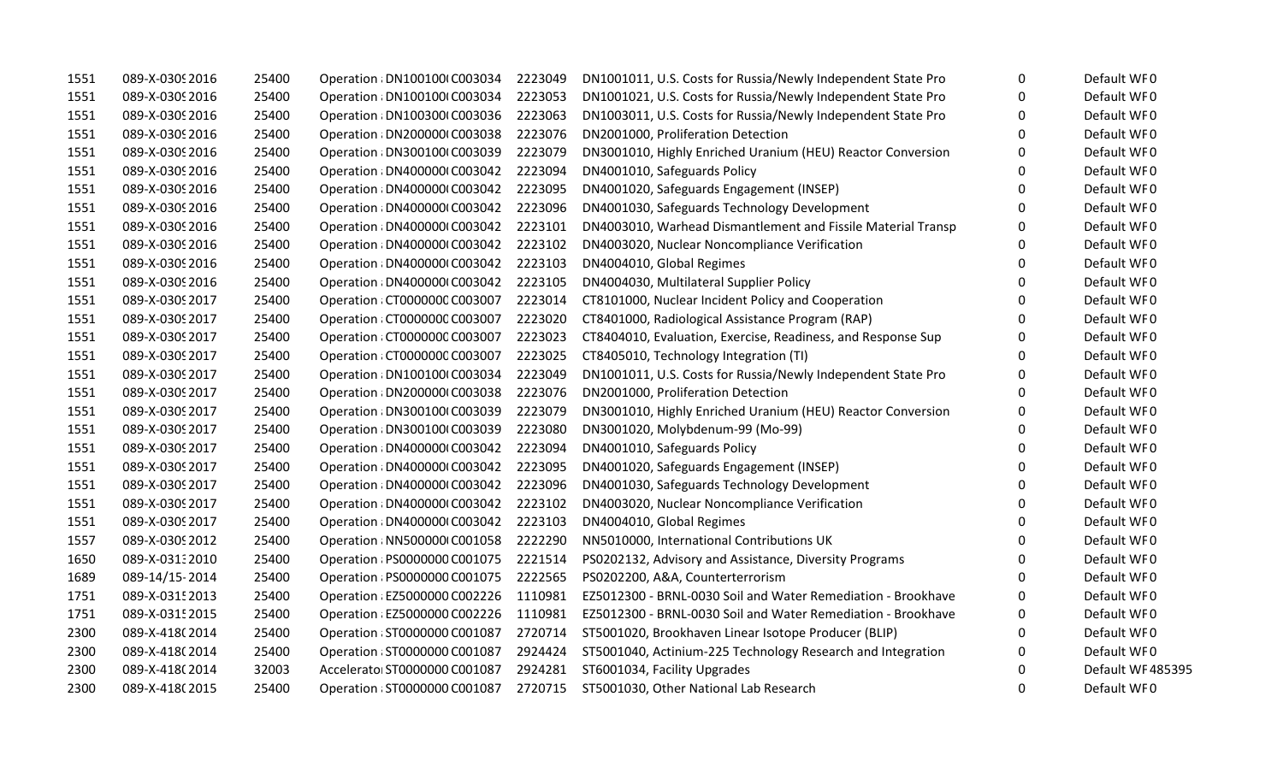| 1551 | 089-X-0309 2016 | 25400 | Operation : DN100100 C003034  | 2223049 | DN1001011, U.S. Costs for Russia/Newly Independent State Pro | 0           | Default WF0      |
|------|-----------------|-------|-------------------------------|---------|--------------------------------------------------------------|-------------|------------------|
| 1551 | 089-X-0309 2016 | 25400 | Operation : DN100100 C003034  | 2223053 | DN1001021, U.S. Costs for Russia/Newly Independent State Pro | 0           | Default WF0      |
| 1551 | 089-X-0309 2016 | 25400 | Operation : DN100300 C003036  | 2223063 | DN1003011, U.S. Costs for Russia/Newly Independent State Pro | 0           | Default WF0      |
| 1551 | 089-X-0309 2016 | 25400 | Operation : DN200000 C003038  | 2223076 | DN2001000, Proliferation Detection                           | 0           | Default WF0      |
| 1551 | 089-X-0309 2016 | 25400 | Operation : DN300100 C003039  | 2223079 | DN3001010, Highly Enriched Uranium (HEU) Reactor Conversion  | 0           | Default WF0      |
| 1551 | 089-X-0309 2016 | 25400 | Operation : DN400000 C003042  | 2223094 | DN4001010, Safeguards Policy                                 | $\mathbf 0$ | Default WF0      |
| 1551 | 089-X-0309 2016 | 25400 | Operation : DN400000 C003042  | 2223095 | DN4001020, Safeguards Engagement (INSEP)                     | $\Omega$    | Default WF0      |
| 1551 | 089-X-0309 2016 | 25400 | Operation : DN400000 C003042  | 2223096 | DN4001030, Safeguards Technology Development                 | $\Omega$    | Default WF0      |
| 1551 | 089-X-0309 2016 | 25400 | Operation : DN400000 C003042  | 2223101 | DN4003010, Warhead Dismantlement and Fissile Material Transp | $\Omega$    | Default WF0      |
| 1551 | 089-X-0309 2016 | 25400 | Operation : DN400000 C003042  | 2223102 | DN4003020, Nuclear Noncompliance Verification                | 0           | Default WF0      |
| 1551 | 089-X-0309 2016 | 25400 | Operation : DN400000 C003042  | 2223103 | DN4004010, Global Regimes                                    | 0           | Default WF0      |
| 1551 | 089-X-0309 2016 | 25400 | Operation : DN400000 C003042  | 2223105 | DN4004030, Multilateral Supplier Policy                      | 0           | Default WF0      |
| 1551 | 089-X-0309 2017 | 25400 | Operation : CT000000C C003007 | 2223014 | CT8101000, Nuclear Incident Policy and Cooperation           | $\Omega$    | Default WF0      |
| 1551 | 089-X-0309 2017 | 25400 | Operation : CT000000C C003007 | 2223020 | CT8401000, Radiological Assistance Program (RAP)             | 0           | Default WF0      |
| 1551 | 089-X-0309 2017 | 25400 | Operation : CT000000C C003007 | 2223023 | CT8404010, Evaluation, Exercise, Readiness, and Response Sup | 0           | Default WF0      |
| 1551 | 089-X-0309 2017 | 25400 | Operation : CT000000C C003007 | 2223025 | CT8405010, Technology Integration (TI)                       | 0           | Default WF0      |
| 1551 | 089-X-0309 2017 | 25400 | Operation : DN100100 C003034  | 2223049 | DN1001011, U.S. Costs for Russia/Newly Independent State Pro | $\Omega$    | Default WF0      |
| 1551 | 089-X-0309 2017 | 25400 | Operation : DN200000 C003038  | 2223076 | DN2001000, Proliferation Detection                           | 0           | Default WF0      |
| 1551 | 089-X-0309 2017 | 25400 | Operation : DN300100 C003039  | 2223079 | DN3001010, Highly Enriched Uranium (HEU) Reactor Conversion  | $\mathbf 0$ | Default WF0      |
| 1551 | 089-X-0309 2017 | 25400 | Operation : DN300100 C003039  | 2223080 | DN3001020, Molybdenum-99 (Mo-99)                             | 0           | Default WF0      |
| 1551 | 089-X-0309 2017 | 25400 | Operation : DN400000 C003042  | 2223094 | DN4001010, Safeguards Policy                                 | 0           | Default WF0      |
| 1551 | 089-X-0309 2017 | 25400 | Operation : DN400000 C003042  | 2223095 | DN4001020, Safeguards Engagement (INSEP)                     | $\Omega$    | Default WF0      |
| 1551 | 089-X-0309 2017 | 25400 | Operation : DN400000 C003042  | 2223096 | DN4001030, Safeguards Technology Development                 | 0           | Default WF0      |
| 1551 | 089-X-0309 2017 | 25400 | Operation : DN400000 C003042  | 2223102 | DN4003020, Nuclear Noncompliance Verification                | $\mathbf 0$ | Default WF0      |
| 1551 | 089-X-0309 2017 | 25400 | Operation : DN400000 C003042  | 2223103 | DN4004010, Global Regimes                                    | 0           | Default WF0      |
| 1557 | 089-X-03092012  | 25400 | Operation : NN500000 C001058  | 2222290 | NN5010000, International Contributions UK                    | 0           | Default WF0      |
| 1650 | 089-X-03132010  | 25400 | Operation : PS0000000 C001075 | 2221514 | PS0202132, Advisory and Assistance, Diversity Programs       | 0           | Default WF0      |
| 1689 | 089-14/15-2014  | 25400 | Operation : PS0000000 C001075 | 2222565 | PS0202200, A&A, Counterterrorism                             | $\Omega$    | Default WF0      |
| 1751 | 089-X-0315 2013 | 25400 | Operation : EZ5000000 C002226 | 1110981 | EZ5012300 - BRNL-0030 Soil and Water Remediation - Brookhave | $\mathbf 0$ | Default WF0      |
| 1751 | 089-X-0315 2015 | 25400 | Operation : EZ5000000 C002226 | 1110981 | EZ5012300 - BRNL-0030 Soil and Water Remediation - Brookhave | 0           | Default WF0      |
| 2300 | 089-X-418(2014  | 25400 | Operation : ST0000000 C001087 | 2720714 | ST5001020, Brookhaven Linear Isotope Producer (BLIP)         | 0           | Default WF0      |
| 2300 | 089-X-418(2014  | 25400 | Operation : ST0000000 C001087 | 2924424 | ST5001040, Actinium-225 Technology Research and Integration  | 0           | Default WF0      |
| 2300 | 089-X-418(2014  | 32003 | Accelerator ST0000000 C001087 | 2924281 | ST6001034, Facility Upgrades                                 | 0           | Default WF485395 |
| 2300 | 089-X-418(2015  | 25400 | Operation : ST0000000 C001087 | 2720715 | ST5001030, Other National Lab Research                       | $\Omega$    | Default WF0      |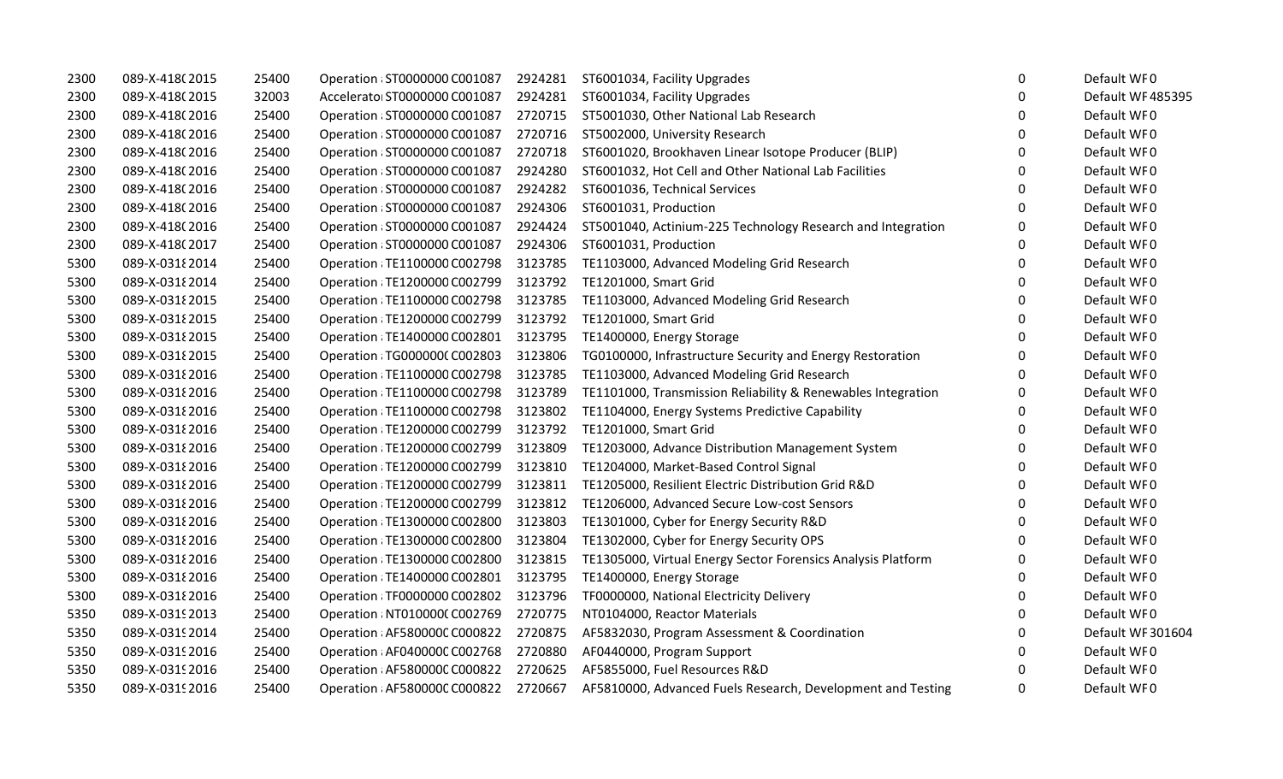| 2300 | 089-X-418(2015  | 25400 | Operation : ST0000000 C001087 | 2924281 | ST6001034, Facility Upgrades                                 | $\boldsymbol{0}$ | Default WF0       |
|------|-----------------|-------|-------------------------------|---------|--------------------------------------------------------------|------------------|-------------------|
| 2300 | 089-X-418(2015  | 32003 | Accelerator ST0000000 C001087 | 2924281 | ST6001034, Facility Upgrades                                 | 0                | Default WF485395  |
| 2300 | 089-X-418(2016  | 25400 | Operation : ST0000000 C001087 | 2720715 | ST5001030, Other National Lab Research                       | $\mathbf 0$      | Default WF0       |
| 2300 | 089-X-418(2016  | 25400 | Operation : ST0000000 C001087 | 2720716 | ST5002000, University Research                               | $\Omega$         | Default WF0       |
| 2300 | 089-X-418(2016  | 25400 | Operation : ST0000000 C001087 | 2720718 | ST6001020, Brookhaven Linear Isotope Producer (BLIP)         | $\boldsymbol{0}$ | Default WF0       |
| 2300 | 089-X-418(2016  | 25400 | Operation : ST0000000 C001087 | 2924280 | ST6001032, Hot Cell and Other National Lab Facilities        | $\overline{0}$   | Default WF0       |
| 2300 | 089-X-418(2016  | 25400 | Operation : ST0000000 C001087 | 2924282 | ST6001036, Technical Services                                | $\mathbf 0$      | Default WF0       |
| 2300 | 089-X-418(2016  | 25400 | Operation : ST0000000 C001087 | 2924306 | ST6001031, Production                                        | $\mathbf 0$      | Default WF0       |
| 2300 | 089-X-418(2016  | 25400 | Operation : ST0000000 C001087 | 2924424 | ST5001040, Actinium-225 Technology Research and Integration  | $\Omega$         | Default WF0       |
| 2300 | 089-X-418(2017  | 25400 | Operation : ST0000000 C001087 | 2924306 | ST6001031, Production                                        | $\boldsymbol{0}$ | Default WF0       |
| 5300 | 089-X-0318 2014 | 25400 | Operation : TE1100000 C002798 | 3123785 | TE1103000, Advanced Modeling Grid Research                   | $\mathbf 0$      | Default WF0       |
| 5300 | 089-X-0318 2014 | 25400 | Operation : TE1200000 C002799 | 3123792 | TE1201000, Smart Grid                                        | $\mathbf 0$      | Default WF0       |
| 5300 | 089-X-03182015  | 25400 | Operation : TE1100000 C002798 | 3123785 | TE1103000, Advanced Modeling Grid Research                   | $\mathbf 0$      | Default WF0       |
| 5300 | 089-X-03182015  | 25400 | Operation : TE1200000 C002799 | 3123792 | TE1201000, Smart Grid                                        | $\Omega$         | Default WF0       |
| 5300 | 089-X-03182015  | 25400 | Operation : TE1400000 C002801 | 3123795 | TE1400000, Energy Storage                                    | $\mathbf 0$      | Default WF0       |
| 5300 | 089-X-03182015  | 25400 | Operation : TG0000000 C002803 | 3123806 | TG0100000, Infrastructure Security and Energy Restoration    | 0                | Default WF0       |
| 5300 | 089-X-03182016  | 25400 | Operation : TE1100000 C002798 | 3123785 | TE1103000, Advanced Modeling Grid Research                   | $\Omega$         | Default WF0       |
| 5300 | 089-X-0318 2016 | 25400 | Operation : TE1100000 C002798 | 3123789 | TE1101000, Transmission Reliability & Renewables Integration | $\Omega$         | Default WF0       |
| 5300 | 089-X-03182016  | 25400 | Operation : TE1100000 C002798 | 3123802 | TE1104000, Energy Systems Predictive Capability              | $\Omega$         | Default WF0       |
| 5300 | 089-X-03182016  | 25400 | Operation : TE1200000 C002799 | 3123792 | TE1201000, Smart Grid                                        | $\boldsymbol{0}$ | Default WF0       |
| 5300 | 089-X-0318 2016 | 25400 | Operation : TE1200000 C002799 | 3123809 | TE1203000, Advance Distribution Management System            | 0                | Default WF0       |
| 5300 | 089-X-03182016  | 25400 | Operation : TE1200000 C002799 | 3123810 | TE1204000, Market-Based Control Signal                       | $\mathbf 0$      | Default WF0       |
| 5300 | 089-X-03182016  | 25400 | Operation : TE1200000 C002799 | 3123811 | TE1205000, Resilient Electric Distribution Grid R&D          | $\Omega$         | Default WF0       |
| 5300 | 089-X-03182016  | 25400 | Operation : TE1200000 C002799 | 3123812 | TE1206000, Advanced Secure Low-cost Sensors                  | $\mathbf 0$      | Default WF0       |
| 5300 | 089-X-03182016  | 25400 | Operation : TE1300000 C002800 | 3123803 | TE1301000, Cyber for Energy Security R&D                     | $\mathbf 0$      | Default WF0       |
| 5300 | 089-X-03182016  | 25400 | Operation : TE1300000 C002800 | 3123804 | TE1302000, Cyber for Energy Security OPS                     | $\Omega$         | Default WF0       |
| 5300 | 089-X-03182016  | 25400 | Operation : TE1300000 C002800 | 3123815 | TE1305000, Virtual Energy Sector Forensics Analysis Platform | $\mathbf 0$      | Default WF0       |
| 5300 | 089-X-03182016  | 25400 | Operation : TE1400000 C002801 | 3123795 | TE1400000, Energy Storage                                    | $\Omega$         | Default WF0       |
| 5300 | 089-X-03182016  | 25400 | Operation : TF0000000 C002802 | 3123796 | TF0000000, National Electricity Delivery                     | $\mathbf 0$      | Default WF0       |
| 5350 | 089-X-0319 2013 | 25400 | Operation : NT010000(C002769  | 2720775 | NT0104000, Reactor Materials                                 | $\mathbf 0$      | Default WF0       |
| 5350 | 089-X-0319 2014 | 25400 | Operation : AF580000C C000822 | 2720875 | AF5832030, Program Assessment & Coordination                 | $\Omega$         | Default WF 301604 |
| 5350 | 089-X-03192016  | 25400 | Operation : AF040000C C002768 | 2720880 | AF0440000, Program Support                                   | $\Omega$         | Default WF0       |
| 5350 | 089-X-0319 2016 | 25400 | Operation : AF580000C C000822 | 2720625 | AF5855000, Fuel Resources R&D                                | $\Omega$         | Default WF0       |
| 5350 | 089-X-0319 2016 | 25400 | Operation : AF580000C C000822 | 2720667 | AF5810000, Advanced Fuels Research, Development and Testing  | $\Omega$         | Default WF0       |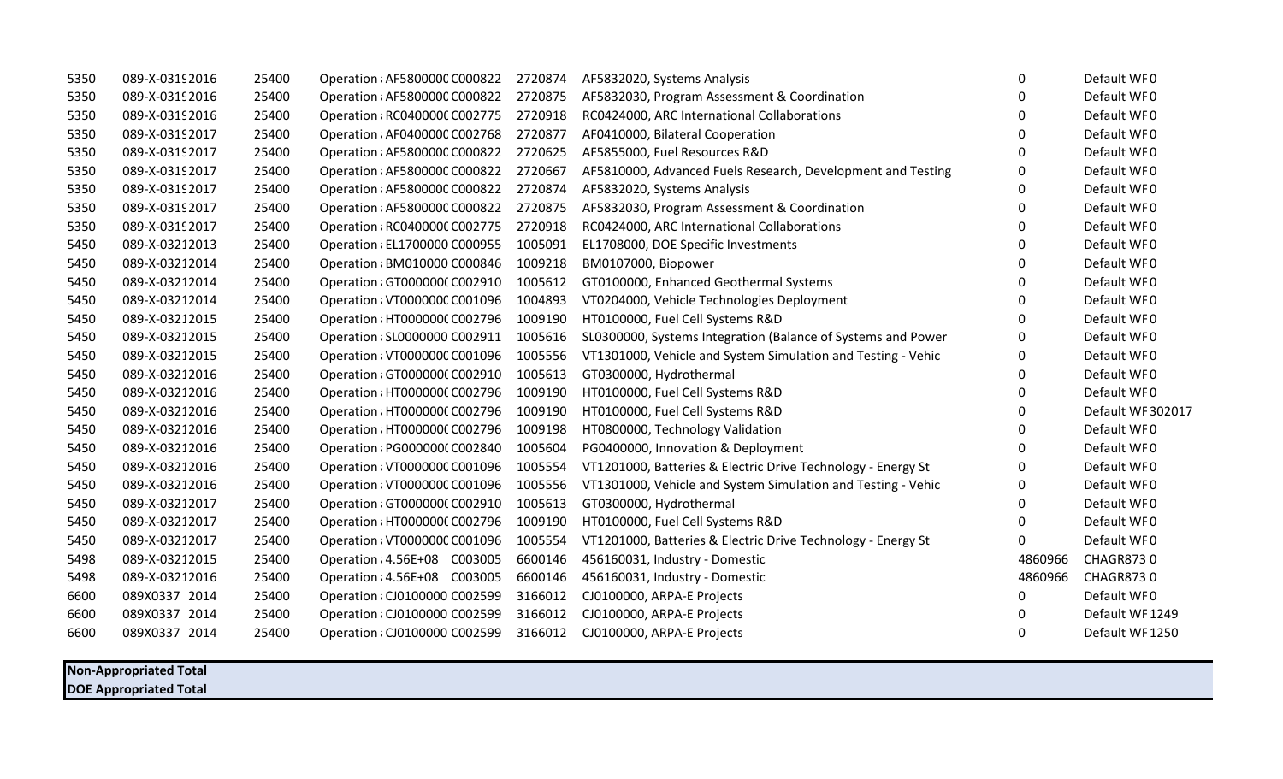| 5350 | 089-X-0319 2016 | 25400 | Operation : AF580000C C000822 | 2720874 | AF5832020, Systems Analysis                                  | 0            | Default WF0       |
|------|-----------------|-------|-------------------------------|---------|--------------------------------------------------------------|--------------|-------------------|
| 5350 | 089-X-03192016  | 25400 | Operation : AF580000C C000822 | 2720875 | AF5832030, Program Assessment & Coordination                 | 0            | Default WF0       |
| 5350 | 089-X-0319 2016 | 25400 | Operation : RC040000C C002775 | 2720918 | RC0424000, ARC International Collaborations                  | 0            | Default WF0       |
| 5350 | 089-X-03192017  | 25400 | Operation : AF040000C C002768 | 2720877 | AF0410000, Bilateral Cooperation                             | 0            | Default WF0       |
| 5350 | 089-X-0319 2017 | 25400 | Operation : AF580000C C000822 | 2720625 | AF5855000, Fuel Resources R&D                                | $\Omega$     | Default WF0       |
| 5350 | 089-X-0319 2017 | 25400 | Operation : AF580000C C000822 | 2720667 | AF5810000, Advanced Fuels Research, Development and Testing  | 0            | Default WF0       |
| 5350 | 089-X-0319 2017 | 25400 | Operation : AF580000C C000822 | 2720874 | AF5832020, Systems Analysis                                  | 0            | Default WF0       |
| 5350 | 089-X-0319 2017 | 25400 | Operation : AF580000C C000822 | 2720875 | AF5832030, Program Assessment & Coordination                 | 0            | Default WF0       |
| 5350 | 089-X-03192017  | 25400 | Operation : RC040000C C002775 | 2720918 | RC0424000, ARC International Collaborations                  | 0            | Default WF0       |
| 5450 | 089-X-03212013  | 25400 | Operation : EL1700000 C000955 | 1005091 | EL1708000, DOE Specific Investments                          | 0            | Default WF0       |
| 5450 | 089-X-03212014  | 25400 | Operation : BM010000 C000846  | 1009218 | BM0107000, Biopower                                          | $\mathbf 0$  | Default WF0       |
| 5450 | 089-X-03212014  | 25400 | Operation : GT000000(C002910  | 1005612 | GT0100000, Enhanced Geothermal Systems                       | 0            | Default WF0       |
| 5450 | 089-X-03212014  | 25400 | Operation : VT000000C C001096 | 1004893 | VT0204000, Vehicle Technologies Deployment                   | 0            | Default WF0       |
| 5450 | 089-X-03212015  | 25400 | Operation : HT0000000 C002796 | 1009190 | HT0100000, Fuel Cell Systems R&D                             | $\Omega$     | Default WF0       |
| 5450 | 089-X-03212015  | 25400 | Operation : SL0000000 C002911 | 1005616 | SL0300000, Systems Integration (Balance of Systems and Power | 0            | Default WF0       |
| 5450 | 089-X-03212015  | 25400 | Operation : VT000000C C001096 | 1005556 | VT1301000, Vehicle and System Simulation and Testing - Vehic | 0            | Default WF0       |
| 5450 | 089-X-03212016  | 25400 | Operation (GT0000000 C002910  | 1005613 | GT0300000, Hydrothermal                                      | 0            | Default WF0       |
| 5450 | 089-X-03212016  | 25400 | Operation : HT0000000 C002796 | 1009190 | HT0100000, Fuel Cell Systems R&D                             | 0            | Default WF0       |
| 5450 | 089-X-03212016  | 25400 | Operation : HT0000000 C002796 | 1009190 | HT0100000, Fuel Cell Systems R&D                             | 0            | Default WF 302017 |
| 5450 | 089-X-03212016  | 25400 | Operation : HT0000000 C002796 | 1009198 | HT0800000, Technology Validation                             | $\mathbf 0$  | Default WF0       |
| 5450 | 089-X-03212016  | 25400 | Operation : PG000000(C002840  | 1005604 | PG0400000, Innovation & Deployment                           | $\Omega$     | Default WF0       |
| 5450 | 089-X-03212016  | 25400 | Operation : VT000000C C001096 | 1005554 | VT1201000, Batteries & Electric Drive Technology - Energy St | 0            | Default WF0       |
| 5450 | 089-X-03212016  | 25400 | Operation : VT000000C C001096 | 1005556 | VT1301000, Vehicle and System Simulation and Testing - Vehic | 0            | Default WF0       |
| 5450 | 089-X-03212017  | 25400 | Operation : GT000000(C002910  | 1005613 | GT0300000, Hydrothermal                                      | 0            | Default WF0       |
| 5450 | 089-X-03212017  | 25400 | Operation : HT0000000 C002796 | 1009190 | HT0100000, Fuel Cell Systems R&D                             | $\Omega$     | Default WF0       |
| 5450 | 089-X-03212017  | 25400 | Operation : VT000000C C001096 | 1005554 | VT1201000, Batteries & Electric Drive Technology - Energy St | 0            | Default WF0       |
| 5498 | 089-X-03212015  | 25400 | Operation : 4.56E+08 C003005  | 6600146 | 456160031, Industry - Domestic                               | 4860966      | <b>CHAGR8730</b>  |
| 5498 | 089-X-03212016  | 25400 | Operation : 4.56E+08 C003005  | 6600146 | 456160031, Industry - Domestic                               | 4860966      | <b>CHAGR8730</b>  |
| 6600 | 089X0337 2014   | 25400 | Operation : CJ0100000 C002599 | 3166012 | CJ0100000, ARPA-E Projects                                   | 0            | Default WF0       |
| 6600 | 089X0337 2014   | 25400 | Operation : CJ0100000 C002599 | 3166012 | CJ0100000, ARPA-E Projects                                   | 0            | Default WF1249    |
| 6600 | 089X0337 2014   | 25400 | Operation : CJ0100000 C002599 | 3166012 | CJ0100000, ARPA-E Projects                                   | $\mathbf{0}$ | Default WF1250    |

**Non-Appropriated Total DOE Appropriated Total**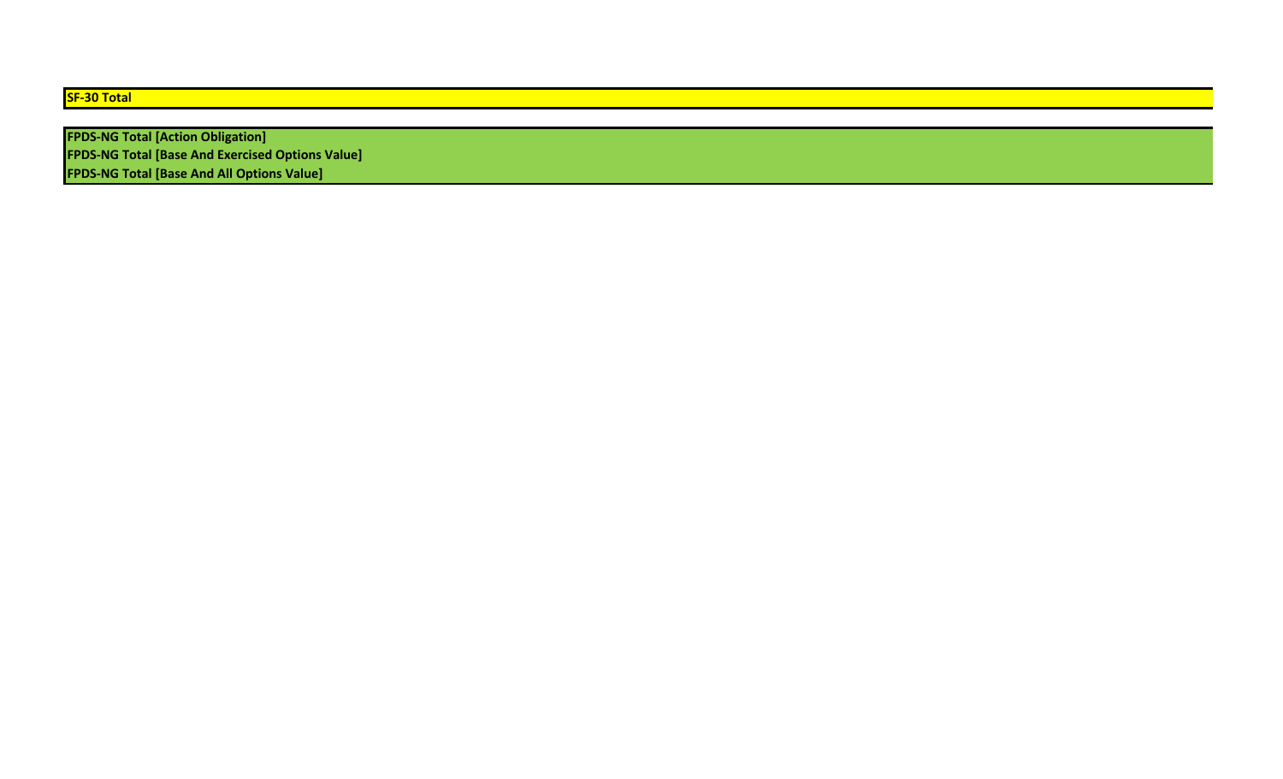## **SF-30 Total**

**FPDS-NG Total [Action Obligation] FPDS-NG Total [Base And Exercised Options Value] FPDS-NG Total [Base And All Options Value]**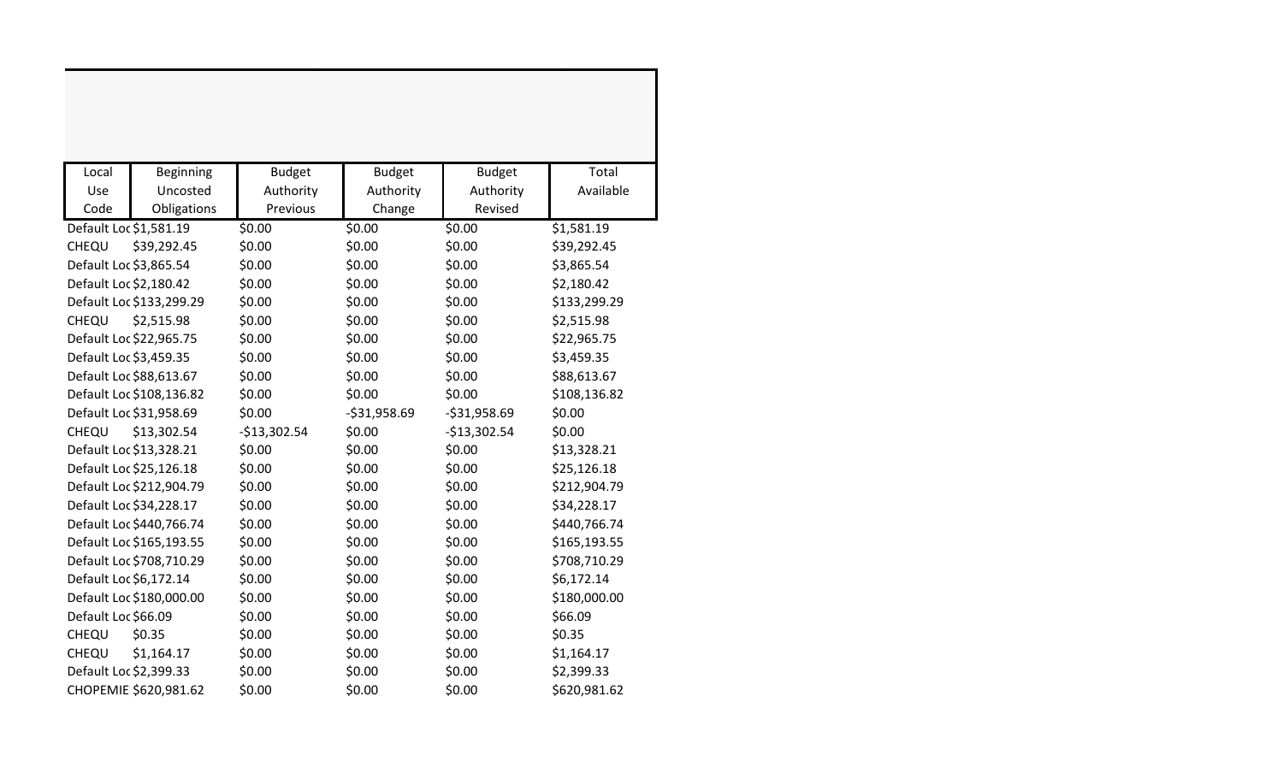| Local                  | Beginning                | <b>Budget</b> | <b>Budget</b> | <b>Budget</b> | Total        |
|------------------------|--------------------------|---------------|---------------|---------------|--------------|
| Use                    | Uncosted                 | Authority     | Authority     | Authority     | Available    |
| Code                   | Obligations              | Previous      | Change        | Revised       |              |
| Default Loc \$1,581.19 |                          | \$0.00        | \$0.00        | \$0.00        | \$1,581.19   |
| CHEQU                  | \$39,292.45              | \$0.00        | \$0.00        | \$0.00        | \$39,292.45  |
| Default Loc \$3,865.54 |                          | \$0.00        | \$0.00        | \$0.00        | \$3,865.54   |
| Default Loc \$2,180.42 |                          | \$0.00        | \$0.00        | \$0.00        | \$2,180.42   |
|                        | Default Loc \$133,299.29 | \$0.00        | \$0.00        | \$0.00        | \$133,299.29 |
| CHEQU                  | \$2,515.98               | \$0.00        | \$0.00        | \$0.00        | \$2,515.98   |
|                        | Default Loc \$22,965.75  | \$0.00        | \$0.00        | \$0.00        | \$22,965.75  |
| Default Loc \$3,459.35 |                          | \$0.00        | \$0.00        | \$0.00        | \$3,459.35   |
|                        | Default Loc \$88,613.67  | \$0.00        | \$0.00        | \$0.00        | \$88,613.67  |
|                        | Default Loc \$108,136.82 | \$0.00        | \$0.00        | \$0.00        | \$108,136.82 |
|                        | Default Loc \$31,958.69  | \$0.00        | $-$31,958.69$ | $-531,958.69$ | \$0.00       |
| CHEQU                  | \$13,302.54              | $-$13,302.54$ | \$0.00        | $-$13,302.54$ | \$0.00       |
|                        | Default Loc \$13,328.21  | \$0.00        | \$0.00        | \$0.00        | \$13,328.21  |
|                        | Default Loc \$25,126.18  | \$0.00        | \$0.00        | \$0.00        | \$25,126.18  |
|                        | Default Loc \$212,904.79 | \$0.00        | \$0.00        | \$0.00        | \$212,904.79 |
|                        | Default Loc \$34,228.17  | \$0.00        | \$0.00        | \$0.00        | \$34,228.17  |
|                        | Default Loc \$440,766.74 | \$0.00        | \$0.00        | \$0.00        | \$440,766.74 |
|                        | Default Loc \$165,193.55 | \$0.00        | \$0.00        | \$0.00        | \$165,193.55 |
|                        | Default Loc \$708,710.29 | \$0.00        | \$0.00        | \$0.00        | \$708,710.29 |
| Default Loc \$6,172.14 |                          | \$0.00        | \$0.00        | \$0.00        | \$6,172.14   |
|                        | Default Loc \$180,000.00 | \$0.00        | \$0.00        | \$0.00        | \$180,000.00 |
| Default Loc \$66.09    |                          | \$0.00        | \$0.00        | \$0.00        | \$66.09      |
| CHEQU                  | \$0.35                   | \$0.00        | \$0.00        | \$0.00        | \$0.35       |
| CHEQU                  | \$1,164.17               | \$0.00        | \$0.00        | \$0.00        | \$1,164.17   |
| Default Loc \$2,399.33 |                          | \$0.00        | \$0.00        | \$0.00        | \$2,399.33   |
|                        | CHOPEMIE \$620,981.62    | \$0.00        | \$0.00        | \$0.00        | \$620,981.62 |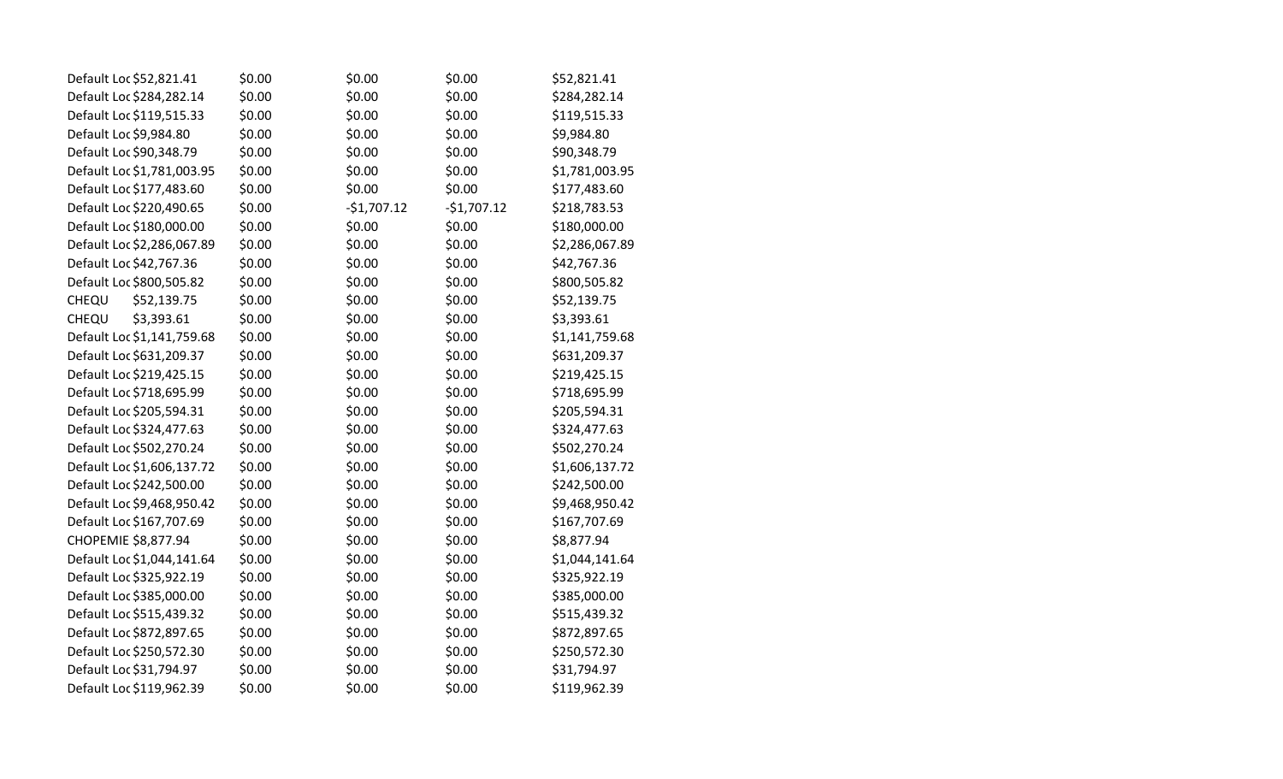| Default Loc \$52,821.41    | \$0.00 | \$0.00       | \$0.00       | \$52,821.41    |
|----------------------------|--------|--------------|--------------|----------------|
| Default Loc \$284,282.14   | \$0.00 | \$0.00       | \$0.00       | \$284,282.14   |
| Default Loc \$119,515.33   | \$0.00 | \$0.00       | \$0.00       | \$119,515.33   |
| Default Loc \$9,984.80     | \$0.00 | \$0.00       | \$0.00       | \$9,984.80     |
| Default Loc \$90,348.79    | \$0.00 | \$0.00       | \$0.00       | \$90,348.79    |
| Default Loc \$1,781,003.95 | \$0.00 | \$0.00       | \$0.00       | \$1,781,003.95 |
| Default Loc \$177,483.60   | \$0.00 | \$0.00       | \$0.00       | \$177,483.60   |
| Default Loc \$220,490.65   | \$0.00 | $-$1,707.12$ | $-$1,707.12$ | \$218,783.53   |
| Default Loc \$180,000.00   | \$0.00 | \$0.00       | \$0.00       | \$180,000.00   |
| Default Loc \$2,286,067.89 | \$0.00 | \$0.00       | \$0.00       | \$2,286,067.89 |
| Default Loc \$42,767.36    | \$0.00 | \$0.00       | \$0.00       | \$42,767.36    |
| Default Loc \$800,505.82   | \$0.00 | \$0.00       | \$0.00       | \$800,505.82   |
| CHEQU<br>\$52,139.75       | \$0.00 | \$0.00       | \$0.00       | \$52,139.75    |
| \$3,393.61<br>CHEQU        | \$0.00 | \$0.00       | \$0.00       | \$3,393.61     |
| Default Loc \$1,141,759.68 | \$0.00 | \$0.00       | \$0.00       | \$1,141,759.68 |
| Default Loc \$631,209.37   | \$0.00 | \$0.00       | \$0.00       | \$631,209.37   |
| Default Loc \$219,425.15   | \$0.00 | \$0.00       | \$0.00       | \$219,425.15   |
| Default Loc \$718,695.99   | \$0.00 | \$0.00       | \$0.00       | \$718,695.99   |
| Default Loc \$205,594.31   | \$0.00 | \$0.00       | \$0.00       | \$205,594.31   |
| Default Loc \$324,477.63   | \$0.00 | \$0.00       | \$0.00       | \$324,477.63   |
| Default Loc \$502,270.24   | \$0.00 | \$0.00       | \$0.00       | \$502,270.24   |
| Default Loc \$1,606,137.72 | \$0.00 | \$0.00       | \$0.00       | \$1,606,137.72 |
| Default Loc \$242,500.00   | \$0.00 | \$0.00       | \$0.00       | \$242,500.00   |
| Default Loc \$9,468,950.42 | \$0.00 | \$0.00       | \$0.00       | \$9,468,950.42 |
| Default Loc \$167,707.69   | \$0.00 | \$0.00       | \$0.00       | \$167,707.69   |
| CHOPEMIE \$8,877.94        | \$0.00 | \$0.00       | \$0.00       | \$8,877.94     |
| Default Loc \$1,044,141.64 | \$0.00 | \$0.00       | \$0.00       | \$1,044,141.64 |
| Default Loc \$325,922.19   | \$0.00 | \$0.00       | \$0.00       | \$325,922.19   |
| Default Loc \$385,000.00   | \$0.00 | \$0.00       | \$0.00       | \$385,000.00   |
| Default Loc \$515,439.32   | \$0.00 | \$0.00       | \$0.00       | \$515,439.32   |
| Default Loc \$872,897.65   | \$0.00 | \$0.00       | \$0.00       | \$872,897.65   |
| Default Loc \$250,572.30   | \$0.00 | \$0.00       | \$0.00       | \$250,572.30   |
| Default Loc \$31,794.97    | \$0.00 | \$0.00       | \$0.00       | \$31,794.97    |
| Default Loc \$119,962.39   | \$0.00 | \$0.00       | \$0.00       | \$119,962.39   |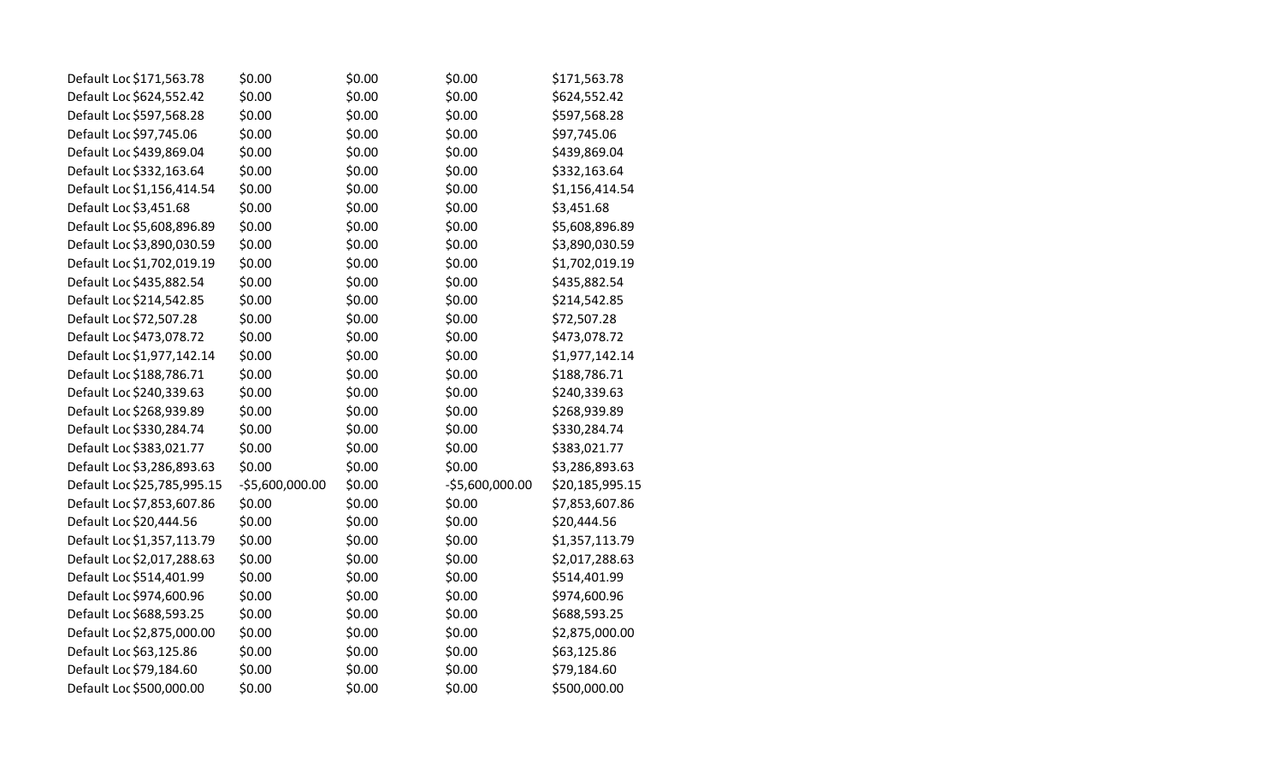| Default Loc \$171,563.78    | \$0.00           | \$0.00 | \$0.00          | \$171,563.78    |
|-----------------------------|------------------|--------|-----------------|-----------------|
| Default Loc \$624,552.42    | \$0.00           | \$0.00 | \$0.00          | \$624,552.42    |
| Default Loc \$597,568.28    | \$0.00           | \$0.00 | \$0.00          | \$597,568.28    |
| Default Loc \$97,745.06     | \$0.00           | \$0.00 | \$0.00          | \$97,745.06     |
| Default Loc \$439,869.04    | \$0.00           | \$0.00 | \$0.00          | \$439,869.04    |
| Default Loc \$332,163.64    | \$0.00           | \$0.00 | \$0.00          | \$332,163.64    |
| Default Loc \$1,156,414.54  | \$0.00           | \$0.00 | \$0.00          | \$1,156,414.54  |
| Default Loc \$3,451.68      | \$0.00           | \$0.00 | \$0.00          | \$3,451.68      |
| Default Loc \$5,608,896.89  | \$0.00           | \$0.00 | \$0.00          | \$5,608,896.89  |
| Default Loc \$3,890,030.59  | \$0.00           | \$0.00 | \$0.00          | \$3,890,030.59  |
| Default Loc \$1,702,019.19  | \$0.00           | \$0.00 | \$0.00          | \$1,702,019.19  |
| Default Loc \$435,882.54    | \$0.00           | \$0.00 | \$0.00          | \$435,882.54    |
| Default Loc \$214,542.85    | \$0.00           | \$0.00 | \$0.00          | \$214,542.85    |
| Default Loc \$72,507.28     | \$0.00           | \$0.00 | \$0.00          | \$72,507.28     |
| Default Loc \$473,078.72    | \$0.00           | \$0.00 | \$0.00          | \$473,078.72    |
| Default Loc \$1,977,142.14  | \$0.00           | \$0.00 | \$0.00          | \$1,977,142.14  |
| Default Loc \$188,786.71    | \$0.00           | \$0.00 | \$0.00          | \$188,786.71    |
| Default Loc \$240,339.63    | \$0.00           | \$0.00 | \$0.00          | \$240,339.63    |
| Default Loc \$268,939.89    | \$0.00           | \$0.00 | \$0.00          | \$268,939.89    |
| Default Loc \$330,284.74    | \$0.00           | \$0.00 | \$0.00          | \$330,284.74    |
| Default Loc \$383,021.77    | \$0.00           | \$0.00 | \$0.00          | \$383,021.77    |
| Default Loc \$3,286,893.63  | \$0.00           | \$0.00 | \$0.00          | \$3,286,893.63  |
| Default Loc \$25,785,995.15 | $-55,600,000.00$ | \$0.00 | -\$5,600,000.00 | \$20,185,995.15 |
| Default Loc \$7,853,607.86  | \$0.00           | \$0.00 | \$0.00          | \$7,853,607.86  |
| Default Loc \$20,444.56     | \$0.00           | \$0.00 | \$0.00          | \$20,444.56     |
| Default Loc \$1,357,113.79  | \$0.00           | \$0.00 | \$0.00          | \$1,357,113.79  |
| Default Loc \$2,017,288.63  | \$0.00           | \$0.00 | \$0.00          | \$2,017,288.63  |
| Default Loc \$514,401.99    | \$0.00           | \$0.00 | \$0.00          | \$514,401.99    |
| Default Loc \$974,600.96    | \$0.00           | \$0.00 | \$0.00          | \$974,600.96    |
| Default Loc \$688,593.25    | \$0.00           | \$0.00 | \$0.00          | \$688,593.25    |
| Default Loc \$2,875,000.00  | \$0.00           | \$0.00 | \$0.00          | \$2,875,000.00  |
| Default Loc \$63,125.86     | \$0.00           | \$0.00 | \$0.00          | \$63,125.86     |
| Default Loc \$79,184.60     | \$0.00           | \$0.00 | \$0.00          | \$79,184.60     |
| Default Loc \$500,000.00    | \$0.00           | \$0.00 | \$0.00          | \$500,000.00    |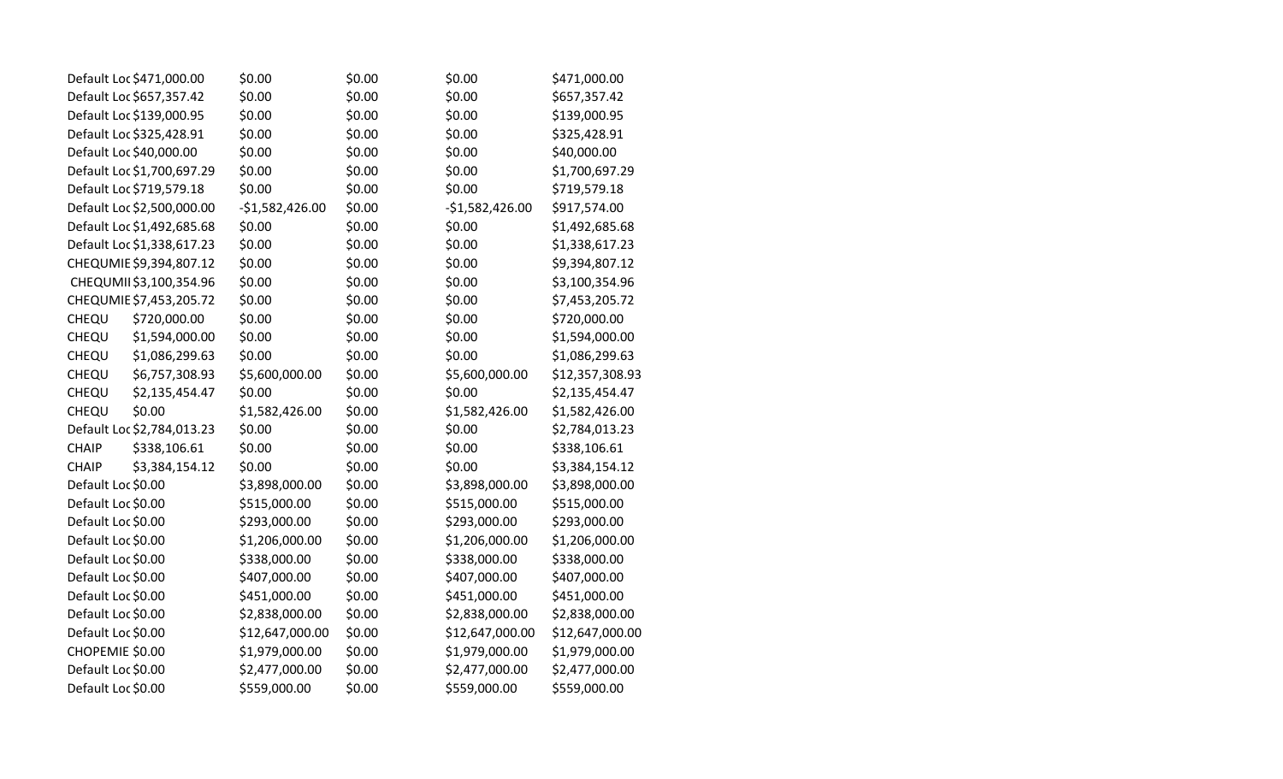|                          | Default Loc \$471,000.00   | \$0.00           | \$0.00 | \$0.00           | \$471,000.00    |
|--------------------------|----------------------------|------------------|--------|------------------|-----------------|
| Default Loc \$657,357.42 |                            | \$0.00           | \$0.00 | \$0.00           | \$657,357.42    |
|                          | Default Loc \$139,000.95   | \$0.00           | \$0.00 | \$0.00           | \$139,000.95    |
|                          | Default Loc \$325,428.91   | \$0.00           | \$0.00 | \$0.00           | \$325,428.91    |
|                          | Default Loc \$40,000.00    | \$0.00           | \$0.00 | \$0.00           | \$40,000.00     |
|                          | Default Loc \$1,700,697.29 | \$0.00           | \$0.00 | \$0.00           | \$1,700,697.29  |
|                          | Default Loc \$719,579.18   | \$0.00           | \$0.00 | \$0.00           | \$719,579.18    |
|                          | Default Loc \$2,500,000.00 | $-$1,582,426.00$ | \$0.00 | $-51,582,426.00$ | \$917,574.00    |
|                          | Default Loc \$1,492,685.68 | \$0.00           | \$0.00 | \$0.00           | \$1,492,685.68  |
|                          | Default Loc \$1,338,617.23 | \$0.00           | \$0.00 | \$0.00           | \$1,338,617.23  |
|                          | CHEQUMIE \$9,394,807.12    | \$0.00           | \$0.00 | \$0.00           | \$9,394,807.12  |
|                          | CHEQUMII \$3,100,354.96    | \$0.00           | \$0.00 | \$0.00           | \$3,100,354.96  |
|                          | CHEQUMIE \$7,453,205.72    | \$0.00           | \$0.00 | \$0.00           | \$7,453,205.72  |
| CHEQU                    | \$720,000.00               | \$0.00           | \$0.00 | \$0.00           | \$720,000.00    |
| CHEQU                    | \$1,594,000.00             | \$0.00           | \$0.00 | \$0.00           | \$1,594,000.00  |
| CHEQU                    | \$1,086,299.63             | \$0.00           | \$0.00 | \$0.00           | \$1,086,299.63  |
| CHEQU                    | \$6,757,308.93             | \$5,600,000.00   | \$0.00 | \$5,600,000.00   | \$12,357,308.93 |
| CHEQU                    | \$2,135,454.47             | \$0.00           | \$0.00 | \$0.00           | \$2,135,454.47  |
| CHEQU                    | \$0.00                     | \$1,582,426.00   | \$0.00 | \$1,582,426.00   | \$1,582,426.00  |
|                          | Default Loc \$2,784,013.23 | \$0.00           | \$0.00 | \$0.00           | \$2,784,013.23  |
| <b>CHAIP</b>             | \$338,106.61               | \$0.00           | \$0.00 | \$0.00           | \$338,106.61    |
| <b>CHAIP</b>             | \$3,384,154.12             | \$0.00           | \$0.00 | \$0.00           | \$3,384,154.12  |
| Default Loc \$0.00       |                            | \$3,898,000.00   | \$0.00 | \$3,898,000.00   | \$3,898,000.00  |
| Default Loc \$0.00       |                            | \$515,000.00     | \$0.00 | \$515,000.00     | \$515,000.00    |
| Default Loc \$0.00       |                            | \$293,000.00     | \$0.00 | \$293,000.00     | \$293,000.00    |
| Default Loc \$0.00       |                            | \$1,206,000.00   | \$0.00 | \$1,206,000.00   | \$1,206,000.00  |
| Default Loc \$0.00       |                            | \$338,000.00     | \$0.00 | \$338,000.00     | \$338,000.00    |
| Default Loc \$0.00       |                            | \$407,000.00     | \$0.00 | \$407,000.00     | \$407,000.00    |
| Default Loc \$0.00       |                            | \$451,000.00     | \$0.00 | \$451,000.00     | \$451,000.00    |
| Default Loc \$0.00       |                            | \$2,838,000.00   | \$0.00 | \$2,838,000.00   | \$2,838,000.00  |
| Default Loc \$0.00       |                            | \$12,647,000.00  | \$0.00 | \$12,647,000.00  | \$12,647,000.00 |
| CHOPEMIE \$0.00          |                            | \$1,979,000.00   | \$0.00 | \$1,979,000.00   | \$1,979,000.00  |
| Default Loc \$0.00       |                            | \$2,477,000.00   | \$0.00 | \$2,477,000.00   | \$2,477,000.00  |
| Default Loc \$0.00       |                            | \$559,000.00     | \$0.00 | \$559,000.00     | \$559,000.00    |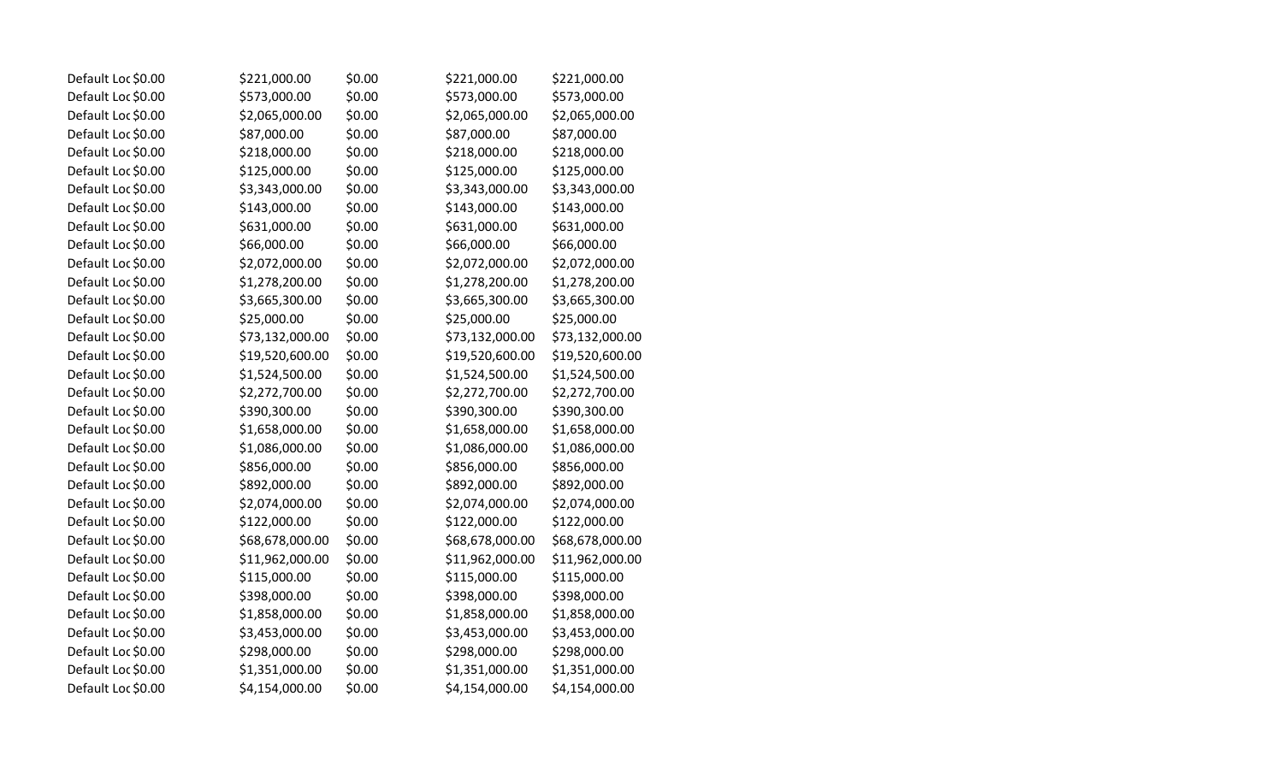| Default Loc \$0.00 | \$221,000.00    | \$0.00 | \$221,000.00    | \$221,000.00    |
|--------------------|-----------------|--------|-----------------|-----------------|
| Default Loc \$0.00 | \$573,000.00    | \$0.00 | \$573,000.00    | \$573,000.00    |
| Default Loc \$0.00 | \$2,065,000.00  | \$0.00 | \$2,065,000.00  | \$2,065,000.00  |
| Default Loc \$0.00 | \$87,000.00     | \$0.00 | \$87,000.00     | \$87,000.00     |
| Default Loc \$0.00 | \$218,000.00    | \$0.00 | \$218,000.00    | \$218,000.00    |
| Default Loc \$0.00 | \$125,000.00    | \$0.00 | \$125,000.00    | \$125,000.00    |
| Default Loc \$0.00 | \$3,343,000.00  | \$0.00 | \$3,343,000.00  | \$3,343,000.00  |
| Default Loc \$0.00 | \$143,000.00    | \$0.00 | \$143,000.00    | \$143,000.00    |
| Default Loc \$0.00 | \$631,000.00    | \$0.00 | \$631,000.00    | \$631,000.00    |
| Default Loc \$0.00 | \$66,000.00     | \$0.00 | \$66,000.00     | \$66,000.00     |
| Default Loc \$0.00 | \$2,072,000.00  | \$0.00 | \$2,072,000.00  | \$2,072,000.00  |
| Default Loc \$0.00 | \$1,278,200.00  | \$0.00 | \$1,278,200.00  | \$1,278,200.00  |
| Default Loc \$0.00 | \$3,665,300.00  | \$0.00 | \$3,665,300.00  | \$3,665,300.00  |
| Default Loc \$0.00 | \$25,000.00     | \$0.00 | \$25,000.00     | \$25,000.00     |
| Default Loc \$0.00 | \$73,132,000.00 | \$0.00 | \$73,132,000.00 | \$73,132,000.00 |
| Default Loc \$0.00 | \$19,520,600.00 | \$0.00 | \$19,520,600.00 | \$19,520,600.00 |
| Default Loc \$0.00 | \$1,524,500.00  | \$0.00 | \$1,524,500.00  | \$1,524,500.00  |
| Default Loc \$0.00 | \$2,272,700.00  | \$0.00 | \$2,272,700.00  | \$2,272,700.00  |
| Default Loc \$0.00 | \$390,300.00    | \$0.00 | \$390,300.00    | \$390,300.00    |
| Default Loc \$0.00 | \$1,658,000.00  | \$0.00 | \$1,658,000.00  | \$1,658,000.00  |
| Default Loc \$0.00 | \$1,086,000.00  | \$0.00 | \$1,086,000.00  | \$1,086,000.00  |
| Default Loc \$0.00 | \$856,000.00    | \$0.00 | \$856,000.00    | \$856,000.00    |
| Default Loc \$0.00 | \$892,000.00    | \$0.00 | \$892,000.00    | \$892,000.00    |
| Default Loc \$0.00 | \$2,074,000.00  | \$0.00 | \$2,074,000.00  | \$2,074,000.00  |
| Default Loc \$0.00 | \$122,000.00    | \$0.00 | \$122,000.00    | \$122,000.00    |
| Default Loc \$0.00 | \$68,678,000.00 | \$0.00 | \$68,678,000.00 | \$68,678,000.00 |
| Default Loc \$0.00 | \$11,962,000.00 | \$0.00 | \$11,962,000.00 | \$11,962,000.00 |
| Default Loc \$0.00 | \$115,000.00    | \$0.00 | \$115,000.00    | \$115,000.00    |
| Default Loc \$0.00 | \$398,000.00    | \$0.00 | \$398,000.00    | \$398,000.00    |
| Default Loc \$0.00 | \$1,858,000.00  | \$0.00 | \$1,858,000.00  | \$1,858,000.00  |
| Default Loc \$0.00 | \$3,453,000.00  | \$0.00 | \$3,453,000.00  | \$3,453,000.00  |
| Default Loc \$0.00 | \$298,000.00    | \$0.00 | \$298,000.00    | \$298,000.00    |
| Default Loc \$0.00 | \$1,351,000.00  | \$0.00 | \$1,351,000.00  | \$1,351,000.00  |
| Default Loc \$0.00 | \$4,154,000.00  | \$0.00 | \$4,154,000.00  | \$4,154,000.00  |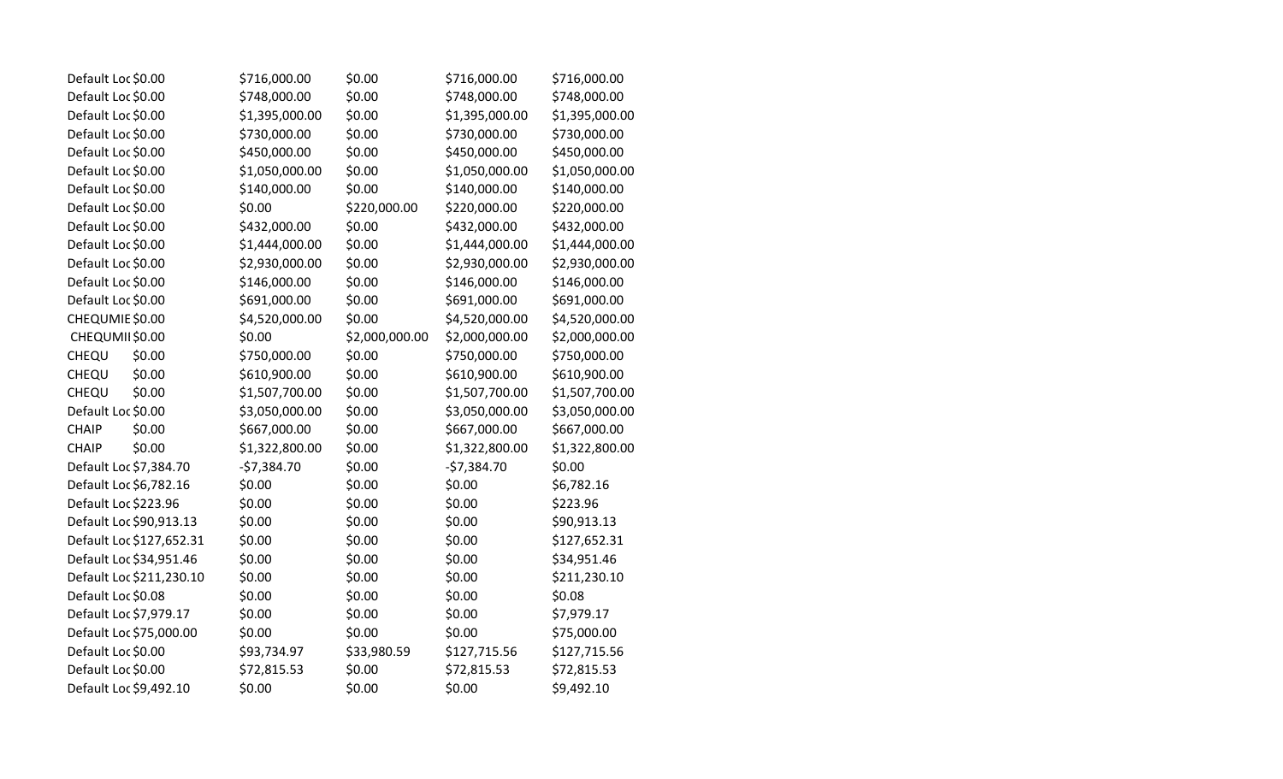| Default Loc \$0.00       | \$716,000.00   | \$0.00         | \$716,000.00   | \$716,000.00   |
|--------------------------|----------------|----------------|----------------|----------------|
| Default Loc \$0.00       | \$748,000.00   | \$0.00         | \$748,000.00   | \$748,000.00   |
| Default Loc \$0.00       | \$1,395,000.00 | \$0.00         | \$1,395,000.00 | \$1,395,000.00 |
| Default Loc \$0.00       | \$730,000.00   | \$0.00         | \$730,000.00   | \$730,000.00   |
| Default Loc \$0.00       | \$450,000.00   | \$0.00         | \$450,000.00   | \$450,000.00   |
| Default Loc \$0.00       | \$1,050,000.00 | \$0.00         | \$1,050,000.00 | \$1,050,000.00 |
| Default Loc \$0.00       | \$140,000.00   | \$0.00         | \$140,000.00   | \$140,000.00   |
| Default Loc \$0.00       | \$0.00         | \$220,000.00   | \$220,000.00   | \$220,000.00   |
| Default Loc \$0.00       | \$432,000.00   | \$0.00         | \$432,000.00   | \$432,000.00   |
| Default Loc \$0.00       | \$1,444,000.00 | \$0.00         | \$1,444,000.00 | \$1,444,000.00 |
| Default Loc \$0.00       | \$2,930,000.00 | \$0.00         | \$2,930,000.00 | \$2,930,000.00 |
| Default Loc \$0.00       | \$146,000.00   | \$0.00         | \$146,000.00   | \$146,000.00   |
| Default Loc \$0.00       | \$691,000.00   | \$0.00         | \$691,000.00   | \$691,000.00   |
| CHEQUMIE \$0.00          | \$4,520,000.00 | \$0.00         | \$4,520,000.00 | \$4,520,000.00 |
| CHEQUMII \$0.00          | \$0.00         | \$2,000,000.00 | \$2,000,000.00 | \$2,000,000.00 |
| CHEQU<br>\$0.00          | \$750,000.00   | \$0.00         | \$750,000.00   | \$750,000.00   |
| CHEQU<br>\$0.00          | \$610,900.00   | \$0.00         | \$610,900.00   | \$610,900.00   |
| CHEQU<br>\$0.00          | \$1,507,700.00 | \$0.00         | \$1,507,700.00 | \$1,507,700.00 |
| Default Loc \$0.00       | \$3,050,000.00 | \$0.00         | \$3,050,000.00 | \$3,050,000.00 |
| \$0.00<br><b>CHAIP</b>   | \$667,000.00   | \$0.00         | \$667,000.00   | \$667,000.00   |
| \$0.00<br><b>CHAIP</b>   | \$1,322,800.00 | \$0.00         | \$1,322,800.00 | \$1,322,800.00 |
| Default Loc \$7,384.70   | $-57,384.70$   | \$0.00         | $-57,384.70$   | \$0.00         |
| Default Loc \$6,782.16   | \$0.00         | \$0.00         | \$0.00         | \$6,782.16     |
| Default Loc \$223.96     | \$0.00         | \$0.00         | \$0.00         | \$223.96       |
| Default Loc \$90,913.13  | \$0.00         | \$0.00         | \$0.00         | \$90,913.13    |
| Default Loc \$127,652.31 | \$0.00         | \$0.00         | \$0.00         | \$127,652.31   |
| Default Loc \$34,951.46  | \$0.00         | \$0.00         | \$0.00         | \$34,951.46    |
| Default Loc \$211,230.10 | \$0.00         | \$0.00         | \$0.00         | \$211,230.10   |
| Default Loc \$0.08       | \$0.00         | \$0.00         | \$0.00         | \$0.08         |
| Default Loc \$7,979.17   | \$0.00         | \$0.00         | \$0.00         | \$7,979.17     |
| Default Loc \$75,000.00  | \$0.00         | \$0.00         | \$0.00         | \$75,000.00    |
| Default Loc \$0.00       | \$93,734.97    | \$33,980.59    | \$127,715.56   | \$127,715.56   |
| Default Loc \$0.00       | \$72,815.53    | \$0.00         | \$72,815.53    | \$72,815.53    |
| Default Loc \$9,492.10   | \$0.00         | \$0.00         | \$0.00         | \$9,492.10     |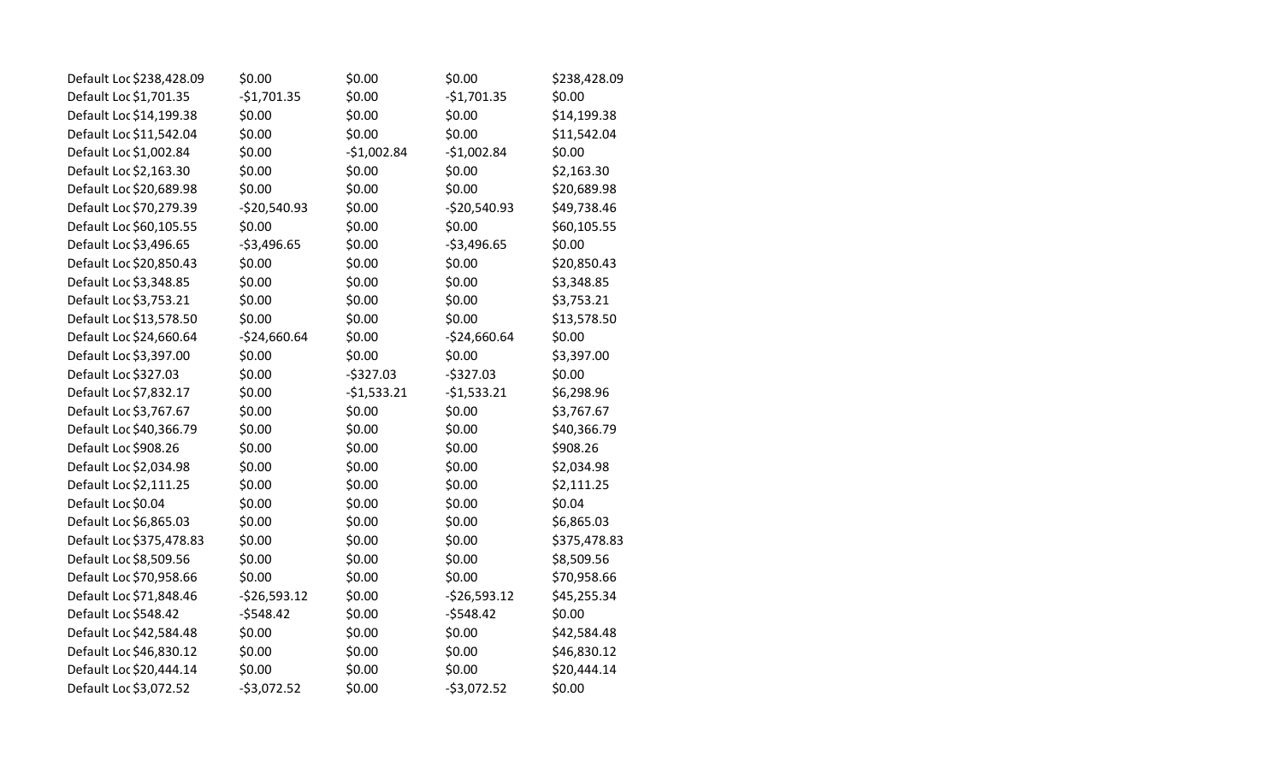| Default Loc \$238,428.09 | \$0.00        | \$0.00       | \$0.00        | \$238,428.09 |
|--------------------------|---------------|--------------|---------------|--------------|
| Default Loc \$1,701.35   | $-$1,701.35$  | \$0.00       | $-$1,701.35$  | \$0.00       |
| Default Loc \$14,199.38  | \$0.00        | \$0.00       | \$0.00        | \$14,199.38  |
| Default Loc \$11,542.04  | \$0.00        | \$0.00       | \$0.00        | \$11,542.04  |
| Default Loc \$1,002.84   | \$0.00        | $-$1,002.84$ | $-$1,002.84$  | \$0.00       |
| Default Loc \$2,163.30   | \$0.00        | \$0.00       | \$0.00        | \$2,163.30   |
| Default Loc \$20,689.98  | \$0.00        | \$0.00       | \$0.00        | \$20,689.98  |
| Default Loc \$70,279.39  | $-$20,540.93$ | \$0.00       | $-$20,540.93$ | \$49,738.46  |
| Default Loc \$60,105.55  | \$0.00        | \$0.00       | \$0.00        | \$60,105.55  |
| Default Loc \$3,496.65   | $-$3,496.65$  | \$0.00       | $-$3,496.65$  | \$0.00       |
| Default Loc \$20,850.43  | \$0.00        | \$0.00       | \$0.00        | \$20,850.43  |
| Default Loc \$3,348.85   | \$0.00        | \$0.00       | \$0.00        | \$3,348.85   |
| Default Loc \$3,753.21   | \$0.00        | \$0.00       | \$0.00        | \$3,753.21   |
| Default Loc \$13,578.50  | \$0.00        | \$0.00       | \$0.00        | \$13,578.50  |
| Default Loc \$24,660.64  | $-$24,660.64$ | \$0.00       | $-$24,660.64$ | \$0.00       |
| Default Loc \$3,397.00   | \$0.00        | \$0.00       | \$0.00        | \$3,397.00   |
| Default Loc \$327.03     | \$0.00        | $-5327.03$   | $-5327.03$    | \$0.00       |
| Default Loc \$7,832.17   | \$0.00        | $-$1,533.21$ | $-$1,533.21$  | \$6,298.96   |
| Default Loc \$3,767.67   | \$0.00        | \$0.00       | \$0.00        | \$3,767.67   |
| Default Loc \$40,366.79  | \$0.00        | \$0.00       | \$0.00        | \$40,366.79  |
| Default Loc \$908.26     | \$0.00        | \$0.00       | \$0.00        | \$908.26     |
| Default Loc \$2,034.98   | \$0.00        | \$0.00       | \$0.00        | \$2,034.98   |
| Default Loc \$2,111.25   | \$0.00        | \$0.00       | \$0.00        | \$2,111.25   |
| Default Loc \$0.04       | \$0.00        | \$0.00       | \$0.00        | \$0.04       |
| Default Loc \$6,865.03   | \$0.00        | \$0.00       | \$0.00        | \$6,865.03   |
| Default Loc \$375,478.83 | \$0.00        | \$0.00       | \$0.00        | \$375,478.83 |
| Default Loc \$8,509.56   | \$0.00        | \$0.00       | \$0.00        | \$8,509.56   |
| Default Loc \$70,958.66  | \$0.00        | \$0.00       | \$0.00        | \$70,958.66  |
| Default Loc \$71,848.46  | $-526,593.12$ | \$0.00       | $-526,593.12$ | \$45,255.34  |
| Default Loc \$548.42     | $-5548.42$    | \$0.00       | $-5548.42$    | \$0.00       |
| Default Loc \$42,584.48  | \$0.00        | \$0.00       | \$0.00        | \$42,584.48  |
| Default Loc \$46,830.12  | \$0.00        | \$0.00       | \$0.00        | \$46,830.12  |
| Default Loc \$20,444.14  | \$0.00        | \$0.00       | \$0.00        | \$20,444.14  |
| Default Loc \$3,072.52   | $-53,072.52$  | \$0.00       | $-53,072.52$  | \$0.00       |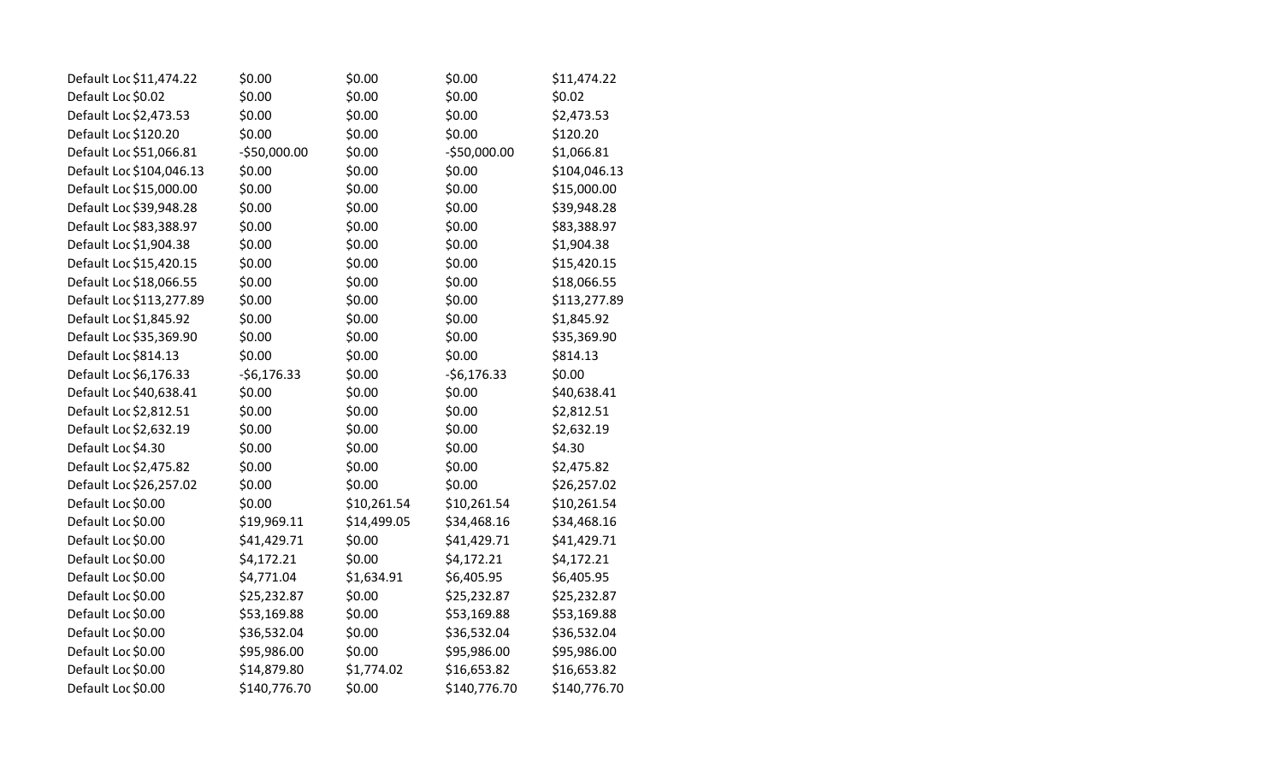| Default Loc \$11,474.22  | \$0.00        | \$0.00      | \$0.00        | \$11,474.22  |
|--------------------------|---------------|-------------|---------------|--------------|
| Default Loc \$0.02       | \$0.00        | \$0.00      | \$0.00        | \$0.02       |
| Default Loc \$2,473.53   | \$0.00        | \$0.00      | \$0.00        | \$2,473.53   |
| Default Loc \$120.20     | \$0.00        | \$0.00      | \$0.00        | \$120.20     |
| Default Loc \$51,066.81  | $-$50,000.00$ | \$0.00      | $-$50,000.00$ | \$1,066.81   |
| Default Loc \$104,046.13 | \$0.00        | \$0.00      | \$0.00        | \$104,046.13 |
| Default Loc \$15,000.00  | \$0.00        | \$0.00      | \$0.00        | \$15,000.00  |
| Default Loc \$39,948.28  | \$0.00        | \$0.00      | \$0.00        | \$39,948.28  |
| Default Loc \$83,388.97  | \$0.00        | \$0.00      | \$0.00        | \$83,388.97  |
| Default Loc \$1,904.38   | \$0.00        | \$0.00      | \$0.00        | \$1,904.38   |
| Default Loc \$15,420.15  | \$0.00        | \$0.00      | \$0.00        | \$15,420.15  |
| Default Loc \$18,066.55  | \$0.00        | \$0.00      | \$0.00        | \$18,066.55  |
| Default Loc \$113,277.89 | \$0.00        | \$0.00      | \$0.00        | \$113,277.89 |
| Default Loc \$1,845.92   | \$0.00        | \$0.00      | \$0.00        | \$1,845.92   |
| Default Loc \$35,369.90  | \$0.00        | \$0.00      | \$0.00        | \$35,369.90  |
| Default Loc \$814.13     | \$0.00        | \$0.00      | \$0.00        | \$814.13     |
| Default Loc \$6,176.33   | $-56,176.33$  | \$0.00      | $-56,176.33$  | \$0.00       |
| Default Loc \$40,638.41  | \$0.00        | \$0.00      | \$0.00        | \$40,638.41  |
| Default Loc \$2,812.51   | \$0.00        | \$0.00      | \$0.00        | \$2,812.51   |
| Default Loc \$2,632.19   | \$0.00        | \$0.00      | \$0.00        | \$2,632.19   |
| Default Loc \$4.30       | \$0.00        | \$0.00      | \$0.00        | \$4.30       |
| Default Loc \$2,475.82   | \$0.00        | \$0.00      | \$0.00        | \$2,475.82   |
| Default Loc \$26,257.02  | \$0.00        | \$0.00      | \$0.00        | \$26,257.02  |
| Default Loc \$0.00       | \$0.00        | \$10,261.54 | \$10,261.54   | \$10,261.54  |
| Default Loc \$0.00       | \$19,969.11   | \$14,499.05 | \$34,468.16   | \$34,468.16  |
| Default Loc \$0.00       | \$41,429.71   | \$0.00      | \$41,429.71   | \$41,429.71  |
| Default Loc \$0.00       | \$4,172.21    | \$0.00      | \$4,172.21    | \$4,172.21   |
| Default Loc \$0.00       | \$4,771.04    | \$1,634.91  | \$6,405.95    | \$6,405.95   |
| Default Loc \$0.00       | \$25,232.87   | \$0.00      | \$25,232.87   | \$25,232.87  |
| Default Loc \$0.00       | \$53,169.88   | \$0.00      | \$53,169.88   | \$53,169.88  |
| Default Loc \$0.00       | \$36,532.04   | \$0.00      | \$36,532.04   | \$36,532.04  |
| Default Loc \$0.00       | \$95,986.00   | \$0.00      | \$95,986.00   | \$95,986.00  |
| Default Loc \$0.00       | \$14,879.80   | \$1,774.02  | \$16,653.82   | \$16,653.82  |
| Default Loc \$0.00       | \$140,776.70  | \$0.00      | \$140,776.70  | \$140,776.70 |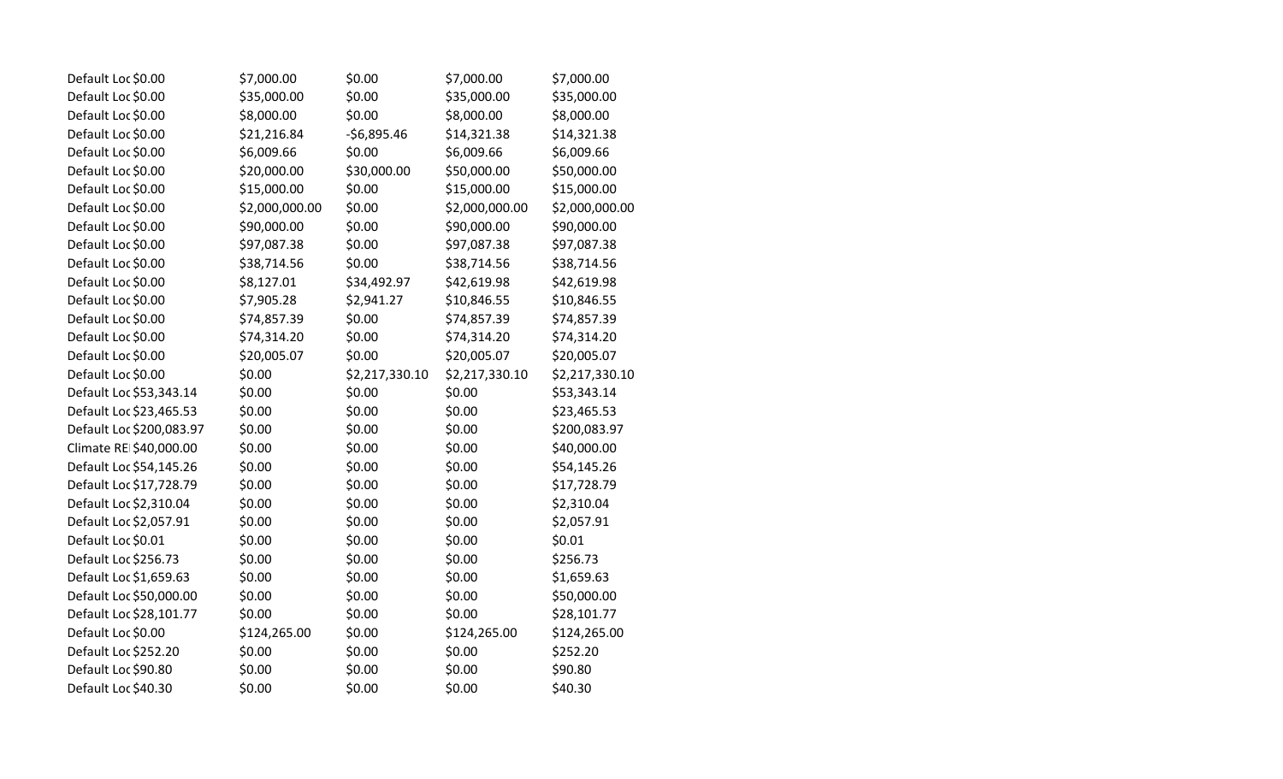| Default Loc \$0.00       | \$7,000.00     | \$0.00         | \$7,000.00     | \$7,000.00     |
|--------------------------|----------------|----------------|----------------|----------------|
| Default Loc \$0.00       | \$35,000.00    | \$0.00         | \$35,000.00    | \$35,000.00    |
| Default Loc \$0.00       | \$8,000.00     | \$0.00         | \$8,000.00     | \$8,000.00     |
| Default Loc \$0.00       | \$21,216.84    | $-$6,895.46$   | \$14,321.38    | \$14,321.38    |
| Default Loc \$0.00       | \$6,009.66     | \$0.00         | \$6,009.66     | \$6,009.66     |
| Default Loc \$0.00       | \$20,000.00    | \$30,000.00    | \$50,000.00    | \$50,000.00    |
| Default Loc \$0.00       | \$15,000.00    | \$0.00         | \$15,000.00    | \$15,000.00    |
| Default Loc \$0.00       | \$2,000,000.00 | \$0.00         | \$2,000,000.00 | \$2,000,000.00 |
| Default Loc \$0.00       | \$90,000.00    | \$0.00         | \$90,000.00    | \$90,000.00    |
| Default Loc \$0.00       | \$97,087.38    | \$0.00         | \$97,087.38    | \$97,087.38    |
| Default Loc \$0.00       | \$38,714.56    | \$0.00         | \$38,714.56    | \$38,714.56    |
| Default Loc \$0.00       | \$8,127.01     | \$34,492.97    | \$42,619.98    | \$42,619.98    |
| Default Loc \$0.00       | \$7,905.28     | \$2,941.27     | \$10,846.55    | \$10,846.55    |
| Default Loc \$0.00       | \$74,857.39    | \$0.00         | \$74,857.39    | \$74,857.39    |
| Default Loc \$0.00       | \$74,314.20    | \$0.00         | \$74,314.20    | \$74,314.20    |
| Default Loc \$0.00       | \$20,005.07    | \$0.00         | \$20,005.07    | \$20,005.07    |
| Default Loc \$0.00       | \$0.00         | \$2,217,330.10 | \$2,217,330.10 | \$2,217,330.10 |
| Default Loc \$53,343.14  | \$0.00         | \$0.00         | \$0.00         | \$53,343.14    |
| Default Loc \$23,465.53  | \$0.00         | \$0.00         | \$0.00         | \$23,465.53    |
| Default Loc \$200,083.97 | \$0.00         | \$0.00         | \$0.00         | \$200,083.97   |
| Climate REI\$40,000.00   | \$0.00         | \$0.00         | \$0.00         | \$40,000.00    |
| Default Loc \$54,145.26  | \$0.00         | \$0.00         | \$0.00         | \$54,145.26    |
| Default Loc \$17,728.79  | \$0.00         | \$0.00         | \$0.00         | \$17,728.79    |
| Default Loc \$2,310.04   | \$0.00         | \$0.00         | \$0.00         | \$2,310.04     |
| Default Loc \$2,057.91   | \$0.00         | \$0.00         | \$0.00         | \$2,057.91     |
| Default Loc \$0.01       | \$0.00         | \$0.00         | \$0.00         | \$0.01         |
| Default Loc \$256.73     | \$0.00         | \$0.00         | \$0.00         | \$256.73       |
| Default Loc \$1,659.63   | \$0.00         | \$0.00         | \$0.00         | \$1,659.63     |
| Default Loc \$50,000.00  | \$0.00         | \$0.00         | \$0.00         | \$50,000.00    |
| Default Loc \$28,101.77  | \$0.00         | \$0.00         | \$0.00         | \$28,101.77    |
| Default Loc \$0.00       | \$124,265.00   | \$0.00         | \$124,265.00   | \$124,265.00   |
| Default Loc \$252.20     | \$0.00         | \$0.00         | \$0.00         | \$252.20       |
| Default Loc \$90.80      | \$0.00         | \$0.00         | \$0.00         | \$90.80        |
| Default Loc \$40.30      | \$0.00         | \$0.00         | \$0.00         | \$40.30        |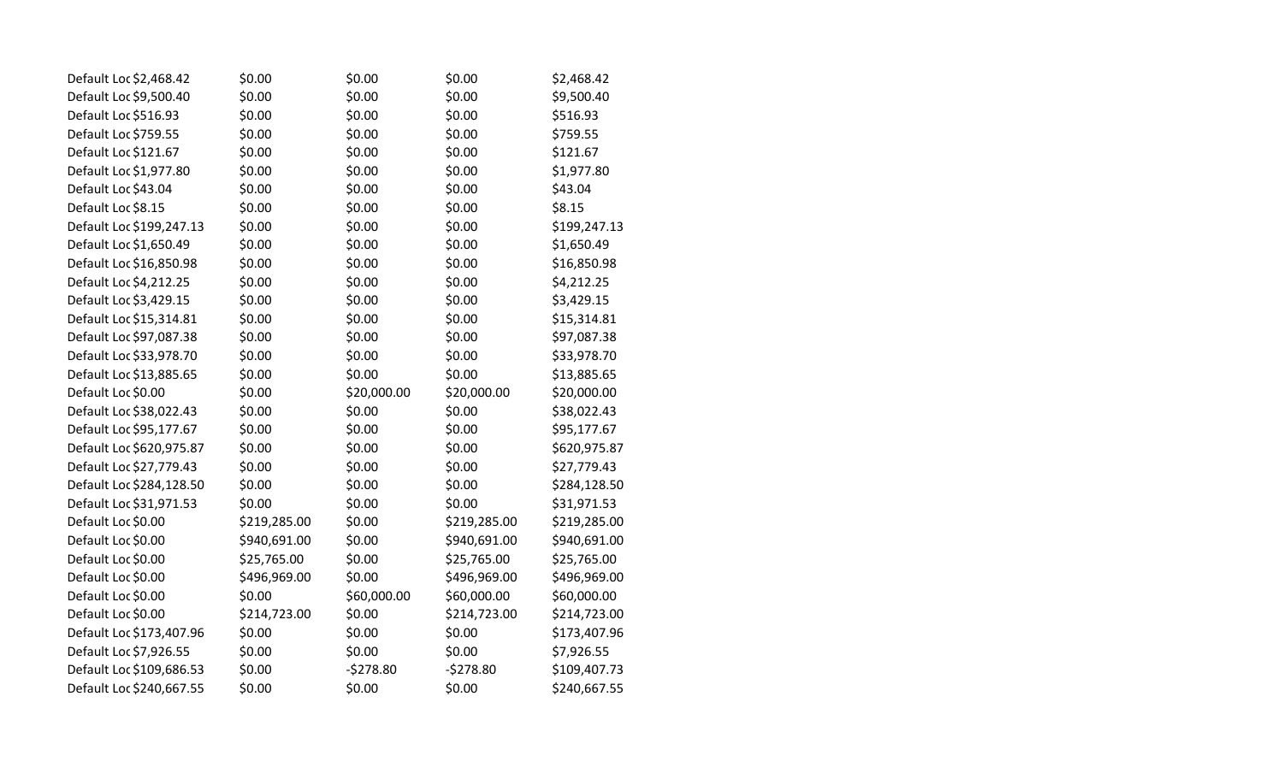| Default Loc \$2,468.42   | \$0.00       | \$0.00      | \$0.00       | \$2,468.42   |
|--------------------------|--------------|-------------|--------------|--------------|
| Default Loc \$9,500.40   | \$0.00       | \$0.00      | \$0.00       | \$9,500.40   |
| Default Loc \$516.93     | \$0.00       | \$0.00      | \$0.00       | \$516.93     |
| Default Loc \$759.55     | \$0.00       | \$0.00      | \$0.00       | \$759.55     |
| Default Loc \$121.67     | \$0.00       | \$0.00      | \$0.00       | \$121.67     |
| Default Loc \$1,977.80   | \$0.00       | \$0.00      | \$0.00       | \$1,977.80   |
| Default Loc \$43.04      | \$0.00       | \$0.00      | \$0.00       | \$43.04      |
| Default Loc \$8.15       | \$0.00       | \$0.00      | \$0.00       | \$8.15       |
| Default Loc \$199,247.13 | \$0.00       | \$0.00      | \$0.00       | \$199,247.13 |
| Default Loc \$1,650.49   | \$0.00       | \$0.00      | \$0.00       | \$1,650.49   |
| Default Loc \$16,850.98  | \$0.00       | \$0.00      | \$0.00       | \$16,850.98  |
| Default Loc \$4,212.25   | \$0.00       | \$0.00      | \$0.00       | \$4,212.25   |
| Default Loc \$3,429.15   | \$0.00       | \$0.00      | \$0.00       | \$3,429.15   |
| Default Loc \$15,314.81  | \$0.00       | \$0.00      | \$0.00       | \$15,314.81  |
| Default Loc \$97,087.38  | \$0.00       | \$0.00      | \$0.00       | \$97,087.38  |
| Default Loc \$33,978.70  | \$0.00       | \$0.00      | \$0.00       | \$33,978.70  |
| Default Loc \$13,885.65  | \$0.00       | \$0.00      | \$0.00       | \$13,885.65  |
| Default Loc \$0.00       | \$0.00       | \$20,000.00 | \$20,000.00  | \$20,000.00  |
| Default Loc \$38,022.43  | \$0.00       | \$0.00      | \$0.00       | \$38,022.43  |
| Default Loc \$95,177.67  | \$0.00       | \$0.00      | \$0.00       | \$95,177.67  |
| Default Loc \$620,975.87 | \$0.00       | \$0.00      | \$0.00       | \$620,975.87 |
| Default Loc \$27,779.43  | \$0.00       | \$0.00      | \$0.00       | \$27,779.43  |
| Default Loc \$284,128.50 | \$0.00       | \$0.00      | \$0.00       | \$284,128.50 |
| Default Loc \$31,971.53  | \$0.00       | \$0.00      | \$0.00       | \$31,971.53  |
| Default Loc \$0.00       | \$219,285.00 | \$0.00      | \$219,285.00 | \$219,285.00 |
| Default Loc \$0.00       | \$940,691.00 | \$0.00      | \$940,691.00 | \$940,691.00 |
| Default Loc \$0.00       | \$25,765.00  | \$0.00      | \$25,765.00  | \$25,765.00  |
| Default Loc \$0.00       | \$496,969.00 | \$0.00      | \$496,969.00 | \$496,969.00 |
| Default Loc \$0.00       | \$0.00       | \$60,000.00 | \$60,000.00  | \$60,000.00  |
| Default Loc \$0.00       | \$214,723.00 | \$0.00      | \$214,723.00 | \$214,723.00 |
| Default Loc \$173,407.96 | \$0.00       | \$0.00      | \$0.00       | \$173,407.96 |
| Default Loc \$7,926.55   | \$0.00       | \$0.00      | \$0.00       | \$7,926.55   |
| Default Loc \$109,686.53 | \$0.00       | $-5278.80$  | $-5278.80$   | \$109,407.73 |
| Default Loc \$240,667.55 | \$0.00       | \$0.00      | \$0.00       | \$240,667.55 |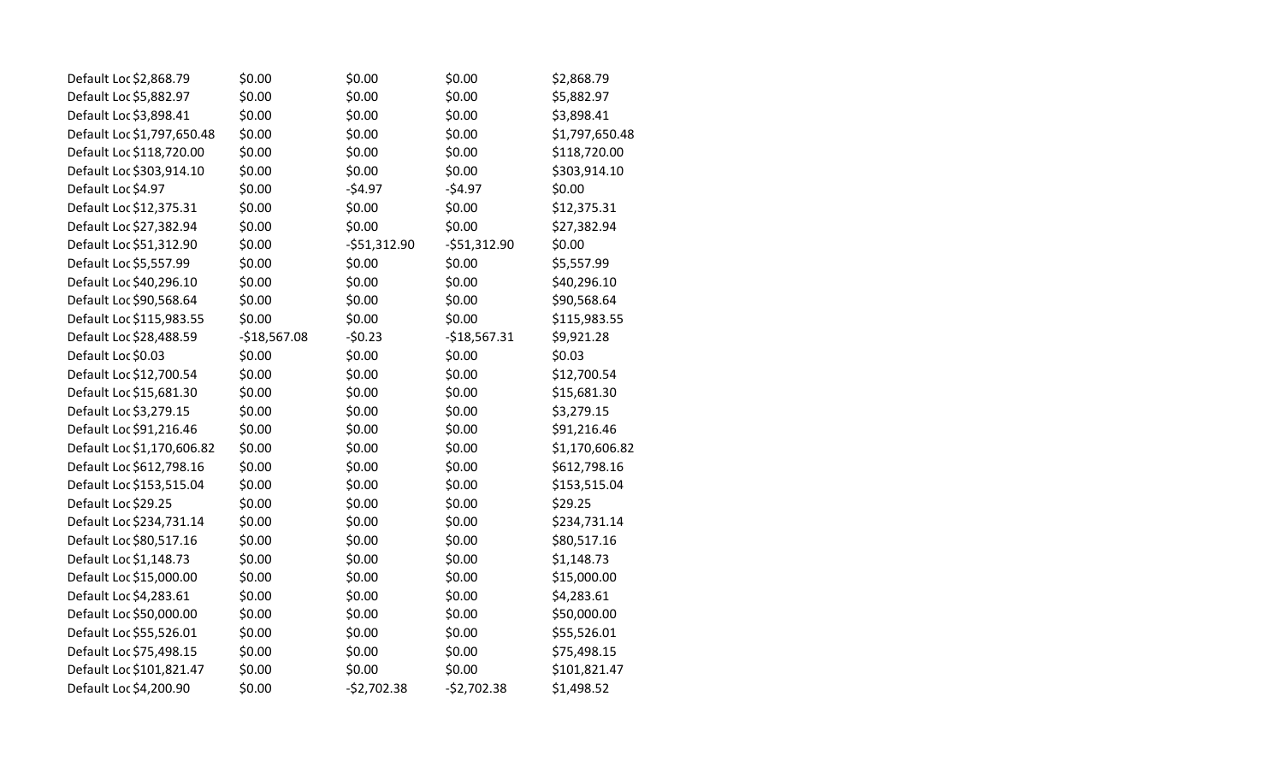| Default Loc \$2,868.79     | \$0.00        | \$0.00        | \$0.00        | \$2,868.79     |
|----------------------------|---------------|---------------|---------------|----------------|
| Default Loc \$5,882.97     | \$0.00        | \$0.00        | \$0.00        | \$5,882.97     |
| Default Loc \$3,898.41     | \$0.00        | \$0.00        | \$0.00        | \$3,898.41     |
| Default Loc \$1,797,650.48 | \$0.00        | \$0.00        | \$0.00        | \$1,797,650.48 |
| Default Loc \$118,720.00   | \$0.00        | \$0.00        | \$0.00        | \$118,720.00   |
| Default Loc \$303,914.10   | \$0.00        | \$0.00        | \$0.00        | \$303,914.10   |
| Default Loc \$4.97         | \$0.00        | $-54.97$      | $-54.97$      | \$0.00         |
| Default Loc \$12,375.31    | \$0.00        | \$0.00        | \$0.00        | \$12,375.31    |
| Default Loc \$27,382.94    | \$0.00        | \$0.00        | \$0.00        | \$27,382.94    |
| Default Loc \$51,312.90    | \$0.00        | $-551,312.90$ | $-551,312.90$ | \$0.00         |
| Default Loc \$5,557.99     | \$0.00        | \$0.00        | \$0.00        | \$5,557.99     |
| Default Loc \$40,296.10    | \$0.00        | \$0.00        | \$0.00        | \$40,296.10    |
| Default Loc \$90,568.64    | \$0.00        | \$0.00        | \$0.00        | \$90,568.64    |
| Default Loc \$115,983.55   | \$0.00        | \$0.00        | \$0.00        | \$115,983.55   |
| Default Loc \$28,488.59    | $-$18,567.08$ | $-50.23$      | $-$18,567.31$ | \$9,921.28     |
| Default Loc \$0.03         | \$0.00        | \$0.00        | \$0.00        | \$0.03         |
| Default Loc \$12,700.54    | \$0.00        | \$0.00        | \$0.00        | \$12,700.54    |
| Default Loc \$15,681.30    | \$0.00        | \$0.00        | \$0.00        | \$15,681.30    |
| Default Loc \$3,279.15     | \$0.00        | \$0.00        | \$0.00        | \$3,279.15     |
| Default Loc \$91,216.46    | \$0.00        | \$0.00        | \$0.00        | \$91,216.46    |
| Default Loc \$1,170,606.82 | \$0.00        | \$0.00        | \$0.00        | \$1,170,606.82 |
| Default Loc \$612,798.16   | \$0.00        | \$0.00        | \$0.00        | \$612,798.16   |
| Default Loc \$153,515.04   | \$0.00        | \$0.00        | \$0.00        | \$153,515.04   |
| Default Loc \$29.25        | \$0.00        | \$0.00        | \$0.00        | \$29.25        |
| Default Loc \$234,731.14   | \$0.00        | \$0.00        | \$0.00        | \$234,731.14   |
| Default Loc \$80,517.16    | \$0.00        | \$0.00        | \$0.00        | \$80,517.16    |
| Default Loc \$1,148.73     | \$0.00        | \$0.00        | \$0.00        | \$1,148.73     |
| Default Loc \$15,000.00    | \$0.00        | \$0.00        | \$0.00        | \$15,000.00    |
| Default Loc \$4,283.61     | \$0.00        | \$0.00        | \$0.00        | \$4,283.61     |
| Default Loc \$50,000.00    | \$0.00        | \$0.00        | \$0.00        | \$50,000.00    |
| Default Loc \$55,526.01    | \$0.00        | \$0.00        | \$0.00        | \$55,526.01    |
| Default Loc \$75,498.15    | \$0.00        | \$0.00        | \$0.00        | \$75,498.15    |
| Default Loc \$101,821.47   | \$0.00        | \$0.00        | \$0.00        | \$101,821.47   |
| Default Loc \$4,200.90     | \$0.00        | $-$2,702.38$  | $-52,702.38$  | \$1,498.52     |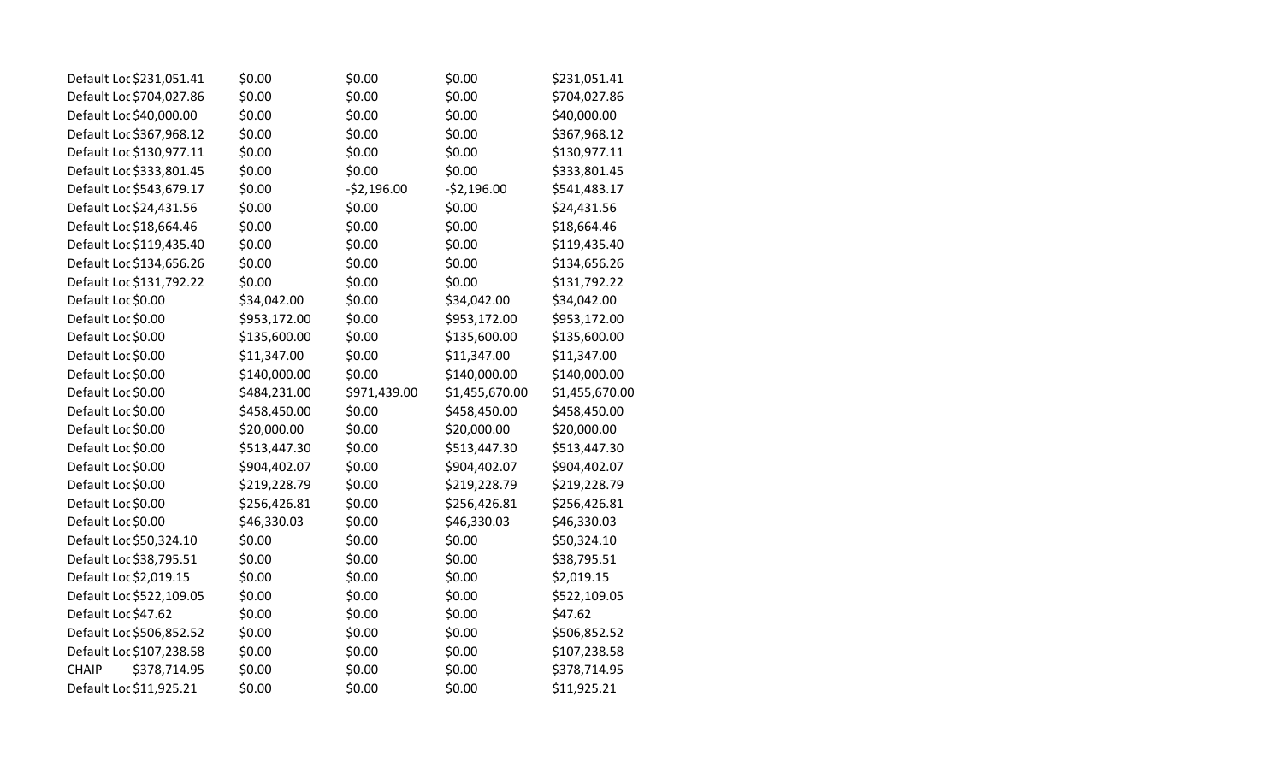| Default Loc \$231,051.41     | \$0.00       | \$0.00       | \$0.00         | \$231,051.41   |
|------------------------------|--------------|--------------|----------------|----------------|
| Default Loc \$704,027.86     | \$0.00       | \$0.00       | \$0.00         | \$704,027.86   |
| Default Loc \$40,000.00      | \$0.00       | \$0.00       | \$0.00         | \$40,000.00    |
| Default Loc \$367,968.12     | \$0.00       | \$0.00       | \$0.00         | \$367,968.12   |
| Default Loc \$130,977.11     | \$0.00       | \$0.00       | \$0.00         | \$130,977.11   |
| Default Loc \$333,801.45     | \$0.00       | \$0.00       | \$0.00         | \$333,801.45   |
| Default Loc \$543,679.17     | \$0.00       | $-52,196.00$ | $-52,196.00$   | \$541,483.17   |
| Default Loc \$24,431.56      | \$0.00       | \$0.00       | \$0.00         | \$24,431.56    |
| Default Loc \$18,664.46      | \$0.00       | \$0.00       | \$0.00         | \$18,664.46    |
| Default Loc \$119,435.40     | \$0.00       | \$0.00       | \$0.00         | \$119,435.40   |
| Default Loc \$134,656.26     | \$0.00       | \$0.00       | \$0.00         | \$134,656.26   |
| Default Loc \$131,792.22     | \$0.00       | \$0.00       | \$0.00         | \$131,792.22   |
| Default Loc \$0.00           | \$34,042.00  | \$0.00       | \$34,042.00    | \$34,042.00    |
| Default Loc \$0.00           | \$953,172.00 | \$0.00       | \$953,172.00   | \$953,172.00   |
| Default Loc \$0.00           | \$135,600.00 | \$0.00       | \$135,600.00   | \$135,600.00   |
| Default Loc \$0.00           | \$11,347.00  | \$0.00       | \$11,347.00    | \$11,347.00    |
| Default Loc \$0.00           | \$140,000.00 | \$0.00       | \$140,000.00   | \$140,000.00   |
| Default Loc \$0.00           | \$484,231.00 | \$971,439.00 | \$1,455,670.00 | \$1,455,670.00 |
| Default Loc \$0.00           | \$458,450.00 | \$0.00       | \$458,450.00   | \$458,450.00   |
| Default Loc \$0.00           | \$20,000.00  | \$0.00       | \$20,000.00    | \$20,000.00    |
| Default Loc \$0.00           | \$513,447.30 | \$0.00       | \$513,447.30   | \$513,447.30   |
| Default Loc \$0.00           | \$904,402.07 | \$0.00       | \$904,402.07   | \$904,402.07   |
| Default Loc \$0.00           | \$219,228.79 | \$0.00       | \$219,228.79   | \$219,228.79   |
| Default Loc \$0.00           | \$256,426.81 | \$0.00       | \$256,426.81   | \$256,426.81   |
| Default Loc \$0.00           | \$46,330.03  | \$0.00       | \$46,330.03    | \$46,330.03    |
| Default Loc \$50,324.10      | \$0.00       | \$0.00       | \$0.00         | \$50,324.10    |
| Default Loc \$38,795.51      | \$0.00       | \$0.00       | \$0.00         | \$38,795.51    |
| Default Loc \$2,019.15       | \$0.00       | \$0.00       | \$0.00         | \$2,019.15     |
| Default Loc \$522,109.05     | \$0.00       | \$0.00       | \$0.00         | \$522,109.05   |
| Default Loc \$47.62          | \$0.00       | \$0.00       | \$0.00         | \$47.62        |
| Default Loc \$506,852.52     | \$0.00       | \$0.00       | \$0.00         | \$506,852.52   |
| Default Loc \$107,238.58     | \$0.00       | \$0.00       | \$0.00         | \$107,238.58   |
| \$378,714.95<br><b>CHAIP</b> |              |              |                |                |
|                              | \$0.00       | \$0.00       | \$0.00         | \$378,714.95   |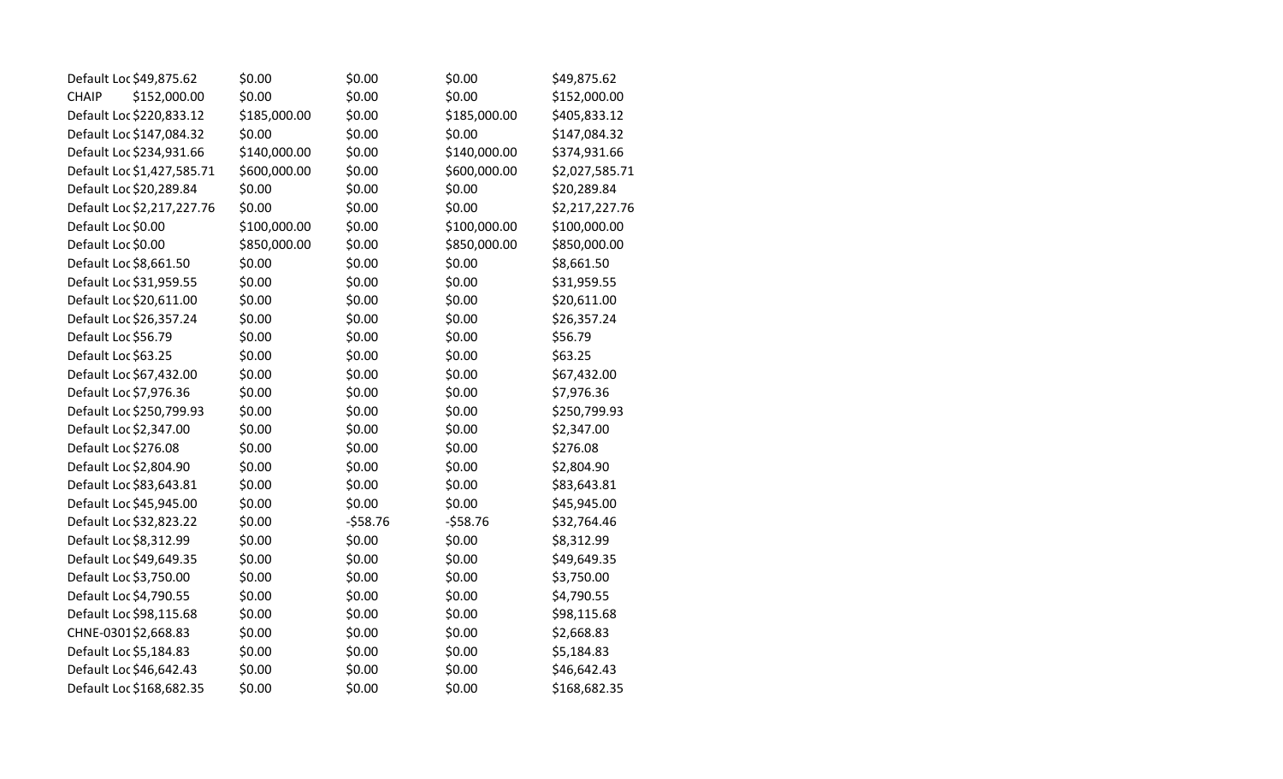| Default Loc \$49,875.62      | \$0.00       | \$0.00    | \$0.00       | \$49,875.62    |
|------------------------------|--------------|-----------|--------------|----------------|
| \$152,000.00<br><b>CHAIP</b> | \$0.00       | \$0.00    | \$0.00       | \$152,000.00   |
| Default Loc \$220,833.12     | \$185,000.00 | \$0.00    | \$185,000.00 | \$405,833.12   |
| Default Loc \$147,084.32     | \$0.00       | \$0.00    | \$0.00       | \$147,084.32   |
| Default Loc \$234,931.66     | \$140,000.00 | \$0.00    | \$140,000.00 | \$374,931.66   |
| Default Loc \$1,427,585.71   | \$600,000.00 | \$0.00    | \$600,000.00 | \$2,027,585.71 |
| Default Loc \$20,289.84      | \$0.00       | \$0.00    | \$0.00       | \$20,289.84    |
| Default Loc \$2,217,227.76   | \$0.00       | \$0.00    | \$0.00       | \$2,217,227.76 |
| Default Loc \$0.00           | \$100,000.00 | \$0.00    | \$100,000.00 | \$100,000.00   |
| Default Loc \$0.00           | \$850,000.00 | \$0.00    | \$850,000.00 | \$850,000.00   |
| Default Loc \$8,661.50       | \$0.00       | \$0.00    | \$0.00       | \$8,661.50     |
| Default Loc \$31,959.55      | \$0.00       | \$0.00    | \$0.00       | \$31,959.55    |
| Default Loc \$20,611.00      | \$0.00       | \$0.00    | \$0.00       | \$20,611.00    |
| Default Loc \$26,357.24      | \$0.00       | \$0.00    | \$0.00       | \$26,357.24    |
| Default Loc \$56.79          | \$0.00       | \$0.00    | \$0.00       | \$56.79        |
| Default Loc \$63.25          | \$0.00       | \$0.00    | \$0.00       | \$63.25        |
| Default Loc \$67,432.00      | \$0.00       | \$0.00    | \$0.00       | \$67,432.00    |
| Default Loc \$7,976.36       | \$0.00       | \$0.00    | \$0.00       | \$7,976.36     |
| Default Loc \$250,799.93     | \$0.00       | \$0.00    | \$0.00       | \$250,799.93   |
| Default Loc \$2,347.00       | \$0.00       | \$0.00    | \$0.00       | \$2,347.00     |
| Default Loc \$276.08         | \$0.00       | \$0.00    | \$0.00       | \$276.08       |
| Default Loc \$2,804.90       | \$0.00       | \$0.00    | \$0.00       | \$2,804.90     |
| Default Loc \$83,643.81      | \$0.00       | \$0.00    | \$0.00       | \$83,643.81    |
| Default Loc \$45,945.00      | \$0.00       | \$0.00    | \$0.00       | \$45,945.00    |
| Default Loc \$32,823.22      | \$0.00       | $-558.76$ | $-558.76$    | \$32,764.46    |
| Default Loc \$8,312.99       | \$0.00       | \$0.00    | \$0.00       | \$8,312.99     |
| Default Loc \$49,649.35      | \$0.00       | \$0.00    | \$0.00       | \$49,649.35    |
| Default Loc \$3,750.00       | \$0.00       | \$0.00    | \$0.00       | \$3,750.00     |
| Default Loc \$4,790.55       | \$0.00       | \$0.00    | \$0.00       | \$4,790.55     |
| Default Loc \$98,115.68      | \$0.00       | \$0.00    | \$0.00       | \$98,115.68    |
| CHNE-0301\$2,668.83          | \$0.00       | \$0.00    | \$0.00       | \$2,668.83     |
| Default Loc \$5,184.83       | \$0.00       | \$0.00    | \$0.00       | \$5,184.83     |
| Default Loc \$46,642.43      | \$0.00       | \$0.00    | \$0.00       | \$46,642.43    |
| Default Loc \$168,682.35     | \$0.00       | \$0.00    | \$0.00       | \$168,682.35   |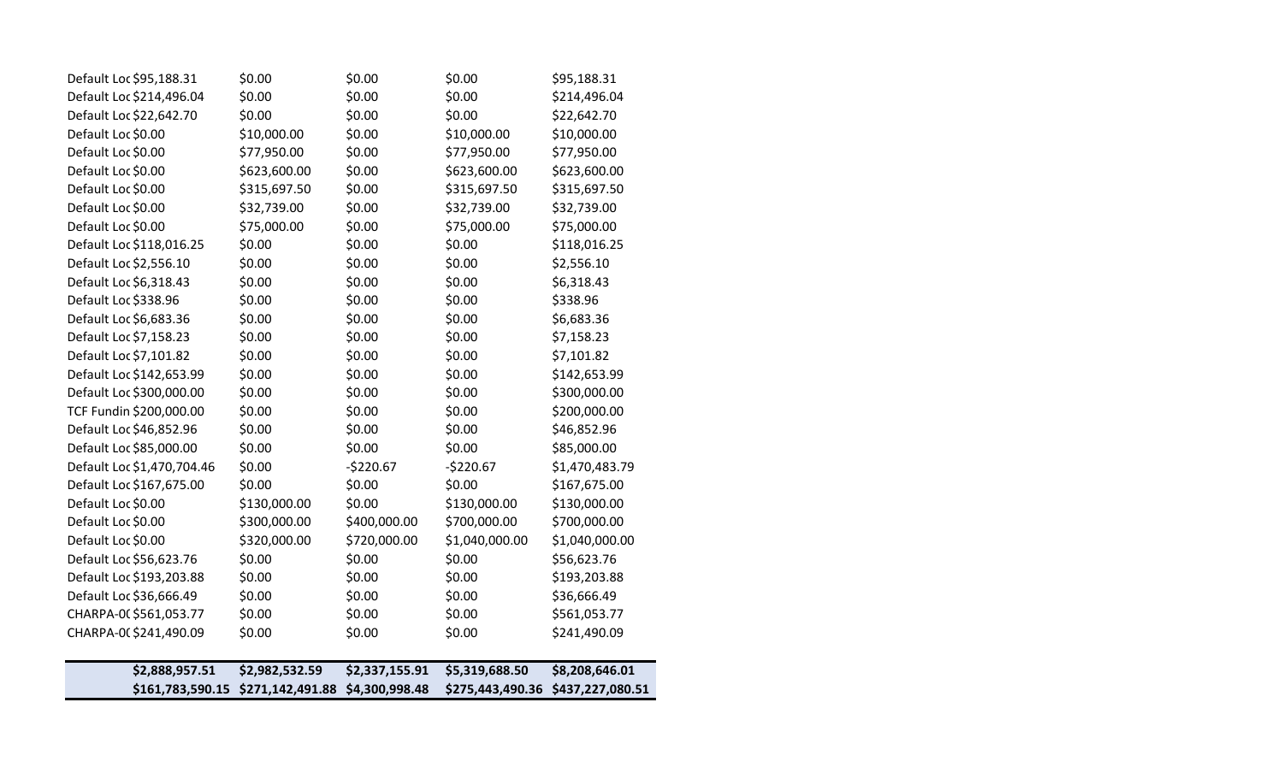| \$161,783,590.15           | \$271,142,491.88 | \$4,300,998.48 | \$275,443,490.36 | \$437,227,080.51 |
|----------------------------|------------------|----------------|------------------|------------------|
| \$2,888,957.51             | \$2,982,532.59   | \$2,337,155.91 | \$5,319,688.50   | \$8,208,646.01   |
|                            |                  |                |                  |                  |
| CHARPA-00\$241,490.09      | \$0.00           | \$0.00         | \$0.00           | \$241,490.09     |
| CHARPA-00 \$561,053.77     | \$0.00           | \$0.00         | \$0.00           | \$561,053.77     |
| Default Loc \$36,666.49    | \$0.00           | \$0.00         | \$0.00           | \$36,666.49      |
| Default Loc \$193,203.88   | \$0.00           | \$0.00         | \$0.00           | \$193,203.88     |
| Default Loc \$56,623.76    | \$0.00           | \$0.00         | \$0.00           | \$56,623.76      |
| Default Loc \$0.00         | \$320,000.00     | \$720,000.00   | \$1,040,000.00   | \$1,040,000.00   |
| Default Loc \$0.00         | \$300,000.00     | \$400,000.00   | \$700,000.00     | \$700,000.00     |
| Default Loc \$0.00         | \$130,000.00     | \$0.00         | \$130,000.00     | \$130,000.00     |
| Default Loc \$167,675.00   | \$0.00           | \$0.00         | \$0.00           | \$167,675.00     |
| Default Loc \$1,470,704.46 | \$0.00           | $-5220.67$     | $-5220.67$       | \$1,470,483.79   |
| Default Loc \$85,000.00    | \$0.00           | \$0.00         | \$0.00           | \$85,000.00      |
| Default Loc \$46,852.96    | \$0.00           | \$0.00         | \$0.00           | \$46,852.96      |
| TCF Fundin \$200,000.00    | \$0.00           | \$0.00         | \$0.00           | \$200,000.00     |
| Default Loc \$300,000.00   | \$0.00           | \$0.00         | \$0.00           | \$300,000.00     |
| Default Loc \$142,653.99   | \$0.00           | \$0.00         | \$0.00           | \$142,653.99     |
| Default Loc \$7,101.82     | \$0.00           | \$0.00         | \$0.00           | \$7,101.82       |
| Default Loc \$7,158.23     | \$0.00           | \$0.00         | \$0.00           | \$7,158.23       |
| Default Loc \$6,683.36     | \$0.00           | \$0.00         | \$0.00           | \$6,683.36       |
| Default Loc \$338.96       | \$0.00           | \$0.00         | \$0.00           | \$338.96         |
| Default Loc \$6,318.43     | \$0.00           | \$0.00         | \$0.00           | \$6,318.43       |
| Default Loc \$2,556.10     | \$0.00           | \$0.00         | \$0.00           | \$2,556.10       |
| Default Loc \$118,016.25   | \$0.00           | \$0.00         | \$0.00           | \$118,016.25     |
| Default Loc \$0.00         | \$75,000.00      | \$0.00         | \$75,000.00      | \$75,000.00      |
| Default Loc \$0.00         | \$32,739.00      | \$0.00         | \$32,739.00      | \$32,739.00      |
| Default Loc \$0.00         | \$315,697.50     | \$0.00         | \$315,697.50     | \$315,697.50     |
| Default Loc \$0.00         | \$623,600.00     | \$0.00         | \$623,600.00     | \$623,600.00     |
| Default Loc \$0.00         | \$77,950.00      | \$0.00         | \$77,950.00      | \$77,950.00      |
| Default Loc \$0.00         | \$10,000.00      | \$0.00         | \$10,000.00      | \$10,000.00      |
| Default Loc \$22,642.70    | \$0.00           | \$0.00         | \$0.00           | \$22,642.70      |
| Default Loc \$214,496.04   | \$0.00           | \$0.00         | \$0.00           | \$214,496.04     |
| Default Loc \$95,188.31    | \$0.00           | \$0.00         | \$0.00           | \$95,188.31      |